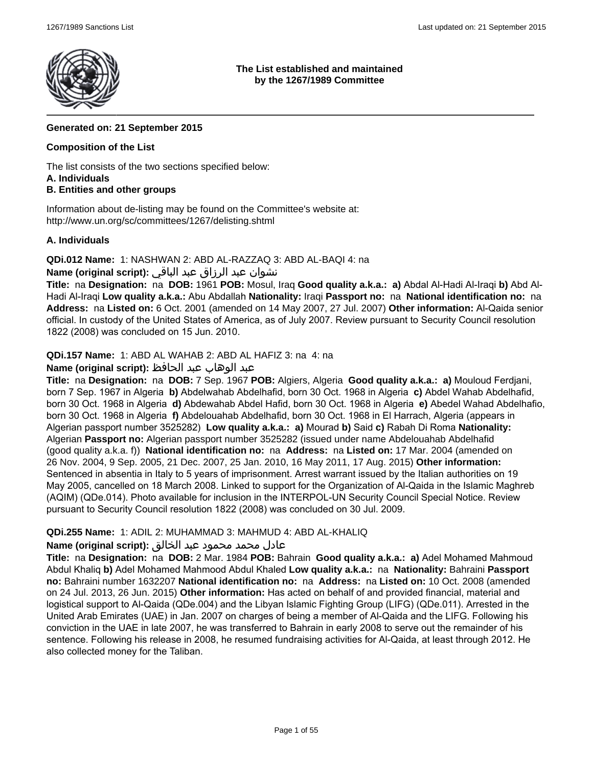

#### **The List established and maintained by the 1267/1989 Committee**

## **Generated on: 21 September 2015**

## **Composition of the List**

The list consists of the two sections specified below:

#### **A. Individuals**

## **B. Entities and other groups**

Information about de-listing may be found on the Committee's website at: http://www.un.org/sc/committees/1267/delisting.shtml

## **A. Individuals**

**QDi.012 Name:** 1: NASHWAN 2: ABD AL-RAZZAQ 3: ABD AL-BAQI 4: na

## نشوان عبد الرزاق عبد الباقي **:(script original (Name**

**Title:** na **Designation:** na **DOB:** 1961 **POB:** Mosul, Iraq **Good quality a.k.a.: a)** Abdal Al-Hadi Al-Iraqi **b)** Abd Al-Hadi Al-Iraqi **Low quality a.k.a.:** Abu Abdallah **Nationality:** Iraqi **Passport no:** na **National identification no:** na **Address:** na **Listed on:** 6 Oct. 2001 (amended on 14 May 2007, 27 Jul. 2007) **Other information:** Al-Qaida senior official. In custody of the United States of America, as of July 2007. Review pursuant to Security Council resolution 1822 (2008) was concluded on 15 Jun. 2010.

**QDi.157 Name:** 1: ABD AL WAHAB 2: ABD AL HAFIZ 3: na 4: na

## عبد الوهاب عبد الحافظ **:(script original (Name**

**Title:** na **Designation:** na **DOB:** 7 Sep. 1967 **POB:** Algiers, Algeria **Good quality a.k.a.: a)** Mouloud Ferdjani, born 7 Sep. 1967 in Algeria **b)** Abdelwahab Abdelhafid, born 30 Oct. 1968 in Algeria **c)** Abdel Wahab Abdelhafid, born 30 Oct. 1968 in Algeria **d)** Abdewahab Abdel Hafid, born 30 Oct. 1968 in Algeria **e)** Abedel Wahad Abdelhafio, born 30 Oct. 1968 in Algeria **f)** Abdelouahab Abdelhafid, born 30 Oct. 1968 in El Harrach, Algeria (appears in Algerian passport number 3525282) **Low quality a.k.a.: a)** Mourad **b)** Said **c)** Rabah Di Roma **Nationality:** Algerian **Passport no:** Algerian passport number 3525282 (issued under name Abdelouahab Abdelhafid (good quality a.k.a. f)) **National identification no:** na **Address:** na **Listed on:** 17 Mar. 2004 (amended on 26 Nov. 2004, 9 Sep. 2005, 21 Dec. 2007, 25 Jan. 2010, 16 May 2011, 17 Aug. 2015) **Other information:** Sentenced in absentia in Italy to 5 years of imprisonment. Arrest warrant issued by the Italian authorities on 19 May 2005, cancelled on 18 March 2008. Linked to support for the Organization of Al-Qaida in the Islamic Maghreb (AQIM) (QDe.014). Photo available for inclusion in the INTERPOL-UN Security Council Special Notice. Review pursuant to Security Council resolution 1822 (2008) was concluded on 30 Jul. 2009.

## **QDi.255 Name:** 1: ADIL 2: MUHAMMAD 3: MAHMUD 4: ABD AL-KHALIQ

## عادل محمد محمود عبد الخالق **:(script original (Name**

**Title:** na **Designation:** na **DOB:** 2 Mar. 1984 **POB:** Bahrain **Good quality a.k.a.: a)** Adel Mohamed Mahmoud Abdul Khaliq **b)** Adel Mohamed Mahmood Abdul Khaled **Low quality a.k.a.:** na **Nationality:** Bahraini **Passport no:** Bahraini number 1632207 **National identification no:** na **Address:** na **Listed on:** 10 Oct. 2008 (amended on 24 Jul. 2013, 26 Jun. 2015) **Other information:** Has acted on behalf of and provided financial, material and logistical support to Al-Qaida (QDe.004) and the Libyan Islamic Fighting Group (LIFG) (QDe.011). Arrested in the United Arab Emirates (UAE) in Jan. 2007 on charges of being a member of Al-Qaida and the LIFG. Following his conviction in the UAE in late 2007, he was transferred to Bahrain in early 2008 to serve out the remainder of his sentence. Following his release in 2008, he resumed fundraising activities for Al-Qaida, at least through 2012. He also collected money for the Taliban.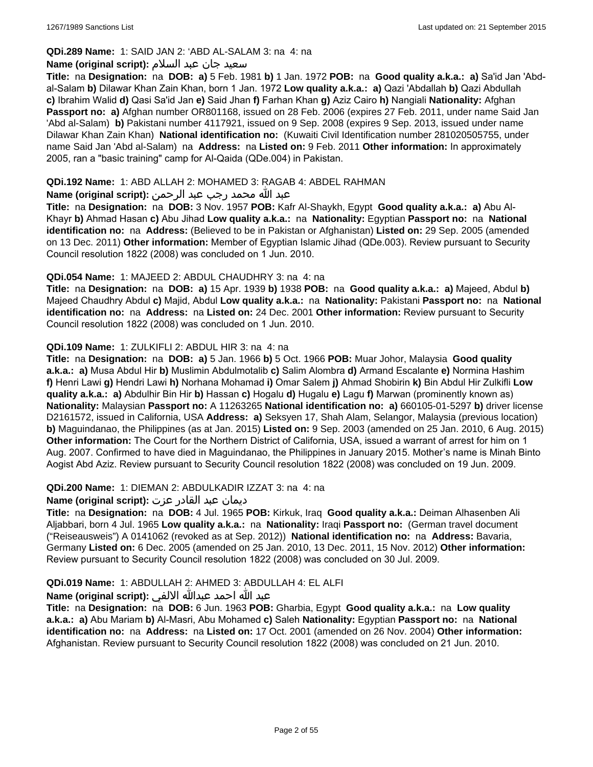## **QDi.289 Name:** 1: SAID JAN 2: 'ABD AL-SALAM 3: na 4: na

#### سعید جان عبد السلام **:(script original (Name**

**Title:** na **Designation:** na **DOB: a)** 5 Feb. 1981 **b)** 1 Jan. 1972 **POB:** na **Good quality a.k.a.: a)** Sa'id Jan 'Abdal-Salam **b)** Dilawar Khan Zain Khan, born 1 Jan. 1972 **Low quality a.k.a.: a)** Qazi 'Abdallah **b)** Qazi Abdullah **c)** Ibrahim Walid **d)** Qasi Sa'id Jan **e)** Said Jhan **f)** Farhan Khan **g)** Aziz Cairo **h)** Nangiali **Nationality:** Afghan **Passport no: a)** Afghan number OR801168, issued on 28 Feb. 2006 (expires 27 Feb. 2011, under name Said Jan 'Abd al-Salam) **b)** Pakistani number 4117921, issued on 9 Sep. 2008 (expires 9 Sep. 2013, issued under name Dilawar Khan Zain Khan) **National identification no:** (Kuwaiti Civil Identification number 281020505755, under name Said Jan 'Abd al-Salam) na **Address:** na **Listed on:** 9 Feb. 2011 **Other information:** In approximately 2005, ran a "basic training" camp for Al-Qaida (QDe.004) in Pakistan.

#### **QDi.192 Name:** 1: ABD ALLAH 2: MOHAMED 3: RAGAB 4: ABDEL RAHMAN

## عبد الله محمد رجب عبد الرحمن **:(script original (Name**

**Title:** na **Designation:** na **DOB:** 3 Nov. 1957 **POB:** Kafr Al-Shaykh, Egypt **Good quality a.k.a.: a)** Abu Al-Khayr **b)** Ahmad Hasan **c)** Abu Jihad **Low quality a.k.a.:** na **Nationality:** Egyptian **Passport no:** na **National identification no:** na **Address:** (Believed to be in Pakistan or Afghanistan) **Listed on:** 29 Sep. 2005 (amended on 13 Dec. 2011) **Other information:** Member of Egyptian Islamic Jihad (QDe.003). Review pursuant to Security Council resolution 1822 (2008) was concluded on 1 Jun. 2010.

#### **QDi.054 Name:** 1: MAJEED 2: ABDUL CHAUDHRY 3: na 4: na

**Title:** na **Designation:** na **DOB: a)** 15 Apr. 1939 **b)** 1938 **POB:** na **Good quality a.k.a.: a)** Majeed, Abdul **b)** Majeed Chaudhry Abdul **c)** Majid, Abdul **Low quality a.k.a.:** na **Nationality:** Pakistani **Passport no:** na **National identification no:** na **Address:** na **Listed on:** 24 Dec. 2001 **Other information:** Review pursuant to Security Council resolution 1822 (2008) was concluded on 1 Jun. 2010.

#### **QDi.109 Name:** 1: ZULKIFLI 2: ABDUL HIR 3: na 4: na

**Title:** na **Designation:** na **DOB: a)** 5 Jan. 1966 **b)** 5 Oct. 1966 **POB:** Muar Johor, Malaysia **Good quality a.k.a.: a)** Musa Abdul Hir **b)** Muslimin Abdulmotalib **c)** Salim Alombra **d)** Armand Escalante **e)** Normina Hashim **f)** Henri Lawi **g)** Hendri Lawi **h)** Norhana Mohamad **i)** Omar Salem **j)** Ahmad Shobirin **k)** Bin Abdul Hir Zulkifli **Low quality a.k.a.: a)** Abdulhir Bin Hir **b)** Hassan **c)** Hogalu **d)** Hugalu **e)** Lagu **f)** Marwan (prominently known as) **Nationality:** Malaysian **Passport no:** A 11263265 **National identification no: a)** 660105-01-5297 **b)** driver license D2161572, issued in California, USA **Address: a)** Seksyen 17, Shah Alam, Selangor, Malaysia (previous location) **b)** Maguindanao, the Philippines (as at Jan. 2015) **Listed on:** 9 Sep. 2003 (amended on 25 Jan. 2010, 6 Aug. 2015) **Other information:** The Court for the Northern District of California, USA, issued a warrant of arrest for him on 1 Aug. 2007. Confirmed to have died in Maguindanao, the Philippines in January 2015. Mother's name is Minah Binto Aogist Abd Aziz. Review pursuant to Security Council resolution 1822 (2008) was concluded on 19 Jun. 2009.

## **QDi.200 Name:** 1: DIEMAN 2: ABDULKADIR IZZAT 3: na 4: na

## ديمان عبد القادر عزت **:(script original (Name**

**Title:** na **Designation:** na **DOB:** 4 Jul. 1965 **POB:** Kirkuk, Iraq **Good quality a.k.a.:** Deiman Alhasenben Ali Aljabbari, born 4 Jul. 1965 **Low quality a.k.a.:** na **Nationality:** Iraqi **Passport no:** (German travel document ("Reiseausweis") A 0141062 (revoked as at Sep. 2012)) **National identification no:** na **Address:** Bavaria, Germany **Listed on:** 6 Dec. 2005 (amended on 25 Jan. 2010, 13 Dec. 2011, 15 Nov. 2012) **Other information:** Review pursuant to Security Council resolution 1822 (2008) was concluded on 30 Jul. 2009.

## **QDi.019 Name:** 1: ABDULLAH 2: AHMED 3: ABDULLAH 4: EL ALFI

## عبد الله احمد عبدالله الالفي **:(script original (Name**

**Title:** na **Designation:** na **DOB:** 6 Jun. 1963 **POB:** Gharbia, Egypt **Good quality a.k.a.:** na **Low quality a.k.a.: a)** Abu Mariam **b)** Al-Masri, Abu Mohamed **c)** Saleh **Nationality:** Egyptian **Passport no:** na **National identification no:** na **Address:** na **Listed on:** 17 Oct. 2001 (amended on 26 Nov. 2004) **Other information:** Afghanistan. Review pursuant to Security Council resolution 1822 (2008) was concluded on 21 Jun. 2010.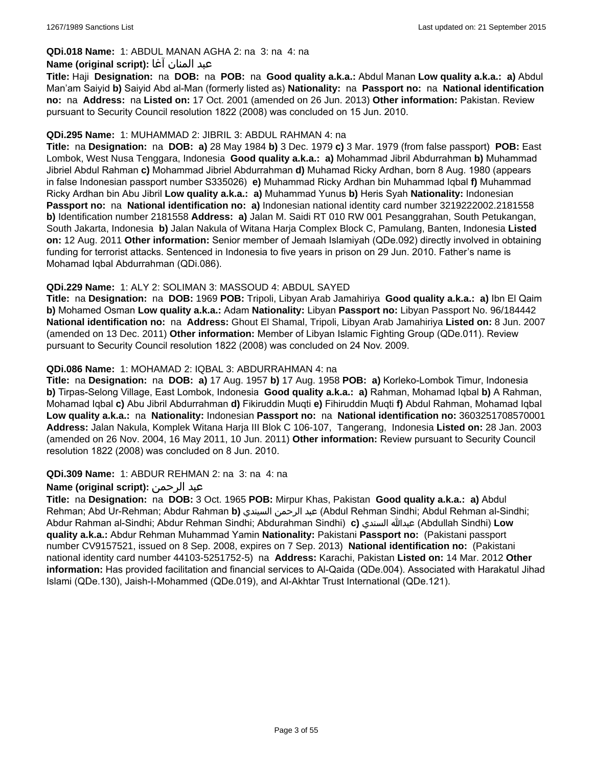## **QDi.018 Name:** 1: ABDUL MANAN AGHA 2: na 3: na 4: na

#### عبد المنان آغا **:(script original (Name**

**Title:** Haji **Designation:** na **DOB:** na **POB:** na **Good quality a.k.a.:** Abdul Manan **Low quality a.k.a.: a)** Abdul Man'am Saiyid **b)** Saiyid Abd al-Man (formerly listed as) **Nationality:** na **Passport no:** na **National identification no:** na **Address:** na **Listed on:** 17 Oct. 2001 (amended on 26 Jun. 2013) **Other information:** Pakistan. Review pursuant to Security Council resolution 1822 (2008) was concluded on 15 Jun. 2010.

#### **QDi.295 Name:** 1: MUHAMMAD 2: JIBRIL 3: ABDUL RAHMAN 4: na

**Title:** na **Designation:** na **DOB: a)** 28 May 1984 **b)** 3 Dec. 1979 **c)** 3 Mar. 1979 (from false passport) **POB:** East Lombok, West Nusa Tenggara, Indonesia **Good quality a.k.a.: a)** Mohammad Jibril Abdurrahman **b)** Muhammad Jibriel Abdul Rahman **c)** Mohammad Jibriel Abdurrahman **d)** Muhamad Ricky Ardhan, born 8 Aug. 1980 (appears in false Indonesian passport number S335026) **e)** Muhammad Ricky Ardhan bin Muhammad Iqbal **f)** Muhammad Ricky Ardhan bin Abu Jibril **Low quality a.k.a.: a)** Muhammad Yunus **b)** Heris Syah **Nationality:** Indonesian **Passport no:** na **National identification no: a)** Indonesian national identity card number 3219222002.2181558 **b)** Identification number 2181558 **Address: a)** Jalan M. Saidi RT 010 RW 001 Pesanggrahan, South Petukangan, South Jakarta, Indonesia **b)** Jalan Nakula of Witana Harja Complex Block C, Pamulang, Banten, Indonesia **Listed on:** 12 Aug. 2011 **Other information:** Senior member of Jemaah Islamiyah (QDe.092) directly involved in obtaining funding for terrorist attacks. Sentenced in Indonesia to five years in prison on 29 Jun. 2010. Father's name is Mohamad Iqbal Abdurrahman (QDi.086).

#### **QDi.229 Name:** 1: ALY 2: SOLIMAN 3: MASSOUD 4: ABDUL SAYED

**Title:** na **Designation:** na **DOB:** 1969 **POB:** Tripoli, Libyan Arab Jamahiriya **Good quality a.k.a.: a)** Ibn El Qaim **b)** Mohamed Osman **Low quality a.k.a.:** Adam **Nationality:** Libyan **Passport no:** Libyan Passport No. 96/184442 **National identification no:** na **Address:** Ghout El Shamal, Tripoli, Libyan Arab Jamahiriya **Listed on:** 8 Jun. 2007 (amended on 13 Dec. 2011) **Other information:** Member of Libyan Islamic Fighting Group (QDe.011). Review pursuant to Security Council resolution 1822 (2008) was concluded on 24 Nov. 2009.

#### **QDi.086 Name:** 1: MOHAMAD 2: IQBAL 3: ABDURRAHMAN 4: na

**Title:** na **Designation:** na **DOB: a)** 17 Aug. 1957 **b)** 17 Aug. 1958 **POB: a)** Korleko-Lombok Timur, Indonesia **b)** Tirpas-Selong Village, East Lombok, Indonesia **Good quality a.k.a.: a)** Rahman, Mohamad Iqbal **b)** A Rahman, Mohamad Iqbal **c)** Abu Jibril Abdurrahman **d)** Fikiruddin Muqti **e)** Fihiruddin Muqti **f)** Abdul Rahman, Mohamad Iqbal **Low quality a.k.a.:** na **Nationality:** Indonesian **Passport no:** na **National identification no:** 3603251708570001 **Address:** Jalan Nakula, Komplek Witana Harja III Blok C 106-107, Tangerang, Indonesia **Listed on:** 28 Jan. 2003 (amended on 26 Nov. 2004, 16 May 2011, 10 Jun. 2011) **Other information:** Review pursuant to Security Council resolution 1822 (2008) was concluded on 8 Jun. 2010.

#### **QDi.309 Name:** 1: ABDUR REHMAN 2: na 3: na 4: na

## **Name (original script):** الرحمن عبد

**Title:** na **Designation:** na **DOB:** 3 Oct. 1965 **POB:** Mirpur Khas, Pakistan **Good quality a.k.a.: a)** Abdul Rehman; Abd Ur-Rehman; Abdur Rahman **b)** السيندي الرحمن عبد) Abdul Rehman Sindhi; Abdul Rehman al-Sindhi; Abdur Rahman al-Sindhi; Abdur Rehman Sindhi; Abdurahman Sindhi) **c)** السندي عبدالله) Abdullah Sindhi) **Low quality a.k.a.:** Abdur Rehman Muhammad Yamin **Nationality:** Pakistani **Passport no:** (Pakistani passport number CV9157521, issued on 8 Sep. 2008, expires on 7 Sep. 2013) **National identification no:** (Pakistani national identity card number 44103-5251752-5) na **Address:** Karachi, Pakistan **Listed on:** 14 Mar. 2012 **Other information:** Has provided facilitation and financial services to Al-Qaida (QDe.004). Associated with Harakatul Jihad Islami (QDe.130), Jaish-I-Mohammed (QDe.019), and Al-Akhtar Trust International (QDe.121).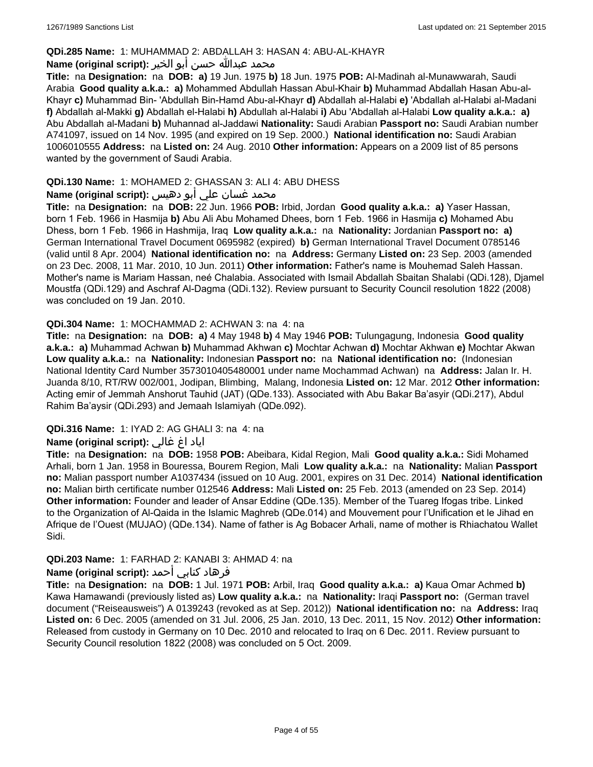#### **QDi.285 Name:** 1: MUHAMMAD 2: ABDALLAH 3: HASAN 4: ABU-AL-KHAYR

#### محمد عبدالله حسن أبو الخير **:Name (original script**)

**Title:** na **Designation:** na **DOB: a)** 19 Jun. 1975 **b)** 18 Jun. 1975 **POB:** Al-Madinah al-Munawwarah, Saudi Arabia **Good quality a.k.a.: a)** Mohammed Abdullah Hassan Abul-Khair **b)** Muhammad Abdallah Hasan Abu-al-Khayr **c)** Muhammad Bin- 'Abdullah Bin-Hamd Abu-al-Khayr **d)** Abdallah al-Halabi **e)** 'Abdallah al-Halabi al-Madani **f)** Abdallah al-Makki **g)** Abdallah el-Halabi **h)** Abdullah al-Halabi **i)** Abu 'Abdallah al-Halabi **Low quality a.k.a.: a)** Abu Abdallah al-Madani **b)** Muhannad al-Jaddawi **Nationality:** Saudi Arabian **Passport no:** Saudi Arabian number A741097, issued on 14 Nov. 1995 (and expired on 19 Sep. 2000.) **National identification no:** Saudi Arabian 1006010555 **Address:** na **Listed on:** 24 Aug. 2010 **Other information:** Appears on a 2009 list of 85 persons wanted by the government of Saudi Arabia.

## **QDi.130 Name:** 1: MOHAMED 2: GHASSAN 3: ALI 4: ABU DHESS

## محمد غسان علي أبو دهيس **:Name (original script**)

**Title:** na **Designation:** na **DOB:** 22 Jun. 1966 **POB:** Irbid, Jordan **Good quality a.k.a.: a)** Yaser Hassan, born 1 Feb. 1966 in Hasmija **b)** Abu Ali Abu Mohamed Dhees, born 1 Feb. 1966 in Hasmija **c)** Mohamed Abu Dhess, born 1 Feb. 1966 in Hashmija, Iraq **Low quality a.k.a.:** na **Nationality:** Jordanian **Passport no: a)** German International Travel Document 0695982 (expired) **b)** German International Travel Document 0785146 (valid until 8 Apr. 2004) **National identification no:** na **Address:** Germany **Listed on:** 23 Sep. 2003 (amended on 23 Dec. 2008, 11 Mar. 2010, 10 Jun. 2011) **Other information:** Father's name is Mouhemad Saleh Hassan. Mother's name is Mariam Hassan, neé Chalabia. Associated with Ismail Abdallah Sbaitan Shalabi (QDi.128), Djamel Moustfa (QDi.129) and Aschraf Al-Dagma (QDi.132). Review pursuant to Security Council resolution 1822 (2008) was concluded on 19 Jan. 2010.

#### **QDi.304 Name:** 1: MOCHAMMAD 2: ACHWAN 3: na 4: na

**Title:** na **Designation:** na **DOB: a)** 4 May 1948 **b)** 4 May 1946 **POB:** Tulungagung, Indonesia **Good quality a.k.a.: a)** Muhammad Achwan **b)** Muhammad Akhwan **c)** Mochtar Achwan **d)** Mochtar Akhwan **e)** Mochtar Akwan **Low quality a.k.a.:** na **Nationality:** Indonesian **Passport no:** na **National identification no:** (Indonesian National Identity Card Number 3573010405480001 under name Mochammad Achwan) na **Address:** Jalan Ir. H. Juanda 8/10, RT/RW 002/001, Jodipan, Blimbing, Malang, Indonesia **Listed on:** 12 Mar. 2012 **Other information:** Acting emir of Jemmah Anshorut Tauhid (JAT) (QDe.133). Associated with Abu Bakar Ba'asyir (QDi.217), Abdul Rahim Ba'aysir (QDi.293) and Jemaah Islamiyah (QDe.092).

## **QDi.316 Name:** 1: IYAD 2: AG GHALI 3: na 4: na

## اياد اغ غالي **:(script original (Name**

**Title:** na **Designation:** na **DOB:** 1958 **POB:** Abeibara, Kidal Region, Mali **Good quality a.k.a.:** Sidi Mohamed Arhali, born 1 Jan. 1958 in Bouressa, Bourem Region, Mali **Low quality a.k.a.:** na **Nationality:** Malian **Passport no:** Malian passport number A1037434 (issued on 10 Aug. 2001, expires on 31 Dec. 2014) **National identification no:** Malian birth certificate number 012546 **Address:** Mali **Listed on:** 25 Feb. 2013 (amended on 23 Sep. 2014) **Other information:** Founder and leader of Ansar Eddine (QDe.135). Member of the Tuareg Ifogas tribe. Linked to the Organization of Al-Qaida in the Islamic Maghreb (QDe.014) and Mouvement pour l'Unification et le Jihad en Afrique de l'Ouest (MUJAO) (QDe.134). Name of father is Ag Bobacer Arhali, name of mother is Rhiachatou Wallet Sidi.

## **QDi.203 Name:** 1: FARHAD 2: KANABI 3: AHMAD 4: na

## فرهاد كنابي أحمد :Name (original script)

**Title:** na **Designation:** na **DOB:** 1 Jul. 1971 **POB:** Arbil, Iraq **Good quality a.k.a.: a)** Kaua Omar Achmed **b)** Kawa Hamawandi (previously listed as) **Low quality a.k.a.:** na **Nationality:** Iraqi **Passport no:** (German travel document ("Reiseausweis") A 0139243 (revoked as at Sep. 2012)) **National identification no:** na **Address:** Iraq **Listed on:** 6 Dec. 2005 (amended on 31 Jul. 2006, 25 Jan. 2010, 13 Dec. 2011, 15 Nov. 2012) **Other information:** Released from custody in Germany on 10 Dec. 2010 and relocated to Iraq on 6 Dec. 2011. Review pursuant to Security Council resolution 1822 (2008) was concluded on 5 Oct. 2009.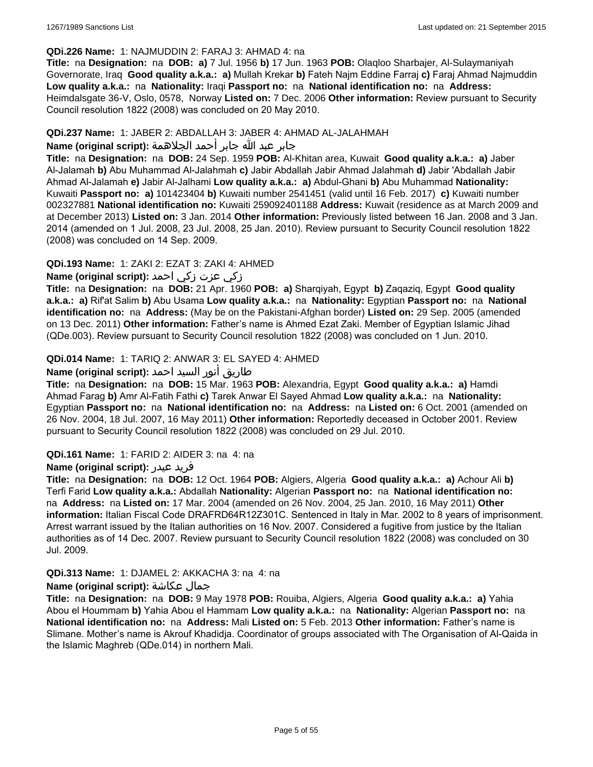#### **QDi.226 Name:** 1: NAJMUDDIN 2: FARAJ 3: AHMAD 4: na

**Title:** na **Designation:** na **DOB: a)** 7 Jul. 1956 **b)** 17 Jun. 1963 **POB:** Olaqloo Sharbajer, Al-Sulaymaniyah Governorate, Iraq **Good quality a.k.a.: a)** Mullah Krekar **b)** Fateh Najm Eddine Farraj **c)** Faraj Ahmad Najmuddin **Low quality a.k.a.:** na **Nationality:** Iraqi **Passport no:** na **National identification no:** na **Address:** Heimdalsgate 36-V, Oslo, 0578, Norway **Listed on:** 7 Dec. 2006 **Other information:** Review pursuant to Security Council resolution 1822 (2008) was concluded on 20 May 2010.

#### **QDi.237 Name:** 1: JABER 2: ABDALLAH 3: JABER 4: AHMAD AL-JALAHMAH

#### جابر عبد الله جابر أحمد الجلاهمة **:(script original (Name**

**Title:** na **Designation:** na **DOB:** 24 Sep. 1959 **POB:** Al-Khitan area, Kuwait **Good quality a.k.a.: a)** Jaber Al-Jalamah **b)** Abu Muhammad Al-Jalahmah **c)** Jabir Abdallah Jabir Ahmad Jalahmah **d)** Jabir 'Abdallah Jabir Ahmad Al-Jalamah **e)** Jabir Al-Jalhami **Low quality a.k.a.: a)** Abdul-Ghani **b)** Abu Muhammad **Nationality:** Kuwaiti **Passport no: a)** 101423404 **b)** Kuwaiti number 2541451 (valid until 16 Feb. 2017) **c)** Kuwaiti number 002327881 **National identification no:** Kuwaiti 259092401188 **Address:** Kuwait (residence as at March 2009 and at December 2013) **Listed on:** 3 Jan. 2014 **Other information:** Previously listed between 16 Jan. 2008 and 3 Jan. 2014 (amended on 1 Jul. 2008, 23 Jul. 2008, 25 Jan. 2010). Review pursuant to Security Council resolution 1822 (2008) was concluded on 14 Sep. 2009.

## **QDi.193 Name:** 1: ZAKI 2: EZAT 3: ZAKI 4: AHMED

## زكي عزت زكي احمد **:(script original (Name**

**Title:** na **Designation:** na **DOB:** 21 Apr. 1960 **POB: a)** Sharqiyah, Egypt **b)** Zaqaziq, Egypt **Good quality a.k.a.: a)** Rif'at Salim **b)** Abu Usama **Low quality a.k.a.:** na **Nationality:** Egyptian **Passport no:** na **National identification no:** na **Address:** (May be on the Pakistani-Afghan border) **Listed on:** 29 Sep. 2005 (amended on 13 Dec. 2011) **Other information:** Father's name is Ahmed Ezat Zaki. Member of Egyptian Islamic Jihad (QDe.003). Review pursuant to Security Council resolution 1822 (2008) was concluded on 1 Jun. 2010.

## **QDi.014 Name:** 1: TARIQ 2: ANWAR 3: EL SAYED 4: AHMED

## طاريق أنور السيد احمد **:(script original (Name**

**Title:** na **Designation:** na **DOB:** 15 Mar. 1963 **POB:** Alexandria, Egypt **Good quality a.k.a.: a)** Hamdi Ahmad Farag **b)** Amr Al-Fatih Fathi **c)** Tarek Anwar El Sayed Ahmad **Low quality a.k.a.:** na **Nationality:** Egyptian **Passport no:** na **National identification no:** na **Address:** na **Listed on:** 6 Oct. 2001 (amended on 26 Nov. 2004, 18 Jul. 2007, 16 May 2011) **Other information:** Reportedly deceased in October 2001. Review pursuant to Security Council resolution 1822 (2008) was concluded on 29 Jul. 2010.

#### **QDi.161 Name:** 1: FARID 2: AIDER 3: na 4: na

#### **Name (original script):** عيدر فريد

**Title:** na **Designation:** na **DOB:** 12 Oct. 1964 **POB:** Algiers, Algeria **Good quality a.k.a.: a)** Achour Ali **b)** Terfi Farid **Low quality a.k.a.:** Abdallah **Nationality:** Algerian **Passport no:** na **National identification no:**  na **Address:** na **Listed on:** 17 Mar. 2004 (amended on 26 Nov. 2004, 25 Jan. 2010, 16 May 2011) **Other information:** Italian Fiscal Code DRAFRD64R12Z301C. Sentenced in Italy in Mar. 2002 to 8 years of imprisonment. Arrest warrant issued by the Italian authorities on 16 Nov. 2007. Considered a fugitive from justice by the Italian authorities as of 14 Dec. 2007. Review pursuant to Security Council resolution 1822 (2008) was concluded on 30 Jul. 2009.

## **QDi.313 Name:** 1: DJAMEL 2: AKKACHA 3: na 4: na

#### **Name (original script):** عكاشة جمال

**Title:** na **Designation:** na **DOB:** 9 May 1978 **POB:** Rouiba, Algiers, Algeria **Good quality a.k.a.: a)** Yahia Abou el Hoummam **b)** Yahia Abou el Hammam **Low quality a.k.a.:** na **Nationality:** Algerian **Passport no:** na **National identification no:** na **Address:** Mali **Listed on:** 5 Feb. 2013 **Other information:** Father's name is Slimane. Mother's name is Akrouf Khadidja. Coordinator of groups associated with The Organisation of Al-Qaida in the Islamic Maghreb (QDe.014) in northern Mali.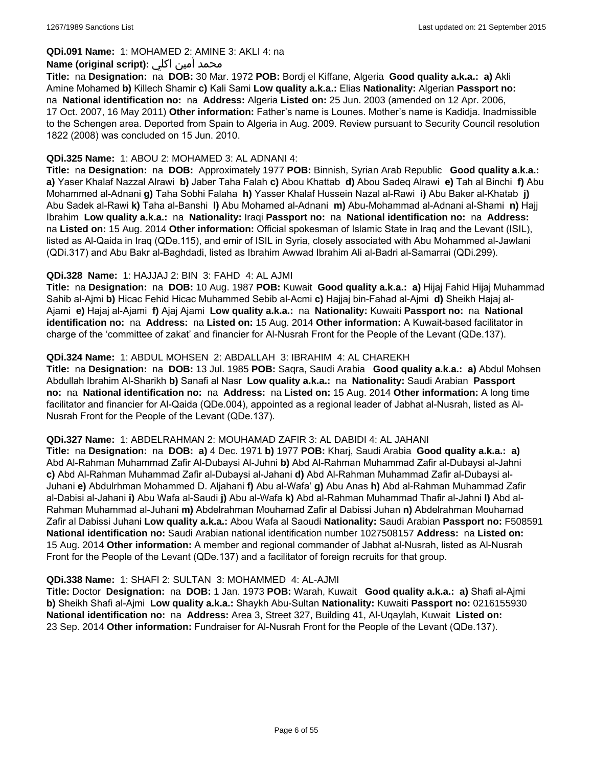#### **QDi.091 Name:** 1: MOHAMED 2: AMINE 3: AKLI 4: na

#### محمد أمين اكلي :**Name (original script)**

**Title:** na **Designation:** na **DOB:** 30 Mar. 1972 **POB:** Bordj el Kiffane, Algeria **Good quality a.k.a.: a)** Akli Amine Mohamed **b)** Killech Shamir **c)** Kali Sami **Low quality a.k.a.:** Elias **Nationality:** Algerian **Passport no:**  na **National identification no:** na **Address:** Algeria **Listed on:** 25 Jun. 2003 (amended on 12 Apr. 2006, 17 Oct. 2007, 16 May 2011) **Other information:** Father's name is Lounes. Mother's name is Kadidja. Inadmissible to the Schengen area. Deported from Spain to Algeria in Aug. 2009. Review pursuant to Security Council resolution 1822 (2008) was concluded on 15 Jun. 2010.

#### **QDi.325 Name:** 1: ABOU 2: MOHAMED 3: AL ADNANI 4:

**Title:** na **Designation:** na **DOB:** Approximately 1977 **POB:** Binnish, Syrian Arab Republic **Good quality a.k.a.: a)** Yaser Khalaf Nazzal Alrawi **b)** Jaber Taha Falah **c)** Abou Khattab **d)** Abou Sadeq Alrawi **e)** Tah al Binchi **f)** Abu Mohammed al-Adnani **g)** Taha Sobhi Falaha **h)** Yasser Khalaf Hussein Nazal al-Rawi **i)** Abu Baker al-Khatab **j)** Abu Sadek al-Rawi **k)** Taha al-Banshi **l)** Abu Mohamed al-Adnani **m)** Abu-Mohammad al-Adnani al-Shami **n)** Hajj Ibrahim **Low quality a.k.a.:** na **Nationality:** Iraqi **Passport no:** na **National identification no:** na **Address:**  na **Listed on:** 15 Aug. 2014 **Other information:** Official spokesman of Islamic State in Iraq and the Levant (ISIL), listed as Al-Qaida in Iraq (QDe.115), and emir of ISIL in Syria, closely associated with Abu Mohammed al-Jawlani (QDi.317) and Abu Bakr al-Baghdadi, listed as Ibrahim Awwad Ibrahim Ali al-Badri al-Samarrai (QDi.299).

#### **QDi.328 Name:** 1: HAJJAJ 2: BIN 3: FAHD 4: AL AJMI

**Title:** na **Designation:** na **DOB:** 10 Aug. 1987 **POB:** Kuwait **Good quality a.k.a.: a)** Hijaj Fahid Hijaj Muhammad Sahib al-Ajmi **b)** Hicac Fehid Hicac Muhammed Sebib al-Acmi **c)** Hajjaj bin-Fahad al-Ajmi **d)** Sheikh Hajaj al-Ajami **e)** Hajaj al-Ajami **f)** Ajaj Ajami **Low quality a.k.a.:** na **Nationality:** Kuwaiti **Passport no:** na **National identification no:** na **Address:** na **Listed on:** 15 Aug. 2014 **Other information:** A Kuwait-based facilitator in charge of the 'committee of zakat' and financier for Al-Nusrah Front for the People of the Levant (QDe.137).

#### **QDi.324 Name:** 1: ABDUL MOHSEN 2: ABDALLAH 3: IBRAHIM 4: AL CHAREKH

**Title:** na **Designation:** na **DOB:** 13 Jul. 1985 **POB:** Saqra, Saudi Arabia **Good quality a.k.a.: a)** Abdul Mohsen Abdullah Ibrahim Al-Sharikh **b)** Sanafi al Nasr **Low quality a.k.a.:** na **Nationality:** Saudi Arabian **Passport no:** na **National identification no:** na **Address:** na **Listed on:** 15 Aug. 2014 **Other information:** A long time facilitator and financier for Al-Qaida (QDe.004), appointed as a regional leader of Jabhat al-Nusrah, listed as Al-Nusrah Front for the People of the Levant (QDe.137).

#### **QDi.327 Name:** 1: ABDELRAHMAN 2: MOUHAMAD ZAFIR 3: AL DABIDI 4: AL JAHANI

**Title:** na **Designation:** na **DOB: a)** 4 Dec. 1971 **b)** 1977 **POB:** Kharj, Saudi Arabia **Good quality a.k.a.: a)** Abd Al-Rahman Muhammad Zafir Al-Dubaysi Al-Juhni **b)** Abd Al-Rahman Muhammad Zafir al-Dubaysi al-Jahni **c)** Abd Al-Rahman Muhammad Zafir al-Dubaysi al-Jahani **d)** Abd Al-Rahman Muhammad Zafir al-Dubaysi al-Juhani **e)** Abdulrhman Mohammed D. Aljahani **f)** Abu al-Wafa' **g)** Abu Anas **h)** Abd al-Rahman Muhammad Zafir al-Dabisi al-Jahani **i)** Abu Wafa al-Saudi **j)** Abu al-Wafa **k)** Abd al-Rahman Muhammad Thafir al-Jahni **l)** Abd al-Rahman Muhammad al-Juhani **m)** Abdelrahman Mouhamad Zafir al Dabissi Juhan **n)** Abdelrahman Mouhamad Zafir al Dabissi Juhani **Low quality a.k.a.:** Abou Wafa al Saoudi **Nationality:** Saudi Arabian **Passport no:** F508591 **National identification no:** Saudi Arabian national identification number 1027508157 **Address:** na **Listed on:** 15 Aug. 2014 **Other information:** A member and regional commander of Jabhat al-Nusrah, listed as Al-Nusrah Front for the People of the Levant (QDe.137) and a facilitator of foreign recruits for that group.

#### **QDi.338 Name:** 1: SHAFI 2: SULTAN 3: MOHAMMED 4: AL-AJMI

**Title:** Doctor **Designation:** na **DOB:** 1 Jan. 1973 **POB:** Warah, Kuwait **Good quality a.k.a.: a)** Shafi al-Ajmi **b)** Sheikh Shafi al-Ajmi **Low quality a.k.a.:** Shaykh Abu-Sultan **Nationality:** Kuwaiti **Passport no:** 0216155930 **National identification no:** na **Address:** Area 3, Street 327, Building 41, Al-Uqaylah, Kuwait **Listed on:** 23 Sep. 2014 **Other information:** Fundraiser for Al-Nusrah Front for the People of the Levant (QDe.137).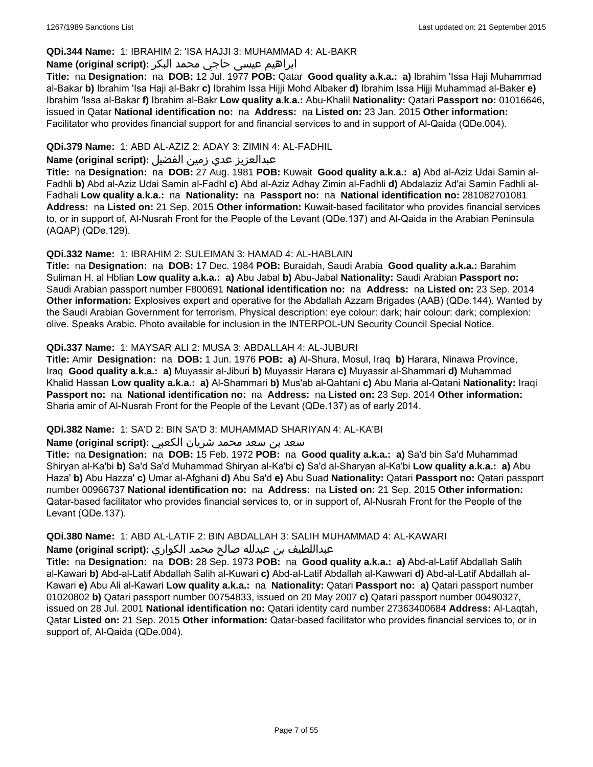#### **QDi.344 Name:** 1: IBRAHIM 2: 'ISA HAJJI 3: MUHAMMAD 4: AL-BAKR

## ابراهیم عیسی حاجي محمد البکر **:(script original (Name**

**Title:** na **Designation:** na **DOB:** 12 Jul. 1977 **POB:** Qatar **Good quality a.k.a.: a)** Ibrahim 'Issa Haji Muhammad al-Bakar **b)** Ibrahim 'Isa Haji al-Bakr **c)** Ibrahim Issa Hijji Mohd Albaker **d)** Ibrahim Issa Hijji Muhammad al-Baker **e)** Ibrahim 'Issa al-Bakar **f)** Ibrahim al-Bakr **Low quality a.k.a.:** Abu-Khalil **Nationality:** Qatari **Passport no:** 01016646, issued in Qatar **National identification no:** na **Address:** na **Listed on:** 23 Jan. 2015 **Other information:** Facilitator who provides financial support for and financial services to and in support of Al-Qaida (QDe.004).

## **QDi.379 Name:** 1: ABD AL-AZIZ 2: ADAY 3: ZIMIN 4: AL-FADHIL

## عبدالعزیز عدي زمین الفضیل **:(script original (Name**

**Title:** na **Designation:** na **DOB:** 27 Aug. 1981 **POB:** Kuwait **Good quality a.k.a.: a)** Abd al-Aziz Udai Samin al-Fadhli **b)** Abd al-Aziz Udai Samin al-Fadhl **c)** Abd al-Aziz Adhay Zimin al-Fadhli **d)** Abdalaziz Ad'ai Samin Fadhli al-Fadhali **Low quality a.k.a.:** na **Nationality:** na **Passport no:** na **National identification no:** 281082701081 **Address:** na **Listed on:** 21 Sep. 2015 **Other information:** Kuwait-based facilitator who provides financial services to, or in support of, Al-Nusrah Front for the People of the Levant (QDe.137) and Al-Qaida in the Arabian Peninsula (AQAP) (QDe.129).

#### **QDi.332 Name:** 1: IBRAHIM 2: SULEIMAN 3: HAMAD 4: AL-HABLAIN

**Title:** na **Designation:** na **DOB:** 17 Dec. 1984 **POB:** Buraidah, Saudi Arabia **Good quality a.k.a.:** Barahim Suliman H. al Hblian **Low quality a.k.a.: a)** Abu Jabal **b)** Abu-Jabal **Nationality:** Saudi Arabian **Passport no:** Saudi Arabian passport number F800691 **National identification no:** na **Address:** na **Listed on:** 23 Sep. 2014 **Other information:** Explosives expert and operative for the Abdallah Azzam Brigades (AAB) (QDe.144). Wanted by the Saudi Arabian Government for terrorism. Physical description: eye colour: dark; hair colour: dark; complexion: olive. Speaks Arabic. Photo available for inclusion in the INTERPOL-UN Security Council Special Notice.

#### **QDi.337 Name:** 1: MAYSAR ALI 2: MUSA 3: ABDALLAH 4: AL-JUBURI

**Title:** Amir **Designation:** na **DOB:** 1 Jun. 1976 **POB: a)** Al-Shura, Mosul, Iraq **b)** Harara, Ninawa Province, Iraq **Good quality a.k.a.: a)** Muyassir al-Jiburi **b)** Muyassir Harara **c)** Muyassir al-Shammari **d)** Muhammad Khalid Hassan **Low quality a.k.a.: a)** Al-Shammari **b)** Mus'ab al-Qahtani **c)** Abu Maria al-Qatani **Nationality:** Iraqi **Passport no:** na **National identification no:** na **Address:** na **Listed on:** 23 Sep. 2014 **Other information:** Sharia amir of Al-Nusrah Front for the People of the Levant (QDe.137) as of early 2014.

#### **QDi.382 Name:** 1: SA'D 2: BIN SA'D 3: MUHAMMAD SHARIYAN 4: AL-KA'BI

#### سعد بن سعد محمد شریان الكعبي **:(script original (Name**

**Title:** na **Designation:** na **DOB:** 15 Feb. 1972 **POB:** na **Good quality a.k.a.: a)** Sa'd bin Sa'd Muhammad Shiryan al-Ka'bi **b)** Sa'd Sa'd Muhammad Shiryan al-Ka'bi **c)** Sa'd al-Sharyan al-Ka'bi **Low quality a.k.a.: a)** Abu Haza' **b)** Abu Hazza' **c)** Umar al-Afghani **d)** Abu Sa'd **e)** Abu Suad **Nationality:** Qatari **Passport no:** Qatari passport number 00966737 **National identification no:** na **Address:** na **Listed on:** 21 Sep. 2015 **Other information:** Qatar-based facilitator who provides financial services to, or in support of, Al-Nusrah Front for the People of the Levant (QDe.137).

# **QDi.380 Name:** 1: ABD AL-LATIF 2: BIN ABDALLAH 3: SALIH MUHAMMAD 4: AL-KAWARI

## عبداللطیف بن عبدلله صالح محمد الكواري **:(script original (Name**

**Title:** na **Designation:** na **DOB:** 28 Sep. 1973 **POB:** na **Good quality a.k.a.: a)** Abd-al-Latif Abdallah Salih al-Kawari **b)** Abd-al-Latif Abdallah Salih al-Kuwari **c)** Abd-al-Latif Abdallah al-Kawwari **d)** Abd-al-Latif Abdallah al-Kawari **e)** Abu Ali al-Kawari **Low quality a.k.a.:** na **Nationality:** Qatari **Passport no: a)** Qatari passport number 01020802 **b)** Qatari passport number 00754833, issued on 20 May 2007 **c)** Qatari passport number 00490327, issued on 28 Jul. 2001 **National identification no:** Qatari identity card number 27363400684 **Address:** Al-Laqtah, Qatar **Listed on:** 21 Sep. 2015 **Other information:** Qatar-based facilitator who provides financial services to, or in support of, Al-Qaida (QDe.004).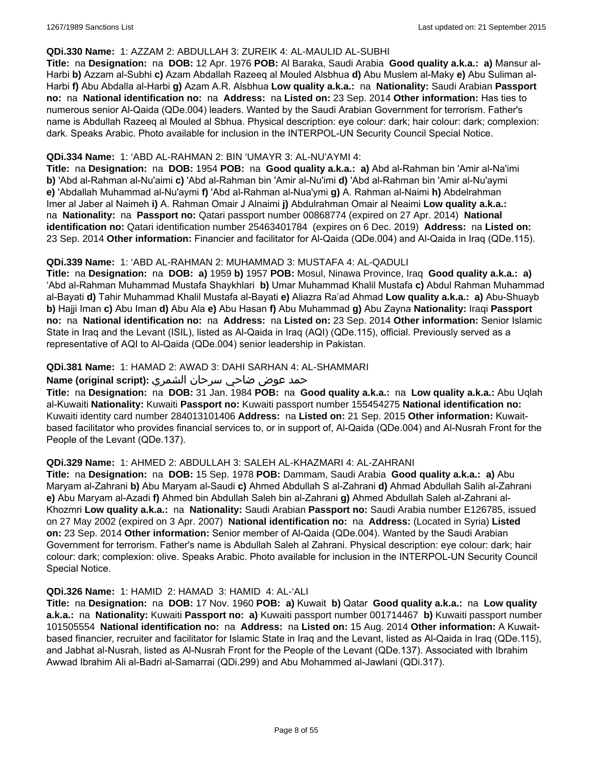#### **QDi.330 Name:** 1: AZZAM 2: ABDULLAH 3: ZUREIK 4: AL-MAULID AL-SUBHI

**Title:** na **Designation:** na **DOB:** 12 Apr. 1976 **POB:** Al Baraka, Saudi Arabia **Good quality a.k.a.: a)** Mansur al-Harbi **b)** Azzam al-Subhi **c)** Azam Abdallah Razeeq al Mouled Alsbhua **d)** Abu Muslem al-Maky **e)** Abu Suliman al-Harbi **f)** Abu Abdalla al-Harbi **g)** Azam A.R. Alsbhua **Low quality a.k.a.:** na **Nationality:** Saudi Arabian **Passport no:** na **National identification no:** na **Address:** na **Listed on:** 23 Sep. 2014 **Other information:** Has ties to numerous senior Al-Qaida (QDe.004) leaders. Wanted by the Saudi Arabian Government for terrorism. Father's name is Abdullah Razeeq al Mouled al Sbhua. Physical description: eye colour: dark; hair colour: dark; complexion: dark. Speaks Arabic. Photo available for inclusion in the INTERPOL-UN Security Council Special Notice.

#### **QDi.334 Name:** 1: 'ABD AL-RAHMAN 2: BIN 'UMAYR 3: AL-NU'AYMI 4:

**Title:** na **Designation:** na **DOB:** 1954 **POB:** na **Good quality a.k.a.: a)** Abd al-Rahman bin 'Amir al-Na'imi **b)** 'Abd al-Rahman al-Nu'aimi **c)** 'Abd al-Rahman bin 'Amir al-Nu'imi **d)** 'Abd al-Rahman bin 'Amir al-Nu'aymi **e)** 'Abdallah Muhammad al-Nu'aymi **f)** 'Abd al-Rahman al-Nua'ymi **g)** A. Rahman al-Naimi **h)** Abdelrahman Imer al Jaber al Naimeh **i)** A. Rahman Omair J Alnaimi **j)** Abdulrahman Omair al Neaimi **Low quality a.k.a.:**  na **Nationality:** na **Passport no:** Qatari passport number 00868774 (expired on 27 Apr. 2014) **National identification no:** Qatari identification number 25463401784 (expires on 6 Dec. 2019) **Address:** na **Listed on:** 23 Sep. 2014 **Other information:** Financier and facilitator for Al-Qaida (QDe.004) and Al-Qaida in Iraq (QDe.115).

## **QDi.339 Name:** 1: 'ABD AL-RAHMAN 2: MUHAMMAD 3: MUSTAFA 4: AL-QADULI

**Title:** na **Designation:** na **DOB: a)** 1959 **b)** 1957 **POB:** Mosul, Ninawa Province, Iraq **Good quality a.k.a.: a)** 'Abd al-Rahman Muhammad Mustafa Shaykhlari **b)** Umar Muhammad Khalil Mustafa **c)** Abdul Rahman Muhammad al-Bayati **d)** Tahir Muhammad Khalil Mustafa al-Bayati **e)** Aliazra Ra'ad Ahmad **Low quality a.k.a.: a)** Abu-Shuayb **b)** Hajji Iman **c)** Abu Iman **d)** Abu Ala **e)** Abu Hasan **f)** Abu Muhammad **g)** Abu Zayna **Nationality:** Iraqi **Passport no:** na **National identification no:** na **Address:** na **Listed on:** 23 Sep. 2014 **Other information:** Senior Islamic State in Iraq and the Levant (ISIL), listed as Al-Qaida in Iraq (AQI) (QDe.115), official. Previously served as a representative of AQI to Al-Qaida (QDe.004) senior leadership in Pakistan.

#### **QDi.381 Name:** 1: HAMAD 2: AWAD 3: DAHI SARHAN 4: AL-SHAMMARI

#### حمد عوض ضاحي سرحان الشمري **:(script original (Name**

**Title:** na **Designation:** na **DOB:** 31 Jan. 1984 **POB:** na **Good quality a.k.a.:** na **Low quality a.k.a.:** Abu Uqlah al-Kuwaiti **Nationality:** Kuwaiti **Passport no:** Kuwaiti passport number 155454275 **National identification no:** Kuwaiti identity card number 284013101406 **Address:** na **Listed on:** 21 Sep. 2015 **Other information:** Kuwaitbased facilitator who provides financial services to, or in support of, Al-Qaida (QDe.004) and Al-Nusrah Front for the People of the Levant (QDe.137).

#### **QDi.329 Name:** 1: AHMED 2: ABDULLAH 3: SALEH AL-KHAZMARI 4: AL-ZAHRANI

**Title:** na **Designation:** na **DOB:** 15 Sep. 1978 **POB:** Dammam, Saudi Arabia **Good quality a.k.a.: a)** Abu Maryam al-Zahrani **b)** Abu Maryam al-Saudi **c)** Ahmed Abdullah S al-Zahrani **d)** Ahmad Abdullah Salih al-Zahrani **e)** Abu Maryam al-Azadi **f)** Ahmed bin Abdullah Saleh bin al-Zahrani **g)** Ahmed Abdullah Saleh al-Zahrani al-Khozmri **Low quality a.k.a.:** na **Nationality:** Saudi Arabian **Passport no:** Saudi Arabia number E126785, issued on 27 May 2002 (expired on 3 Apr. 2007) **National identification no:** na **Address:** (Located in Syria) **Listed on:** 23 Sep. 2014 **Other information:** Senior member of Al-Qaida (QDe.004). Wanted by the Saudi Arabian Government for terrorism. Father's name is Abdullah Saleh al Zahrani. Physical description: eye colour: dark; hair colour: dark; complexion: olive. Speaks Arabic. Photo available for inclusion in the INTERPOL-UN Security Council Special Notice.

#### **QDi.326 Name:** 1: HAMID 2: HAMAD 3: HAMID 4: AL-'ALI

**Title:** na **Designation:** na **DOB:** 17 Nov. 1960 **POB: a)** Kuwait **b)** Qatar **Good quality a.k.a.:** na **Low quality a.k.a.:** na **Nationality:** Kuwaiti **Passport no: a)** Kuwaiti passport number 001714467 **b)** Kuwaiti passport number 101505554 **National identification no:** na **Address:** na **Listed on:** 15 Aug. 2014 **Other information:** A Kuwaitbased financier, recruiter and facilitator for Islamic State in Iraq and the Levant, listed as Al-Qaida in Iraq (QDe.115), and Jabhat al-Nusrah, listed as Al-Nusrah Front for the People of the Levant (QDe.137). Associated with Ibrahim Awwad Ibrahim Ali al-Badri al-Samarrai (QDi.299) and Abu Mohammed al-Jawlani (QDi.317).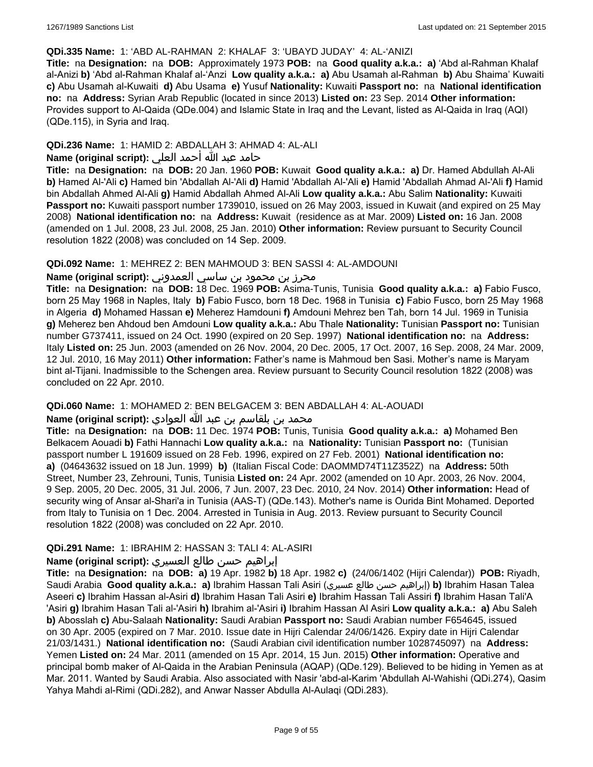#### **QDi.335 Name:** 1: 'ABD AL-RAHMAN 2: KHALAF 3: 'UBAYD JUDAY' 4: AL-'ANIZI

**Title:** na **Designation:** na **DOB:** Approximately 1973 **POB:** na **Good quality a.k.a.: a)** 'Abd al-Rahman Khalaf al-Anizi **b)** 'Abd al-Rahman Khalaf al-'Anzi **Low quality a.k.a.: a)** Abu Usamah al-Rahman **b)** Abu Shaima' Kuwaiti **c)** Abu Usamah al-Kuwaiti **d)** Abu Usama **e)** Yusuf **Nationality:** Kuwaiti **Passport no:** na **National identification no:** na **Address:** Syrian Arab Republic (located in since 2013) **Listed on:** 23 Sep. 2014 **Other information:** Provides support to Al-Qaida (QDe.004) and Islamic State in Iraq and the Levant, listed as Al-Qaida in Iraq (AQI) (QDe.115), in Syria and Iraq.

#### **QDi.236 Name:** 1: HAMID 2: ABDALLAH 3: AHMAD 4: AL-ALI

## حامد عبد الله أحمد العلي **:(script original (Name**

**Title:** na **Designation:** na **DOB:** 20 Jan. 1960 **POB:** Kuwait **Good quality a.k.a.: a)** Dr. Hamed Abdullah Al-Ali **b)** Hamed Al-'Ali **c)** Hamed bin 'Abdallah Al-'Ali **d)** Hamid 'Abdallah Al-'Ali **e)** Hamid 'Abdallah Ahmad Al-'Ali **f)** Hamid bin Abdallah Ahmed Al-Ali **g)** Hamid Abdallah Ahmed Al-Ali **Low quality a.k.a.:** Abu Salim **Nationality:** Kuwaiti **Passport no:** Kuwaiti passport number 1739010, issued on 26 May 2003, issued in Kuwait (and expired on 25 May 2008) **National identification no:** na **Address:** Kuwait (residence as at Mar. 2009) **Listed on:** 16 Jan. 2008 (amended on 1 Jul. 2008, 23 Jul. 2008, 25 Jan. 2010) **Other information:** Review pursuant to Security Council resolution 1822 (2008) was concluded on 14 Sep. 2009.

#### **QDi.092 Name:** 1: MEHREZ 2: BEN MAHMOUD 3: BEN SASSI 4: AL-AMDOUNI

## محرز بن محمود بن ساسي العمدوني **:Name (original script**)

**Title:** na **Designation:** na **DOB:** 18 Dec. 1969 **POB:** Asima-Tunis, Tunisia **Good quality a.k.a.: a)** Fabio Fusco, born 25 May 1968 in Naples, Italy **b)** Fabio Fusco, born 18 Dec. 1968 in Tunisia **c)** Fabio Fusco, born 25 May 1968 in Algeria **d)** Mohamed Hassan **e)** Meherez Hamdouni **f)** Amdouni Mehrez ben Tah, born 14 Jul. 1969 in Tunisia **g)** Meherez ben Ahdoud ben Amdouni **Low quality a.k.a.:** Abu Thale **Nationality:** Tunisian **Passport no:** Tunisian number G737411, issued on 24 Oct. 1990 (expired on 20 Sep. 1997) **National identification no:** na **Address:** Italy **Listed on:** 25 Jun. 2003 (amended on 26 Nov. 2004, 20 Dec. 2005, 17 Oct. 2007, 16 Sep. 2008, 24 Mar. 2009, 12 Jul. 2010, 16 May 2011) **Other information:** Father's name is Mahmoud ben Sasi. Mother's name is Maryam bint al-Tijani. Inadmissible to the Schengen area. Review pursuant to Security Council resolution 1822 (2008) was concluded on 22 Apr. 2010.

#### **QDi.060 Name:** 1: MOHAMED 2: BEN BELGACEM 3: BEN ABDALLAH 4: AL-AOUADI

## محمد بن بلقاسم بن عبد الله العوادي **:Name (original script)**

**Title:** na **Designation:** na **DOB:** 11 Dec. 1974 **POB:** Tunis, Tunisia **Good quality a.k.a.: a)** Mohamed Ben Belkacem Aouadi **b)** Fathi Hannachi **Low quality a.k.a.:** na **Nationality:** Tunisian **Passport no:** (Tunisian passport number L 191609 issued on 28 Feb. 1996, expired on 27 Feb. 2001) **National identification no: a)** (04643632 issued on 18 Jun. 1999) **b)** (Italian Fiscal Code: DAOMMD74T11Z352Z) na **Address:** 50th Street, Number 23, Zehrouni, Tunis, Tunisia **Listed on:** 24 Apr. 2002 (amended on 10 Apr. 2003, 26 Nov. 2004, 9 Sep. 2005, 20 Dec. 2005, 31 Jul. 2006, 7 Jun. 2007, 23 Dec. 2010, 24 Nov. 2014) **Other information:** Head of security wing of Ansar al-Shari'a in Tunisia (AAS-T) (QDe.143). Mother's name is Ourida Bint Mohamed. Deported from Italy to Tunisia on 1 Dec. 2004. Arrested in Tunisia in Aug. 2013. Review pursuant to Security Council resolution 1822 (2008) was concluded on 22 Apr. 2010.

## **QDi.291 Name:** 1: IBRAHIM 2: HASSAN 3: TALI 4: AL-ASIRI

#### إبراهيم حسن طالع العسيري **:(script original (Name**

**Title:** na **Designation:** na **DOB: a)** 19 Apr. 1982 **b)** 18 Apr. 1982 **c)** (24/06/1402 (Hijri Calendar)) **POB:** Riyadh, Saudi Arabia **Good quality a.k.a.: a)** Ibrahim Hassan Tali Asiri (عسيري طالع حسن إبراهيم(**b)** Ibrahim Hasan Talea Aseeri **c)** Ibrahim Hassan al-Asiri **d)** Ibrahim Hasan Tali Asiri **e)** Ibrahim Hassan Tali Assiri **f)** Ibrahim Hasan Tali'A 'Asiri **g)** Ibrahim Hasan Tali al-'Asiri **h)** Ibrahim al-'Asiri **i)** Ibrahim Hassan Al Asiri **Low quality a.k.a.: a)** Abu Saleh **b)** Abosslah **c)** Abu-Salaah **Nationality:** Saudi Arabian **Passport no:** Saudi Arabian number F654645, issued on 30 Apr. 2005 (expired on 7 Mar. 2010. Issue date in Hijri Calendar 24/06/1426. Expiry date in Hijri Calendar 21/03/1431.) **National identification no:** (Saudi Arabian civil identification number 1028745097) na **Address:** Yemen **Listed on:** 24 Mar. 2011 (amended on 15 Apr. 2014, 15 Jun. 2015) **Other information:** Operative and principal bomb maker of Al-Qaida in the Arabian Peninsula (AQAP) (QDe.129). Believed to be hiding in Yemen as at Mar. 2011. Wanted by Saudi Arabia. Also associated with Nasir 'abd-al-Karim 'Abdullah Al-Wahishi (QDi.274), Qasim Yahya Mahdi al-Rimi (QDi.282), and Anwar Nasser Abdulla Al-Aulaqi (QDi.283).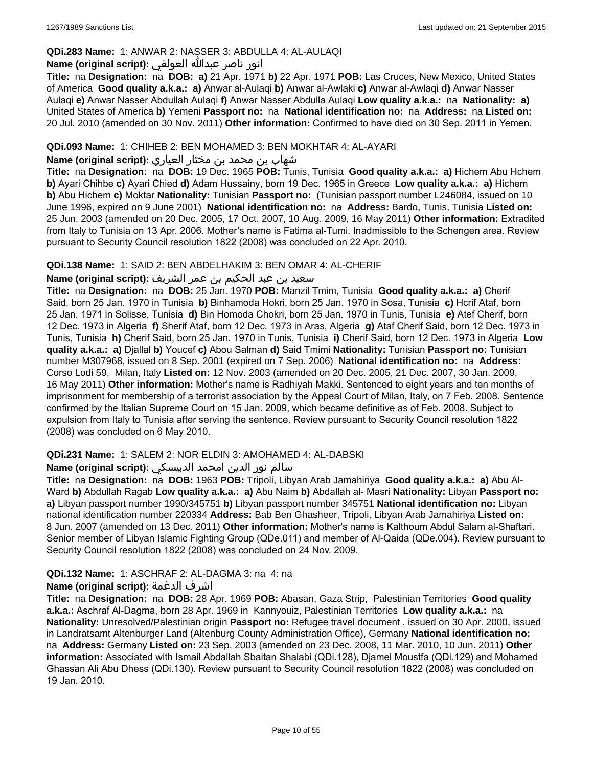## **QDi.283 Name:** 1: ANWAR 2: NASSER 3: ABDULLA 4: AL-AULAQI

## انور ناصر عبدالله العولقي **:(script original (Name**

**Title:** na **Designation:** na **DOB: a)** 21 Apr. 1971 **b)** 22 Apr. 1971 **POB:** Las Cruces, New Mexico, United States of America **Good quality a.k.a.: a)** Anwar al-Aulaqi **b)** Anwar al-Awlaki **c)** Anwar al-Awlaqi **d)** Anwar Nasser Aulaqi **e)** Anwar Nasser Abdullah Aulaqi **f)** Anwar Nasser Abdulla Aulaqi **Low quality a.k.a.:** na **Nationality: a)** United States of America **b)** Yemeni **Passport no:** na **National identification no:** na **Address:** na **Listed on:** 20 Jul. 2010 (amended on 30 Nov. 2011) **Other information:** Confirmed to have died on 30 Sep. 2011 in Yemen.

#### **QDi.093 Name:** 1: CHIHEB 2: BEN MOHAMED 3: BEN MOKHTAR 4: AL-AYARI

شهاب بن محمد بن مختار العياري **:(script original (Name**

**Title:** na **Designation:** na **DOB:** 19 Dec. 1965 **POB:** Tunis, Tunisia **Good quality a.k.a.: a)** Hichem Abu Hchem **b)** Ayari Chihbe **c)** Ayari Chied **d)** Adam Hussainy, born 19 Dec. 1965 in Greece **Low quality a.k.a.: a)** Hichem **b)** Abu Hichem **c)** Moktar **Nationality:** Tunisian **Passport no:** (Tunisian passport number L246084, issued on 10 June 1996, expired on 9 June 2001) **National identification no:** na **Address:** Bardo, Tunis, Tunisia **Listed on:** 25 Jun. 2003 (amended on 20 Dec. 2005, 17 Oct. 2007, 10 Aug. 2009, 16 May 2011) **Other information:** Extradited from Italy to Tunisia on 13 Apr. 2006. Mother's name is Fatima al-Tumi. Inadmissible to the Schengen area. Review pursuant to Security Council resolution 1822 (2008) was concluded on 22 Apr. 2010.

#### **QDi.138 Name:** 1: SAID 2: BEN ABDELHAKIM 3: BEN OMAR 4: AL-CHERIF

#### سعيد بن عبد الحكيم بن عمر الشريف **:(script original (Name**

**Title:** na **Designation:** na **DOB:** 25 Jan. 1970 **POB:** Manzil Tmim, Tunisia **Good quality a.k.a.: a)** Cherif Said, born 25 Jan. 1970 in Tunisia **b)** Binhamoda Hokri, born 25 Jan. 1970 in Sosa, Tunisia **c)** Hcrif Ataf, born 25 Jan. 1971 in Solisse, Tunisia **d)** Bin Homoda Chokri, born 25 Jan. 1970 in Tunis, Tunisia **e)** Atef Cherif, born 12 Dec. 1973 in Algeria **f)** Sherif Ataf, born 12 Dec. 1973 in Aras, Algeria **g)** Ataf Cherif Said, born 12 Dec. 1973 in Tunis, Tunisia **h)** Cherif Said, born 25 Jan. 1970 in Tunis, Tunisia **i)** Cherif Said, born 12 Dec. 1973 in Algeria **Low quality a.k.a.: a)** Djallal **b)** Youcef **c)** Abou Salman **d)** Said Tmimi **Nationality:** Tunisian **Passport no:** Tunisian number M307968, issued on 8 Sep. 2001 (expired on 7 Sep. 2006) **National identification no:** na **Address:** Corso Lodi 59, Milan, Italy **Listed on:** 12 Nov. 2003 (amended on 20 Dec. 2005, 21 Dec. 2007, 30 Jan. 2009, 16 May 2011) **Other information:** Mother's name is Radhiyah Makki. Sentenced to eight years and ten months of imprisonment for membership of a terrorist association by the Appeal Court of Milan, Italy, on 7 Feb. 2008. Sentence confirmed by the Italian Supreme Court on 15 Jan. 2009, which became definitive as of Feb. 2008. Subject to expulsion from Italy to Tunisia after serving the sentence. Review pursuant to Security Council resolution 1822 (2008) was concluded on 6 May 2010.

## **QDi.231 Name:** 1: SALEM 2: NOR ELDIN 3: AMOHAMED 4: AL-DABSKI

## سالم نور الدين امحمد الدبيسكي **:Name (original script)**

**Title:** na **Designation:** na **DOB:** 1963 **POB:** Tripoli, Libyan Arab Jamahiriya **Good quality a.k.a.: a)** Abu Al-Ward **b)** Abdullah Ragab **Low quality a.k.a.: a)** Abu Naim **b)** Abdallah al- Masri **Nationality:** Libyan **Passport no: a)** Libyan passport number 1990/345751 **b)** Libyan passport number 345751 **National identification no:** Libyan national identification number 220334 **Address:** Bab Ben Ghasheer, Tripoli, Libyan Arab Jamahiriya **Listed on:** 8 Jun. 2007 (amended on 13 Dec. 2011) **Other information:** Mother's name is Kalthoum Abdul Salam al-Shaftari. Senior member of Libyan Islamic Fighting Group (QDe.011) and member of Al-Qaida (QDe.004). Review pursuant to Security Council resolution 1822 (2008) was concluded on 24 Nov. 2009.

## **QDi.132 Name:** 1: ASCHRAF 2: AL-DAGMA 3: na 4: na

## **Name (original script):** الدغمة اشرف

**Title:** na **Designation:** na **DOB:** 28 Apr. 1969 **POB:** Abasan, Gaza Strip, Palestinian Territories **Good quality a.k.a.:** Aschraf Al-Dagma, born 28 Apr. 1969 in Kannyouiz, Palestinian Territories **Low quality a.k.a.:** na **Nationality:** Unresolved/Palestinian origin **Passport no:** Refugee travel document , issued on 30 Apr. 2000, issued in Landratsamt Altenburger Land (Altenburg County Administration Office), Germany **National identification no:**  na **Address:** Germany **Listed on:** 23 Sep. 2003 (amended on 23 Dec. 2008, 11 Mar. 2010, 10 Jun. 2011) **Other information:** Associated with Ismail Abdallah Sbaitan Shalabi (QDi.128), Djamel Moustfa (QDi.129) and Mohamed Ghassan Ali Abu Dhess (QDi.130). Review pursuant to Security Council resolution 1822 (2008) was concluded on 19 Jan. 2010.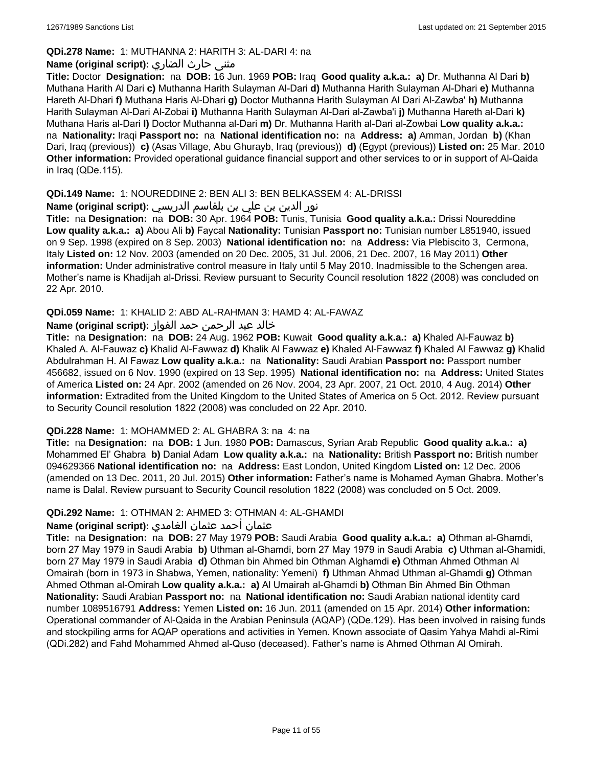## **QDi.278 Name:** 1: MUTHANNA 2: HARITH 3: AL-DARI 4: na

## **مثنى حارث الضاري :(Name (original script**

**Title:** Doctor **Designation:** na **DOB:** 16 Jun. 1969 **POB:** Iraq **Good quality a.k.a.: a)** Dr. Muthanna Al Dari **b)** Muthana Harith Al Dari **c)** Muthanna Harith Sulayman Al-Dari **d)** Muthanna Harith Sulayman Al-Dhari **e)** Muthanna Hareth Al-Dhari **f)** Muthana Haris Al-Dhari **g)** Doctor Muthanna Harith Sulayman Al Dari Al-Zawba' **h)** Muthanna Harith Sulayman Al-Dari Al-Zobai **i)** Muthanna Harith Sulayman Al-Dari al-Zawba'i **j)** Muthanna Hareth al-Dari **k)** Muthana Haris al-Dari **l)** Doctor Muthanna al-Dari **m)** Dr. Muthanna Harith al-Dari al-Zowbai **Low quality a.k.a.:**  na **Nationality:** Iraqi **Passport no:** na **National identification no:** na **Address: a)** Amman, Jordan **b)** (Khan Dari, Iraq (previous)) **c)** (Asas Village, Abu Ghurayb, Iraq (previous)) **d)** (Egypt (previous)) **Listed on:** 25 Mar. 2010 **Other information:** Provided operational guidance financial support and other services to or in support of Al-Qaida in Iraq (QDe.115).

## **QDi.149 Name:** 1: NOUREDDINE 2: BEN ALI 3: BEN BELKASSEM 4: AL-DRISSI

نور الدين بن علي بن بلقاسم الدريسي **:(script original (Name**

**Title:** na **Designation:** na **DOB:** 30 Apr. 1964 **POB:** Tunis, Tunisia **Good quality a.k.a.:** Drissi Noureddine **Low quality a.k.a.: a)** Abou Ali **b)** Faycal **Nationality:** Tunisian **Passport no:** Tunisian number L851940, issued on 9 Sep. 1998 (expired on 8 Sep. 2003) **National identification no:** na **Address:** Via Plebiscito 3, Cermona, Italy **Listed on:** 12 Nov. 2003 (amended on 20 Dec. 2005, 31 Jul. 2006, 21 Dec. 2007, 16 May 2011) **Other information:** Under administrative control measure in Italy until 5 May 2010. Inadmissible to the Schengen area. Mother's name is Khadijah al-Drissi. Review pursuant to Security Council resolution 1822 (2008) was concluded on 22 Apr. 2010.

## **QDi.059 Name:** 1: KHALID 2: ABD AL-RAHMAN 3: HAMD 4: AL-FAWAZ

## خالد عبد الرحمن حمد الفواز **:(script original (Name**

**Title:** na **Designation:** na **DOB:** 24 Aug. 1962 **POB:** Kuwait **Good quality a.k.a.: a)** Khaled Al-Fauwaz **b)** Khaled A. Al-Fauwaz **c)** Khalid Al-Fawwaz **d)** Khalik Al Fawwaz **e)** Khaled Al-Fawwaz **f)** Khaled Al Fawwaz **g)** Khalid Abdulrahman H. Al Fawaz **Low quality a.k.a.:** na **Nationality:** Saudi Arabian **Passport no:** Passport number 456682, issued on 6 Nov. 1990 (expired on 13 Sep. 1995) **National identification no:** na **Address:** United States of America **Listed on:** 24 Apr. 2002 (amended on 26 Nov. 2004, 23 Apr. 2007, 21 Oct. 2010, 4 Aug. 2014) **Other information:** Extradited from the United Kingdom to the United States of America on 5 Oct. 2012. Review pursuant to Security Council resolution 1822 (2008) was concluded on 22 Apr. 2010.

## **QDi.228 Name:** 1: MOHAMMED 2: AL GHABRA 3: na 4: na

**Title:** na **Designation:** na **DOB:** 1 Jun. 1980 **POB:** Damascus, Syrian Arab Republic **Good quality a.k.a.: a)** Mohammed El' Ghabra **b)** Danial Adam **Low quality a.k.a.:** na **Nationality:** British **Passport no:** British number 094629366 **National identification no:** na **Address:** East London, United Kingdom **Listed on:** 12 Dec. 2006 (amended on 13 Dec. 2011, 20 Jul. 2015) **Other information:** Father's name is Mohamed Ayman Ghabra. Mother's name is Dalal. Review pursuant to Security Council resolution 1822 (2008) was concluded on 5 Oct. 2009.

## **QDi.292 Name:** 1: OTHMAN 2: AHMED 3: OTHMAN 4: AL-GHAMDI

## عثمان أحمد عثمان الغامدي **:(script original (Name**

**Title:** na **Designation:** na **DOB:** 27 May 1979 **POB:** Saudi Arabia **Good quality a.k.a.: a)** Othman al-Ghamdi, born 27 May 1979 in Saudi Arabia **b)** Uthman al-Ghamdi, born 27 May 1979 in Saudi Arabia **c)** Uthman al-Ghamidi, born 27 May 1979 in Saudi Arabia **d)** Othman bin Ahmed bin Othman Alghamdi **e)** Othman Ahmed Othman Al Omairah (born in 1973 in Shabwa, Yemen, nationality: Yemeni) **f)** Uthman Ahmad Uthman al-Ghamdi **g)** Othman Ahmed Othman al-Omirah **Low quality a.k.a.: a)** Al Umairah al-Ghamdi **b)** Othman Bin Ahmed Bin Othman **Nationality:** Saudi Arabian **Passport no:** na **National identification no:** Saudi Arabian national identity card number 1089516791 **Address:** Yemen **Listed on:** 16 Jun. 2011 (amended on 15 Apr. 2014) **Other information:** Operational commander of Al-Qaida in the Arabian Peninsula (AQAP) (QDe.129). Has been involved in raising funds and stockpiling arms for AQAP operations and activities in Yemen. Known associate of Qasim Yahya Mahdi al-Rimi (QDi.282) and Fahd Mohammed Ahmed al-Quso (deceased). Father's name is Ahmed Othman Al Omirah.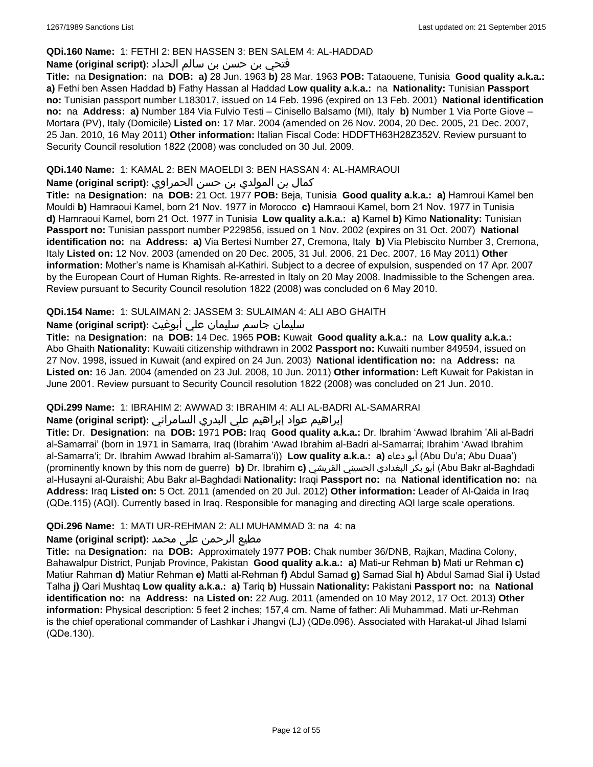#### **QDi.160 Name:** 1: FETHI 2: BEN HASSEN 3: BEN SALEM 4: AL-HADDAD

## فتحي بن حسن بن سالم الحداد **:(script original (Name**

**Title:** na **Designation:** na **DOB: a)** 28 Jun. 1963 **b)** 28 Mar. 1963 **POB:** Tataouene, Tunisia **Good quality a.k.a.: a)** Fethi ben Assen Haddad **b)** Fathy Hassan al Haddad **Low quality a.k.a.:** na **Nationality:** Tunisian **Passport no:** Tunisian passport number L183017, issued on 14 Feb. 1996 (expired on 13 Feb. 2001) **National identification no:** na **Address: a)** Number 184 Via Fulvio Testi – Cinisello Balsamo (MI), Italy **b)** Number 1 Via Porte Giove – Mortara (PV), Italy (Domicile) **Listed on:** 17 Mar. 2004 (amended on 26 Nov. 2004, 20 Dec. 2005, 21 Dec. 2007, 25 Jan. 2010, 16 May 2011) **Other information:** Italian Fiscal Code: HDDFTH63H28Z352V. Review pursuant to Security Council resolution 1822 (2008) was concluded on 30 Jul. 2009.

## **QDi.140 Name:** 1: KAMAL 2: BEN MAOELDI 3: BEN HASSAN 4: AL-HAMRAOUI

#### كمال بن المولدي بن حسن الحمراوي **:Name (original script**)

**Title:** na **Designation:** na **DOB:** 21 Oct. 1977 **POB:** Beja, Tunisia **Good quality a.k.a.: a)** Hamroui Kamel ben Mouldi **b)** Hamraoui Kamel, born 21 Nov. 1977 in Morocco **c)** Hamraoui Kamel, born 21 Nov. 1977 in Tunisia **d)** Hamraoui Kamel, born 21 Oct. 1977 in Tunisia **Low quality a.k.a.: a)** Kamel **b)** Kimo **Nationality:** Tunisian **Passport no:** Tunisian passport number P229856, issued on 1 Nov. 2002 (expires on 31 Oct. 2007) **National identification no:** na **Address: a)** Via Bertesi Number 27, Cremona, Italy **b)** Via Plebiscito Number 3, Cremona, Italy **Listed on:** 12 Nov. 2003 (amended on 20 Dec. 2005, 31 Jul. 2006, 21 Dec. 2007, 16 May 2011) **Other information:** Mother's name is Khamisah al-Kathiri. Subject to a decree of expulsion, suspended on 17 Apr. 2007 by the European Court of Human Rights. Re-arrested in Italy on 20 May 2008. Inadmissible to the Schengen area. Review pursuant to Security Council resolution 1822 (2008) was concluded on 6 May 2010.

## **QDi.154 Name:** 1: SULAIMAN 2: JASSEM 3: SULAIMAN 4: ALI ABO GHAITH

## سليمان جاسم سليمان علي أبوغيث **:(script original (Name**

**Title:** na **Designation:** na **DOB:** 14 Dec. 1965 **POB:** Kuwait **Good quality a.k.a.:** na **Low quality a.k.a.:** Abo Ghaith **Nationality:** Kuwaiti citizenship withdrawn in 2002 **Passport no:** Kuwaiti number 849594, issued on 27 Nov. 1998, issued in Kuwait (and expired on 24 Jun. 2003) **National identification no:** na **Address:** na **Listed on:** 16 Jan. 2004 (amended on 23 Jul. 2008, 10 Jun. 2011) **Other information:** Left Kuwait for Pakistan in June 2001. Review pursuant to Security Council resolution 1822 (2008) was concluded on 21 Jun. 2010.

#### **QDi.299 Name:** 1: IBRAHIM 2: AWWAD 3: IBRAHIM 4: ALI AL-BADRI AL-SAMARRAI

## إبراهيم عواد إبراهيم علي البدري السامرائي **:(script original (Name**

**Title:** Dr. **Designation:** na **DOB:** 1971 **POB:** Iraq **Good quality a.k.a.:** Dr. Ibrahim 'Awwad Ibrahim 'Ali al-Badri al-Samarrai' (born in 1971 in Samarra, Iraq (Ibrahim 'Awad Ibrahim al-Badri al-Samarrai; Ibrahim 'Awad Ibrahim al-Samarra'i; Dr. Ibrahim Awwad Ibrahim al-Samarra'i)) **Low quality a.k.a.: a)** دعاء أبو) Abu Du'a; Abu Duaa') (prominently known by this nom de guerre) **b)** Dr. Ibrahim **c)** القريشي الحسيني البغدادي بكر أبو) Abu Bakr al-Baghdadi al-Husayni al-Quraishi; Abu Bakr al-Baghdadi **Nationality:** Iraqi **Passport no:** na **National identification no:** na **Address:** Iraq **Listed on:** 5 Oct. 2011 (amended on 20 Jul. 2012) **Other information:** Leader of Al-Qaida in Iraq (QDe.115) (AQI). Currently based in Iraq. Responsible for managing and directing AQI large scale operations.

#### **QDi.296 Name:** 1: MATI UR-REHMAN 2: ALI MUHAMMAD 3: na 4: na

## مطیع الرحمن علی محمد **:Name (original script)**

**Title:** na **Designation:** na **DOB:** Approximately 1977 **POB:** Chak number 36/DNB, Rajkan, Madina Colony, Bahawalpur District, Punjab Province, Pakistan **Good quality a.k.a.: a)** Mati-ur Rehman **b)** Mati ur Rehman **c)** Matiur Rahman **d)** Matiur Rehman **e)** Matti al-Rehman **f)** Abdul Samad **g)** Samad Sial **h)** Abdul Samad Sial **i)** Ustad Talha **j)** Qari Mushtaq **Low quality a.k.a.: a)** Tariq **b)** Hussain **Nationality:** Pakistani **Passport no:** na **National identification no:** na **Address:** na **Listed on:** 22 Aug. 2011 (amended on 10 May 2012, 17 Oct. 2013) **Other information:** Physical description: 5 feet 2 inches; 157,4 cm. Name of father: Ali Muhammad. Mati ur-Rehman is the chief operational commander of Lashkar i Jhangvi (LJ) (QDe.096). Associated with Harakat-ul Jihad Islami (QDe.130).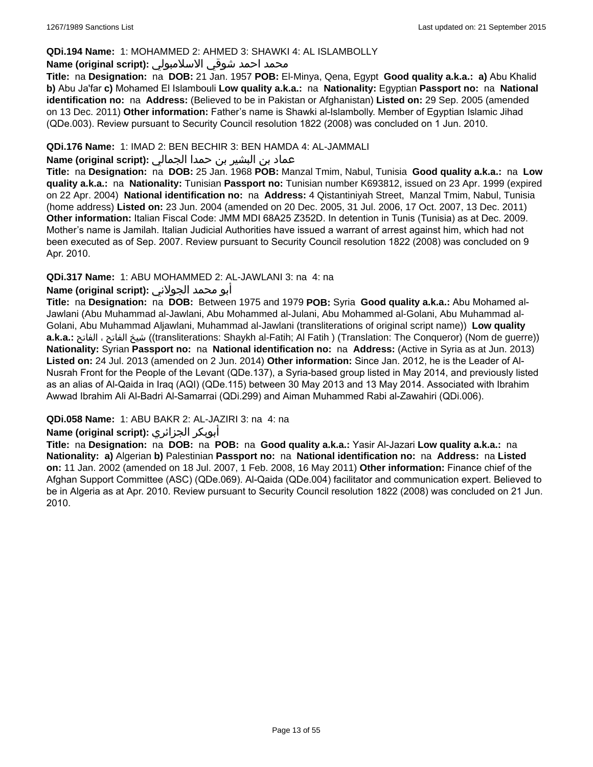#### **QDi.194 Name:** 1: MOHAMMED 2: AHMED 3: SHAWKI 4: AL ISLAMBOLLY

#### محمد احمد شوقي الاسلامبولي **:Name (original script)**

**Title:** na **Designation:** na **DOB:** 21 Jan. 1957 **POB:** El-Minya, Qena, Egypt **Good quality a.k.a.: a)** Abu Khalid **b)** Abu Ja'far **c)** Mohamed El Islambouli **Low quality a.k.a.:** na **Nationality:** Egyptian **Passport no:** na **National identification no:** na **Address:** (Believed to be in Pakistan or Afghanistan) **Listed on:** 29 Sep. 2005 (amended on 13 Dec. 2011) **Other information:** Father's name is Shawki al-Islambolly. Member of Egyptian Islamic Jihad (QDe.003). Review pursuant to Security Council resolution 1822 (2008) was concluded on 1 Jun. 2010.

## **QDi.176 Name:** 1: IMAD 2: BEN BECHIR 3: BEN HAMDA 4: AL-JAMMALI

## عماد بن البشير بن حمدا الجمالي **:(script original (Name**

**Title:** na **Designation:** na **DOB:** 25 Jan. 1968 **POB:** Manzal Tmim, Nabul, Tunisia **Good quality a.k.a.:** na **Low quality a.k.a.:** na **Nationality:** Tunisian **Passport no:** Tunisian number K693812, issued on 23 Apr. 1999 (expired on 22 Apr. 2004) **National identification no:** na **Address:** 4 Qistantiniyah Street, Manzal Tmim, Nabul, Tunisia (home address) **Listed on:** 23 Jun. 2004 (amended on 20 Dec. 2005, 31 Jul. 2006, 17 Oct. 2007, 13 Dec. 2011) **Other information:** Italian Fiscal Code: JMM MDI 68A25 Z352D. In detention in Tunis (Tunisia) as at Dec. 2009. Mother's name is Jamilah. Italian Judicial Authorities have issued a warrant of arrest against him, which had not been executed as of Sep. 2007. Review pursuant to Security Council resolution 1822 (2008) was concluded on 9 Apr. 2010.

## **QDi.317 Name:** 1: ABU MOHAMMED 2: AL-JAWLANI 3: na 4: na

#### أبو محمد الجولاني **:(script original (Name**

**Title:** na **Designation:** na **DOB:** Between 1975 and 1979 **POB:** Syria **Good quality a.k.a.:** Abu Mohamed al-Jawlani (Abu Muhammad al-Jawlani, Abu Mohammed al-Julani, Abu Mohammed al-Golani, Abu Muhammad al-Golani, Abu Muhammad Aljawlani, Muhammad al-Jawlani (transliterations of original script name)) **Low quality a.k.a.:** الفاتح ، الفاتح شيخ)) transliterations: Shaykh al-Fatih; Al Fatih ) (Translation: The Conqueror) (Nom de guerre)) **Nationality:** Syrian **Passport no:** na **National identification no:** na **Address:** (Active in Syria as at Jun. 2013) **Listed on:** 24 Jul. 2013 (amended on 2 Jun. 2014) **Other information:** Since Jan. 2012, he is the Leader of Al-Nusrah Front for the People of the Levant (QDe.137), a Syria-based group listed in May 2014, and previously listed as an alias of Al-Qaida in Iraq (AQI) (QDe.115) between 30 May 2013 and 13 May 2014. Associated with Ibrahim Awwad Ibrahim Ali Al-Badri Al-Samarrai (QDi.299) and Aiman Muhammed Rabi al-Zawahiri (QDi.006).

## **QDi.058 Name:** 1: ABU BAKR 2: AL-JAZIRI 3: na 4: na

## **Name (original script):** الجزائري أبوبكر

**Title:** na **Designation:** na **DOB:** na **POB:** na **Good quality a.k.a.:** Yasir Al-Jazari **Low quality a.k.a.:** na **Nationality: a)** Algerian **b)** Palestinian **Passport no:** na **National identification no:** na **Address:** na **Listed on:** 11 Jan. 2002 (amended on 18 Jul. 2007, 1 Feb. 2008, 16 May 2011) **Other information:** Finance chief of the Afghan Support Committee (ASC) (QDe.069). Al-Qaida (QDe.004) facilitator and communication expert. Believed to be in Algeria as at Apr. 2010. Review pursuant to Security Council resolution 1822 (2008) was concluded on 21 Jun. 2010.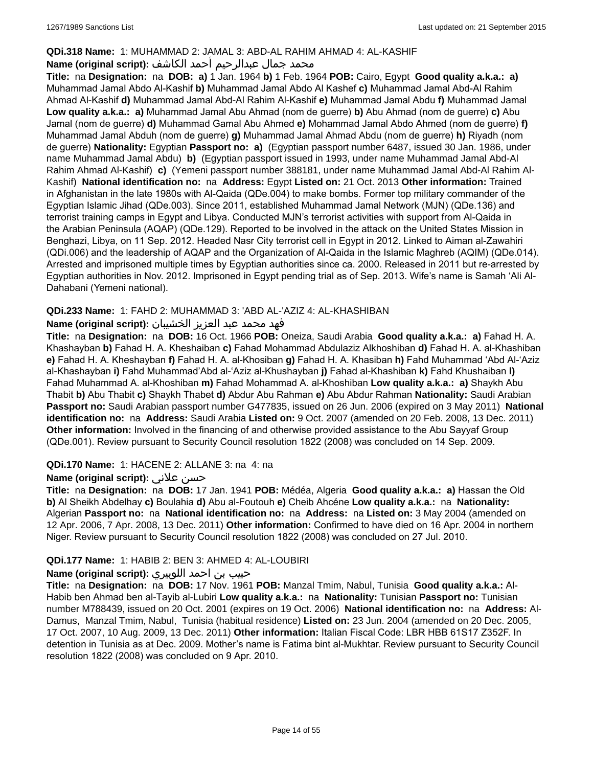## **QDi.318 Name:** 1: MUHAMMAD 2: JAMAL 3: ABD-AL RAHIM AHMAD 4: AL-KASHIF

## محمد جمال عبدالرحيم أحمد الكاشف **:Name (original script**)

**Title:** na **Designation:** na **DOB: a)** 1 Jan. 1964 **b)** 1 Feb. 1964 **POB:** Cairo, Egypt **Good quality a.k.a.: a)** Muhammad Jamal Abdo Al-Kashif **b)** Muhammad Jamal Abdo Al Kashef **c)** Muhammad Jamal Abd-Al Rahim Ahmad Al-Kashif **d)** Muhammad Jamal Abd-Al Rahim Al-Kashif **e)** Muhammad Jamal Abdu **f)** Muhammad Jamal **Low quality a.k.a.: a)** Muhammad Jamal Abu Ahmad (nom de guerre) **b)** Abu Ahmad (nom de guerre) **c)** Abu Jamal (nom de guerre) **d)** Muhammad Gamal Abu Ahmed **e)** Mohammad Jamal Abdo Ahmed (nom de guerre) **f)** Muhammad Jamal Abduh (nom de guerre) **g)** Muhammad Jamal Ahmad Abdu (nom de guerre) **h)** Riyadh (nom de guerre) **Nationality:** Egyptian **Passport no: a)** (Egyptian passport number 6487, issued 30 Jan. 1986, under name Muhammad Jamal Abdu) **b)** (Egyptian passport issued in 1993, under name Muhammad Jamal Abd-Al Rahim Ahmad Al-Kashif) **c)** (Yemeni passport number 388181, under name Muhammad Jamal Abd-Al Rahim Al-Kashif) **National identification no:** na **Address:** Egypt **Listed on:** 21 Oct. 2013 **Other information:** Trained in Afghanistan in the late 1980s with Al-Qaida (QDe.004) to make bombs. Former top military commander of the Egyptian Islamic Jihad (QDe.003). Since 2011, established Muhammad Jamal Network (MJN) (QDe.136) and terrorist training camps in Egypt and Libya. Conducted MJN's terrorist activities with support from Al-Qaida in the Arabian Peninsula (AQAP) (QDe.129). Reported to be involved in the attack on the United States Mission in Benghazi, Libya, on 11 Sep. 2012. Headed Nasr City terrorist cell in Egypt in 2012. Linked to Aiman al-Zawahiri (QDi.006) and the leadership of AQAP and the Organization of Al-Qaida in the Islamic Maghreb (AQIM) (QDe.014). Arrested and imprisoned multiple times by Egyptian authorities since ca. 2000. Released in 2011 but re-arrested by Egyptian authorities in Nov. 2012. Imprisoned in Egypt pending trial as of Sep. 2013. Wife's name is Samah 'Ali Al-Dahabani (Yemeni national).

## **QDi.233 Name:** 1: FAHD 2: MUHAMMAD 3: 'ABD AL-'AZIZ 4: AL-KHASHIBAN

## فهد محمد عبد العزيز الخشيبان **:(script original (Name**

**Title:** na **Designation:** na **DOB:** 16 Oct. 1966 **POB:** Oneiza, Saudi Arabia **Good quality a.k.a.: a)** Fahad H. A. Khashayban **b)** Fahad H. A. Kheshaiban **c)** Fahad Mohammad Abdulaziz Alkhoshiban **d)** Fahad H. A. al-Khashiban **e)** Fahad H. A. Kheshayban **f)** Fahad H. A. al-Khosiban **g)** Fahad H. A. Khasiban **h)** Fahd Muhammad 'Abd Al-'Aziz al-Khashayban **i)** Fahd Muhammad'Abd al-'Aziz al-Khushayban **j)** Fahad al-Khashiban **k)** Fahd Khushaiban **l)** Fahad Muhammad A. al-Khoshiban **m)** Fahad Mohammad A. al-Khoshiban **Low quality a.k.a.: a)** Shaykh Abu Thabit **b)** Abu Thabit **c)** Shaykh Thabet **d)** Abdur Abu Rahman **e)** Abu Abdur Rahman **Nationality:** Saudi Arabian **Passport no:** Saudi Arabian passport number G477835, issued on 26 Jun. 2006 (expired on 3 May 2011) **National identification no:** na **Address:** Saudi Arabia **Listed on:** 9 Oct. 2007 (amended on 20 Feb. 2008, 13 Dec. 2011) **Other information:** Involved in the financing of and otherwise provided assistance to the Abu Sayyaf Group (QDe.001). Review pursuant to Security Council resolution 1822 (2008) was concluded on 14 Sep. 2009.

#### **QDi.170 Name:** 1: HACENE 2: ALLANE 3: na 4: na

## **Name (original script):** علاني حسن

**Title:** na **Designation:** na **DOB:** 17 Jan. 1941 **POB:** Médéa, Algeria **Good quality a.k.a.: a)** Hassan the Old **b)** Al Sheikh Abdelhay **c)** Boulahia **d)** Abu al-Foutouh **e)** Cheib Ahcéne **Low quality a.k.a.:** na **Nationality:** Algerian **Passport no:** na **National identification no:** na **Address:** na **Listed on:** 3 May 2004 (amended on 12 Apr. 2006, 7 Apr. 2008, 13 Dec. 2011) **Other information:** Confirmed to have died on 16 Apr. 2004 in northern Niger. Review pursuant to Security Council resolution 1822 (2008) was concluded on 27 Jul. 2010.

## **QDi.177 Name:** 1: HABIB 2: BEN 3: AHMED 4: AL-LOUBIRI

## حبيب بن احمد اللوبيري **:(script original (Name**

**Title:** na **Designation:** na **DOB:** 17 Nov. 1961 **POB:** Manzal Tmim, Nabul, Tunisia **Good quality a.k.a.:** Al-Habib ben Ahmad ben al-Tayib al-Lubiri **Low quality a.k.a.:** na **Nationality:** Tunisian **Passport no:** Tunisian number M788439, issued on 20 Oct. 2001 (expires on 19 Oct. 2006) **National identification no:** na **Address:** Al-Damus, Manzal Tmim, Nabul, Tunisia (habitual residence) **Listed on:** 23 Jun. 2004 (amended on 20 Dec. 2005, 17 Oct. 2007, 10 Aug. 2009, 13 Dec. 2011) **Other information:** Italian Fiscal Code: LBR HBB 61S17 Z352F. In detention in Tunisia as at Dec. 2009. Mother's name is Fatima bint al-Mukhtar. Review pursuant to Security Council resolution 1822 (2008) was concluded on 9 Apr. 2010.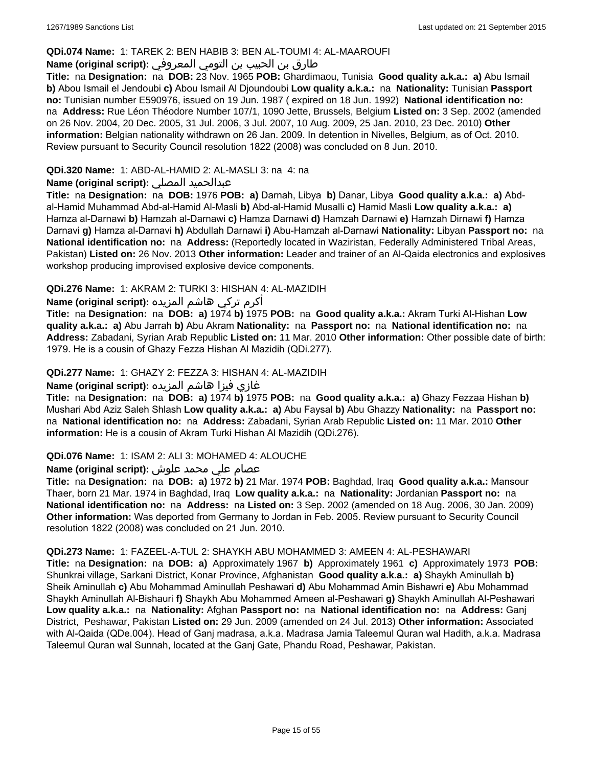#### **QDi.074 Name:** 1: TAREK 2: BEN HABIB 3: BEN AL-TOUMI 4: AL-MAAROUFI

## طارق بن الحبيب بن التومي المعروفي **:(script original (Name**

**Title:** na **Designation:** na **DOB:** 23 Nov. 1965 **POB:** Ghardimaou, Tunisia **Good quality a.k.a.: a)** Abu Ismail **b)** Abou Ismail el Jendoubi **c)** Abou Ismail Al Djoundoubi **Low quality a.k.a.:** na **Nationality:** Tunisian **Passport no:** Tunisian number E590976, issued on 19 Jun. 1987 ( expired on 18 Jun. 1992) **National identification no:**  na **Address:** Rue Léon Théodore Number 107/1, 1090 Jette, Brussels, Belgium **Listed on:** 3 Sep. 2002 (amended on 26 Nov. 2004, 20 Dec. 2005, 31 Jul. 2006, 3 Jul. 2007, 10 Aug. 2009, 25 Jan. 2010, 23 Dec. 2010) **Other information:** Belgian nationality withdrawn on 26 Jan. 2009. In detention in Nivelles, Belgium, as of Oct. 2010. Review pursuant to Security Council resolution 1822 (2008) was concluded on 8 Jun. 2010.

#### **QDi.320 Name:** 1: ABD-AL-HAMID 2: AL-MASLI 3: na 4: na

## **Name (original script):** المصلي عبدالحميد

**Title:** na **Designation:** na **DOB:** 1976 **POB: a)** Darnah, Libya **b)** Danar, Libya **Good quality a.k.a.: a)** Abdal-Hamid Muhammad Abd-al-Hamid Al-Masli **b)** Abd-al-Hamid Musalli **c)** Hamid Masli **Low quality a.k.a.: a)** Hamza al-Darnawi **b)** Hamzah al-Darnawi **c)** Hamza Darnawi **d)** Hamzah Darnawi **e)** Hamzah Dirnawi **f)** Hamza Darnavi **g)** Hamza al-Darnavi **h)** Abdullah Darnawi **i)** Abu-Hamzah al-Darnawi **Nationality:** Libyan **Passport no:** na **National identification no:** na **Address:** (Reportedly located in Waziristan, Federally Administered Tribal Areas, Pakistan) **Listed on:** 26 Nov. 2013 **Other information:** Leader and trainer of an Al-Qaida electronics and explosives workshop producing improvised explosive device components.

## **QDi.276 Name:** 1: AKRAM 2: TURKI 3: HISHAN 4: AL-MAZIDIH

أكرم تركي هاشم المزيده **:(script original (Name**

**Title:** na **Designation:** na **DOB: a)** 1974 **b)** 1975 **POB:** na **Good quality a.k.a.:** Akram Turki Al-Hishan **Low quality a.k.a.: a)** Abu Jarrah **b)** Abu Akram **Nationality:** na **Passport no:** na **National identification no:** na **Address:** Zabadani, Syrian Arab Republic **Listed on:** 11 Mar. 2010 **Other information:** Other possible date of birth: 1979. He is a cousin of Ghazy Fezza Hishan Al Mazidih (QDi.277).

#### **QDi.277 Name:** 1: GHAZY 2: FEZZA 3: HISHAN 4: AL-MAZIDIH

## غازي فيزا هاشم المزيده **:(script original (Name**

**Title:** na **Designation:** na **DOB: a)** 1974 **b)** 1975 **POB:** na **Good quality a.k.a.: a)** Ghazy Fezzaa Hishan **b)** Mushari Abd Aziz Saleh Shlash **Low quality a.k.a.: a)** Abu Faysal **b)** Abu Ghazzy **Nationality:** na **Passport no:**  na **National identification no:** na **Address:** Zabadani, Syrian Arab Republic **Listed on:** 11 Mar. 2010 **Other information:** He is a cousin of Akram Turki Hishan Al Mazidih (QDi.276).

#### **QDi.076 Name:** 1: ISAM 2: ALI 3: MOHAMED 4: ALOUCHE

## عصام علي محمد علوش **:(script original (Name**

**Title:** na **Designation:** na **DOB: a)** 1972 **b)** 21 Mar. 1974 **POB:** Baghdad, Iraq **Good quality a.k.a.:** Mansour Thaer, born 21 Mar. 1974 in Baghdad, Iraq **Low quality a.k.a.:** na **Nationality:** Jordanian **Passport no:** na **National identification no:** na **Address:** na **Listed on:** 3 Sep. 2002 (amended on 18 Aug. 2006, 30 Jan. 2009) **Other information:** Was deported from Germany to Jordan in Feb. 2005. Review pursuant to Security Council resolution 1822 (2008) was concluded on 21 Jun. 2010.

#### **QDi.273 Name:** 1: FAZEEL-A-TUL 2: SHAYKH ABU MOHAMMED 3: AMEEN 4: AL-PESHAWARI

**Title:** na **Designation:** na **DOB: a)** Approximately 1967 **b)** Approximately 1961 **c)** Approximately 1973 **POB:** Shunkrai village, Sarkani District, Konar Province, Afghanistan **Good quality a.k.a.: a)** Shaykh Aminullah **b)** Sheik Aminullah **c)** Abu Mohammad Aminullah Peshawari **d)** Abu Mohammad Amin Bishawri **e)** Abu Mohammad Shaykh Aminullah Al-Bishauri **f)** Shaykh Abu Mohammed Ameen al-Peshawari **g)** Shaykh Aminullah Al-Peshawari **Low quality a.k.a.:** na **Nationality:** Afghan **Passport no:** na **National identification no:** na **Address:** Ganj District, Peshawar, Pakistan **Listed on:** 29 Jun. 2009 (amended on 24 Jul. 2013) **Other information:** Associated with Al-Qaida (QDe.004). Head of Ganj madrasa, a.k.a. Madrasa Jamia Taleemul Quran wal Hadith, a.k.a. Madrasa Taleemul Quran wal Sunnah, located at the Ganj Gate, Phandu Road, Peshawar, Pakistan.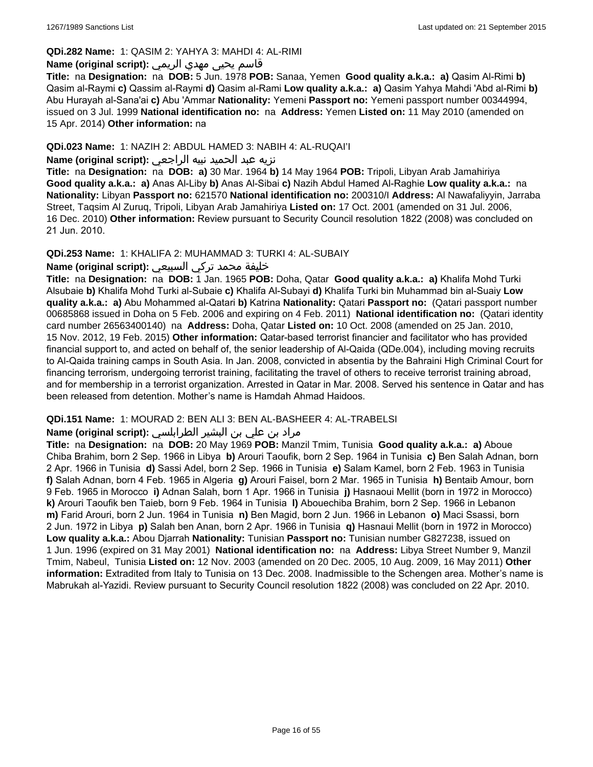#### **QDi.282 Name:** 1: QASIM 2: YAHYA 3: MAHDI 4: AL-RIMI

## قاسم يحيى مهدي الريمي **:(script original (Name**

**Title:** na **Designation:** na **DOB:** 5 Jun. 1978 **POB:** Sanaa, Yemen **Good quality a.k.a.: a)** Qasim Al-Rimi **b)** Qasim al-Raymi **c)** Qassim al-Raymi **d)** Qasim al-Rami **Low quality a.k.a.: a)** Qasim Yahya Mahdi 'Abd al-Rimi **b)** Abu Hurayah al-Sana'ai **c)** Abu 'Ammar **Nationality:** Yemeni **Passport no:** Yemeni passport number 00344994, issued on 3 Jul. 1999 **National identification no:** na **Address:** Yemen **Listed on:** 11 May 2010 (amended on 15 Apr. 2014) **Other information:** na

## **QDi.023 Name:** 1: NAZIH 2: ABDUL HAMED 3: NABIH 4: AL-RUQAI'I

## نزيه عبد الحميد نبيه الراجعي **:(script original (Name**

**Title:** na **Designation:** na **DOB: a)** 30 Mar. 1964 **b)** 14 May 1964 **POB:** Tripoli, Libyan Arab Jamahiriya **Good quality a.k.a.: a)** Anas Al-Liby **b)** Anas Al-Sibai **c)** Nazih Abdul Hamed Al-Raghie **Low quality a.k.a.:** na **Nationality:** Libyan **Passport no:** 621570 **National identification no:** 200310/I **Address:** Al Nawafaliyyin, Jarraba Street, Taqsim Al Zuruq, Tripoli, Libyan Arab Jamahiriya **Listed on:** 17 Oct. 2001 (amended on 31 Jul. 2006, 16 Dec. 2010) **Other information:** Review pursuant to Security Council resolution 1822 (2008) was concluded on 21 Jun. 2010.

#### **QDi.253 Name:** 1: KHALIFA 2: MUHAMMAD 3: TURKI 4: AL-SUBAIY

## خليفة محمد تركي السبيعي **:(script original (Name**

**Title:** na **Designation:** na **DOB:** 1 Jan. 1965 **POB:** Doha, Qatar **Good quality a.k.a.: a)** Khalifa Mohd Turki Alsubaie **b)** Khalifa Mohd Turki al-Subaie **c)** Khalifa Al-Subayi **d)** Khalifa Turki bin Muhammad bin al-Suaiy **Low quality a.k.a.: a)** Abu Mohammed al-Qatari **b)** Katrina **Nationality:** Qatari **Passport no:** (Qatari passport number 00685868 issued in Doha on 5 Feb. 2006 and expiring on 4 Feb. 2011) **National identification no:** (Qatari identity card number 26563400140) na **Address:** Doha, Qatar **Listed on:** 10 Oct. 2008 (amended on 25 Jan. 2010, 15 Nov. 2012, 19 Feb. 2015) **Other information:** Qatar-based terrorist financier and facilitator who has provided financial support to, and acted on behalf of, the senior leadership of Al-Qaida (QDe.004), including moving recruits to Al-Qaida training camps in South Asia. In Jan. 2008, convicted in absentia by the Bahraini High Criminal Court for financing terrorism, undergoing terrorist training, facilitating the travel of others to receive terrorist training abroad, and for membership in a terrorist organization. Arrested in Qatar in Mar. 2008. Served his sentence in Qatar and has been released from detention. Mother's name is Hamdah Ahmad Haidoos.

#### **QDi.151 Name:** 1: MOURAD 2: BEN ALI 3: BEN AL-BASHEER 4: AL-TRABELSI

## مراد بن علي بن البشير الطرابلسي **:Name (original script)**

**Title:** na **Designation:** na **DOB:** 20 May 1969 **POB:** Manzil Tmim, Tunisia **Good quality a.k.a.: a)** Aboue Chiba Brahim, born 2 Sep. 1966 in Libya **b)** Arouri Taoufik, born 2 Sep. 1964 in Tunisia **c)** Ben Salah Adnan, born 2 Apr. 1966 in Tunisia **d)** Sassi Adel, born 2 Sep. 1966 in Tunisia **e)** Salam Kamel, born 2 Feb. 1963 in Tunisia **f)** Salah Adnan, born 4 Feb. 1965 in Algeria **g)** Arouri Faisel, born 2 Mar. 1965 in Tunisia **h)** Bentaib Amour, born 9 Feb. 1965 in Morocco **i)** Adnan Salah, born 1 Apr. 1966 in Tunisia **j)** Hasnaoui Mellit (born in 1972 in Morocco) **k)** Arouri Taoufik ben Taieb, born 9 Feb. 1964 in Tunisia **l)** Abouechiba Brahim, born 2 Sep. 1966 in Lebanon **m)** Farid Arouri, born 2 Jun. 1964 in Tunisia **n)** Ben Magid, born 2 Jun. 1966 in Lebanon **o)** Maci Ssassi, born 2 Jun. 1972 in Libya **p)** Salah ben Anan, born 2 Apr. 1966 in Tunisia **q)** Hasnaui Mellit (born in 1972 in Morocco) **Low quality a.k.a.:** Abou Djarrah **Nationality:** Tunisian **Passport no:** Tunisian number G827238, issued on 1 Jun. 1996 (expired on 31 May 2001) **National identification no:** na **Address:** Libya Street Number 9, Manzil Tmim, Nabeul, Tunisia **Listed on:** 12 Nov. 2003 (amended on 20 Dec. 2005, 10 Aug. 2009, 16 May 2011) **Other information:** Extradited from Italy to Tunisia on 13 Dec. 2008. Inadmissible to the Schengen area. Mother's name is Mabrukah al-Yazidi. Review pursuant to Security Council resolution 1822 (2008) was concluded on 22 Apr. 2010.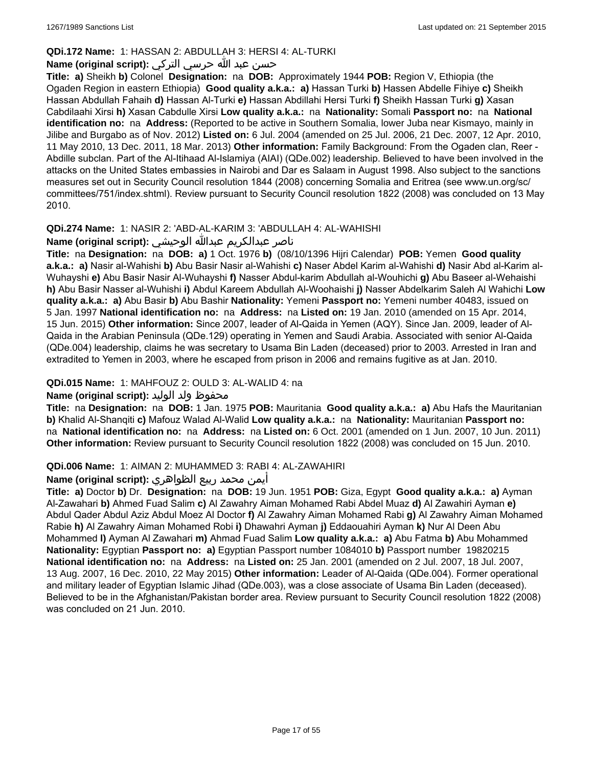## **QDi.172 Name:** 1: HASSAN 2: ABDULLAH 3: HERSI 4: AL-TURKI

## حسن عبد الله حرسي التركي **:(script original (Name**

**Title: a)** Sheikh **b)** Colonel **Designation:** na **DOB:** Approximately 1944 **POB:** Region V, Ethiopia (the Ogaden Region in eastern Ethiopia) **Good quality a.k.a.: a)** Hassan Turki **b)** Hassen Abdelle Fihiye **c)** Sheikh Hassan Abdullah Fahaih **d)** Hassan Al-Turki **e)** Hassan Abdillahi Hersi Turki **f)** Sheikh Hassan Turki **g)** Xasan Cabdilaahi Xirsi **h)** Xasan Cabdulle Xirsi **Low quality a.k.a.:** na **Nationality:** Somali **Passport no:** na **National identification no:** na **Address:** (Reported to be active in Southern Somalia, lower Juba near Kismayo, mainly in Jilibe and Burgabo as of Nov. 2012) **Listed on:** 6 Jul. 2004 (amended on 25 Jul. 2006, 21 Dec. 2007, 12 Apr. 2010, 11 May 2010, 13 Dec. 2011, 18 Mar. 2013) **Other information:** Family Background: From the Ogaden clan, Reer - Abdille subclan. Part of the Al-Itihaad Al-Islamiya (AIAI) (QDe.002) leadership. Believed to have been involved in the attacks on the United States embassies in Nairobi and Dar es Salaam in August 1998. Also subject to the sanctions measures set out in Security Council resolution 1844 (2008) concerning Somalia and Eritrea (see www.un.org/sc/ committees/751/index.shtml). Review pursuant to Security Council resolution 1822 (2008) was concluded on 13 May 2010.

## **QDi.274 Name:** 1: NASIR 2: 'ABD-AL-KARIM 3: 'ABDULLAH 4: AL-WAHISHI

## ناصر عبدالكريم عبدالله الوحيشي **:(script original (Name**

**Title:** na **Designation:** na **DOB: a)** 1 Oct. 1976 **b)** (08/10/1396 Hijri Calendar) **POB:** Yemen **Good quality a.k.a.: a)** Nasir al-Wahishi **b)** Abu Basir Nasir al-Wahishi **c)** Naser Abdel Karim al-Wahishi **d)** Nasir Abd al-Karim al-Wuhayshi **e)** Abu Basir Nasir Al-Wuhayshi **f)** Nasser Abdul-karim Abdullah al-Wouhichi **g)** Abu Baseer al-Wehaishi **h)** Abu Basir Nasser al-Wuhishi **i)** Abdul Kareem Abdullah Al-Woohaishi **j)** Nasser Abdelkarim Saleh Al Wahichi **Low quality a.k.a.: a)** Abu Basir **b)** Abu Bashir **Nationality:** Yemeni **Passport no:** Yemeni number 40483, issued on 5 Jan. 1997 **National identification no:** na **Address:** na **Listed on:** 19 Jan. 2010 (amended on 15 Apr. 2014, 15 Jun. 2015) **Other information:** Since 2007, leader of Al-Qaida in Yemen (AQY). Since Jan. 2009, leader of Al-Qaida in the Arabian Peninsula (QDe.129) operating in Yemen and Saudi Arabia. Associated with senior Al-Qaida (QDe.004) leadership, claims he was secretary to Usama Bin Laden (deceased) prior to 2003. Arrested in Iran and extradited to Yemen in 2003, where he escaped from prison in 2006 and remains fugitive as at Jan. 2010.

## **QDi.015 Name:** 1: MAHFOUZ 2: OULD 3: AL-WALID 4: na

## محفوظ ولد الوليد **:**Name (original script)

**Title:** na **Designation:** na **DOB:** 1 Jan. 1975 **POB:** Mauritania **Good quality a.k.a.: a)** Abu Hafs the Mauritanian **b)** Khalid Al-Shanqiti **c)** Mafouz Walad Al-Walid **Low quality a.k.a.:** na **Nationality:** Mauritanian **Passport no:**  na **National identification no:** na **Address:** na **Listed on:** 6 Oct. 2001 (amended on 1 Jun. 2007, 10 Jun. 2011) **Other information:** Review pursuant to Security Council resolution 1822 (2008) was concluded on 15 Jun. 2010.

## **QDi.006 Name:** 1: AIMAN 2: MUHAMMED 3: RABI 4: AL-ZAWAHIRI

## أيمن محمد ربيع الظواهري **:(script original (Name**

**Title: a)** Doctor **b)** Dr. **Designation:** na **DOB:** 19 Jun. 1951 **POB:** Giza, Egypt **Good quality a.k.a.: a)** Ayman Al-Zawahari **b)** Ahmed Fuad Salim **c)** Al Zawahry Aiman Mohamed Rabi Abdel Muaz **d)** Al Zawahiri Ayman **e)** Abdul Qader Abdul Aziz Abdul Moez Al Doctor **f)** Al Zawahry Aiman Mohamed Rabi **g)** Al Zawahry Aiman Mohamed Rabie **h)** Al Zawahry Aiman Mohamed Robi **i)** Dhawahri Ayman **j)** Eddaouahiri Ayman **k)** Nur Al Deen Abu Mohammed **l)** Ayman Al Zawahari **m)** Ahmad Fuad Salim **Low quality a.k.a.: a)** Abu Fatma **b)** Abu Mohammed **Nationality:** Egyptian **Passport no: a)** Egyptian Passport number 1084010 **b)** Passport number 19820215 **National identification no:** na **Address:** na **Listed on:** 25 Jan. 2001 (amended on 2 Jul. 2007, 18 Jul. 2007, 13 Aug. 2007, 16 Dec. 2010, 22 May 2015) **Other information:** Leader of Al-Qaida (QDe.004). Former operational and military leader of Egyptian Islamic Jihad (QDe.003), was a close associate of Usama Bin Laden (deceased). Believed to be in the Afghanistan/Pakistan border area. Review pursuant to Security Council resolution 1822 (2008) was concluded on 21 Jun. 2010.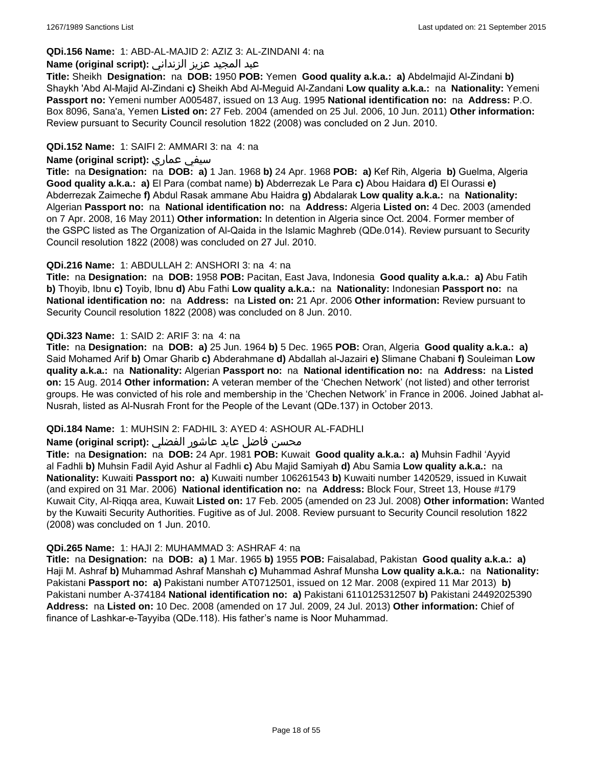## **QDi.156 Name:** 1: ABD-AL-MAJID 2: AZIZ 3: AL-ZINDANI 4: na

#### عبد المجيد عزيز الزنداني **:(script original (Name**

**Title:** Sheikh **Designation:** na **DOB:** 1950 **POB:** Yemen **Good quality a.k.a.: a)** Abdelmajid Al-Zindani **b)** Shaykh 'Abd Al-Majid Al-Zindani **c)** Sheikh Abd Al-Meguid Al-Zandani **Low quality a.k.a.:** na **Nationality:** Yemeni **Passport no:** Yemeni number A005487, issued on 13 Aug. 1995 **National identification no:** na **Address:** P.O. Box 8096, Sana'a, Yemen **Listed on:** 27 Feb. 2004 (amended on 25 Jul. 2006, 10 Jun. 2011) **Other information:** Review pursuant to Security Council resolution 1822 (2008) was concluded on 2 Jun. 2010.

#### **QDi.152 Name:** 1: SAIFI 2: AMMARI 3: na 4: na

#### **Name (original script):** عماري سيفي

**Title:** na **Designation:** na **DOB: a)** 1 Jan. 1968 **b)** 24 Apr. 1968 **POB: a)** Kef Rih, Algeria **b)** Guelma, Algeria **Good quality a.k.a.: a)** El Para (combat name) **b)** Abderrezak Le Para **c)** Abou Haidara **d)** El Ourassi **e)** Abderrezak Zaimeche **f)** Abdul Rasak ammane Abu Haidra **g)** Abdalarak **Low quality a.k.a.:** na **Nationality:** Algerian **Passport no:** na **National identification no:** na **Address:** Algeria **Listed on:** 4 Dec. 2003 (amended on 7 Apr. 2008, 16 May 2011) **Other information:** In detention in Algeria since Oct. 2004. Former member of the GSPC listed as The Organization of Al-Qaida in the Islamic Maghreb (QDe.014). Review pursuant to Security Council resolution 1822 (2008) was concluded on 27 Jul. 2010.

#### **QDi.216 Name:** 1: ABDULLAH 2: ANSHORI 3: na 4: na

**Title:** na **Designation:** na **DOB:** 1958 **POB:** Pacitan, East Java, Indonesia **Good quality a.k.a.: a)** Abu Fatih **b)** Thoyib, Ibnu **c)** Toyib, Ibnu **d)** Abu Fathi **Low quality a.k.a.:** na **Nationality:** Indonesian **Passport no:** na **National identification no:** na **Address:** na **Listed on:** 21 Apr. 2006 **Other information:** Review pursuant to Security Council resolution 1822 (2008) was concluded on 8 Jun. 2010.

#### **QDi.323 Name:** 1: SAID 2: ARIF 3: na 4: na

**Title:** na **Designation:** na **DOB: a)** 25 Jun. 1964 **b)** 5 Dec. 1965 **POB:** Oran, Algeria **Good quality a.k.a.: a)** Said Mohamed Arif **b)** Omar Gharib **c)** Abderahmane **d)** Abdallah al-Jazairi **e)** Slimane Chabani **f)** Souleiman **Low quality a.k.a.:** na **Nationality:** Algerian **Passport no:** na **National identification no:** na **Address:** na **Listed on:** 15 Aug. 2014 **Other information:** A veteran member of the 'Chechen Network' (not listed) and other terrorist groups. He was convicted of his role and membership in the 'Chechen Network' in France in 2006. Joined Jabhat al-Nusrah, listed as Al-Nusrah Front for the People of the Levant (QDe.137) in October 2013.

## **QDi.184 Name:** 1: MUHSIN 2: FADHIL 3: AYED 4: ASHOUR AL-FADHLI

## محسن فاضل عايد عاشور الفضلي **:Name (original script**)

**Title:** na **Designation:** na **DOB:** 24 Apr. 1981 **POB:** Kuwait **Good quality a.k.a.: a)** Muhsin Fadhil 'Ayyid al Fadhli **b)** Muhsin Fadil Ayid Ashur al Fadhli **c)** Abu Majid Samiyah **d)** Abu Samia **Low quality a.k.a.:** na **Nationality:** Kuwaiti **Passport no: a)** Kuwaiti number 106261543 **b)** Kuwaiti number 1420529, issued in Kuwait (and expired on 31 Mar. 2006) **National identification no:** na **Address:** Block Four, Street 13, House #179 Kuwait City, Al-Riqqa area, Kuwait **Listed on:** 17 Feb. 2005 (amended on 23 Jul. 2008) **Other information:** Wanted by the Kuwaiti Security Authorities. Fugitive as of Jul. 2008. Review pursuant to Security Council resolution 1822 (2008) was concluded on 1 Jun. 2010.

#### **QDi.265 Name:** 1: HAJI 2: MUHAMMAD 3: ASHRAF 4: na

**Title:** na **Designation:** na **DOB: a)** 1 Mar. 1965 **b)** 1955 **POB:** Faisalabad, Pakistan **Good quality a.k.a.: a)** Haji M. Ashraf **b)** Muhammad Ashraf Manshah **c)** Muhammad Ashraf Munsha **Low quality a.k.a.:** na **Nationality:** Pakistani **Passport no: a)** Pakistani number AT0712501, issued on 12 Mar. 2008 (expired 11 Mar 2013) **b)** Pakistani number A-374184 **National identification no: a)** Pakistani 6110125312507 **b)** Pakistani 24492025390 **Address:** na **Listed on:** 10 Dec. 2008 (amended on 17 Jul. 2009, 24 Jul. 2013) **Other information:** Chief of finance of Lashkar-e-Tayyiba (QDe.118). His father's name is Noor Muhammad.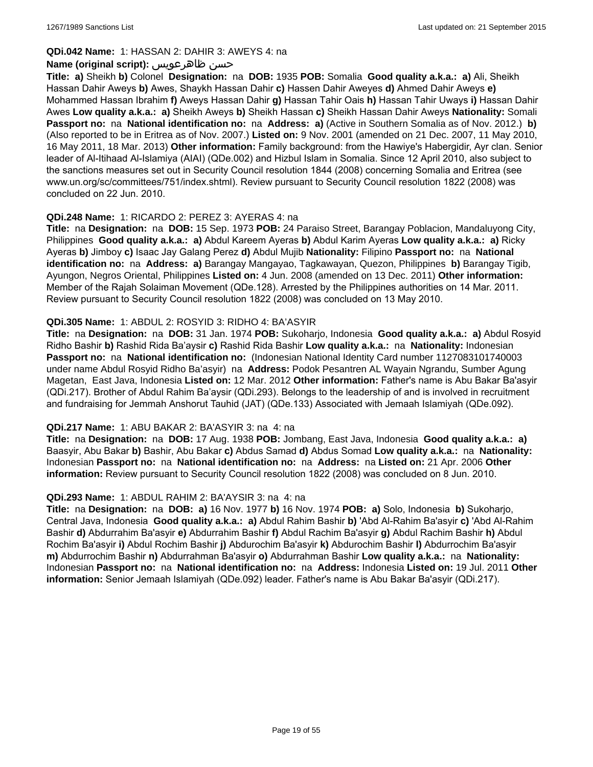#### **QDi.042 Name:** 1: HASSAN 2: DAHIR 3: AWEYS 4: na

#### **Name (original script):** ظاهرعويس حسن

**Title: a)** Sheikh **b)** Colonel **Designation:** na **DOB:** 1935 **POB:** Somalia **Good quality a.k.a.: a)** Ali, Sheikh Hassan Dahir Aweys **b)** Awes, Shaykh Hassan Dahir **c)** Hassen Dahir Aweyes **d)** Ahmed Dahir Aweys **e)** Mohammed Hassan Ibrahim **f)** Aweys Hassan Dahir **g)** Hassan Tahir Oais **h)** Hassan Tahir Uways **i)** Hassan Dahir Awes **Low quality a.k.a.: a)** Sheikh Aweys **b)** Sheikh Hassan **c)** Sheikh Hassan Dahir Aweys **Nationality:** Somali **Passport no:** na **National identification no:** na **Address: a)** (Active in Southern Somalia as of Nov. 2012.) **b)** (Also reported to be in Eritrea as of Nov. 2007.) **Listed on:** 9 Nov. 2001 (amended on 21 Dec. 2007, 11 May 2010, 16 May 2011, 18 Mar. 2013) **Other information:** Family background: from the Hawiye's Habergidir, Ayr clan. Senior leader of Al-Itihaad Al-Islamiya (AIAI) (QDe.002) and Hizbul Islam in Somalia. Since 12 April 2010, also subject to the sanctions measures set out in Security Council resolution 1844 (2008) concerning Somalia and Eritrea (see www.un.org/sc/committees/751/index.shtml). Review pursuant to Security Council resolution 1822 (2008) was concluded on 22 Jun. 2010.

#### **QDi.248 Name:** 1: RICARDO 2: PEREZ 3: AYERAS 4: na

**Title:** na **Designation:** na **DOB:** 15 Sep. 1973 **POB:** 24 Paraiso Street, Barangay Poblacion, Mandaluyong City, Philippines **Good quality a.k.a.: a)** Abdul Kareem Ayeras **b)** Abdul Karim Ayeras **Low quality a.k.a.: a)** Ricky Ayeras **b)** Jimboy **c)** Isaac Jay Galang Perez **d)** Abdul Mujib **Nationality:** Filipino **Passport no:** na **National identification no:** na **Address: a)** Barangay Mangayao, Tagkawayan, Quezon, Philippines **b)** Barangay Tigib, Ayungon, Negros Oriental, Philippines **Listed on:** 4 Jun. 2008 (amended on 13 Dec. 2011) **Other information:** Member of the Rajah Solaiman Movement (QDe.128). Arrested by the Philippines authorities on 14 Mar. 2011. Review pursuant to Security Council resolution 1822 (2008) was concluded on 13 May 2010.

#### **QDi.305 Name:** 1: ABDUL 2: ROSYID 3: RIDHO 4: BA'ASYIR

**Title:** na **Designation:** na **DOB:** 31 Jan. 1974 **POB:** Sukoharjo, Indonesia **Good quality a.k.a.: a)** Abdul Rosyid Ridho Bashir **b)** Rashid Rida Ba'aysir **c)** Rashid Rida Bashir **Low quality a.k.a.:** na **Nationality:** Indonesian **Passport no:** na **National identification no:** (Indonesian National Identity Card number 1127083101740003 under name Abdul Rosyid Ridho Ba'asyir) na **Address:** Podok Pesantren AL Wayain Ngrandu, Sumber Agung Magetan, East Java, Indonesia **Listed on:** 12 Mar. 2012 **Other information:** Father's name is Abu Bakar Ba'asyir (QDi.217). Brother of Abdul Rahim Ba'aysir (QDi.293). Belongs to the leadership of and is involved in recruitment and fundraising for Jemmah Anshorut Tauhid (JAT) (QDe.133) Associated with Jemaah Islamiyah (QDe.092).

#### **QDi.217 Name:** 1: ABU BAKAR 2: BA'ASYIR 3: na 4: na

**Title:** na **Designation:** na **DOB:** 17 Aug. 1938 **POB:** Jombang, East Java, Indonesia **Good quality a.k.a.: a)** Baasyir, Abu Bakar **b)** Bashir, Abu Bakar **c)** Abdus Samad **d)** Abdus Somad **Low quality a.k.a.:** na **Nationality:** Indonesian **Passport no:** na **National identification no:** na **Address:** na **Listed on:** 21 Apr. 2006 **Other information:** Review pursuant to Security Council resolution 1822 (2008) was concluded on 8 Jun. 2010.

#### **QDi.293 Name:** 1: ABDUL RAHIM 2: BA'AYSIR 3: na 4: na

**Title:** na **Designation:** na **DOB: a)** 16 Nov. 1977 **b)** 16 Nov. 1974 **POB: a)** Solo, Indonesia **b)** Sukoharjo, Central Java, Indonesia **Good quality a.k.a.: a)** Abdul Rahim Bashir **b)** 'Abd Al-Rahim Ba'asyir **c)** 'Abd Al-Rahim Bashir **d)** Abdurrahim Ba'asyir **e)** Abdurrahim Bashir **f)** Abdul Rachim Ba'asyir **g)** Abdul Rachim Bashir **h)** Abdul Rochim Ba'asyir **i)** Abdul Rochim Bashir **j)** Abdurochim Ba'asyir **k)** Abdurochim Bashir **l)** Abdurrochim Ba'asyir **m)** Abdurrochim Bashir **n)** Abdurrahman Ba'asyir **o)** Abdurrahman Bashir **Low quality a.k.a.:** na **Nationality:** Indonesian **Passport no:** na **National identification no:** na **Address:** Indonesia **Listed on:** 19 Jul. 2011 **Other information:** Senior Jemaah Islamiyah (QDe.092) leader. Father's name is Abu Bakar Ba'asyir (QDi.217).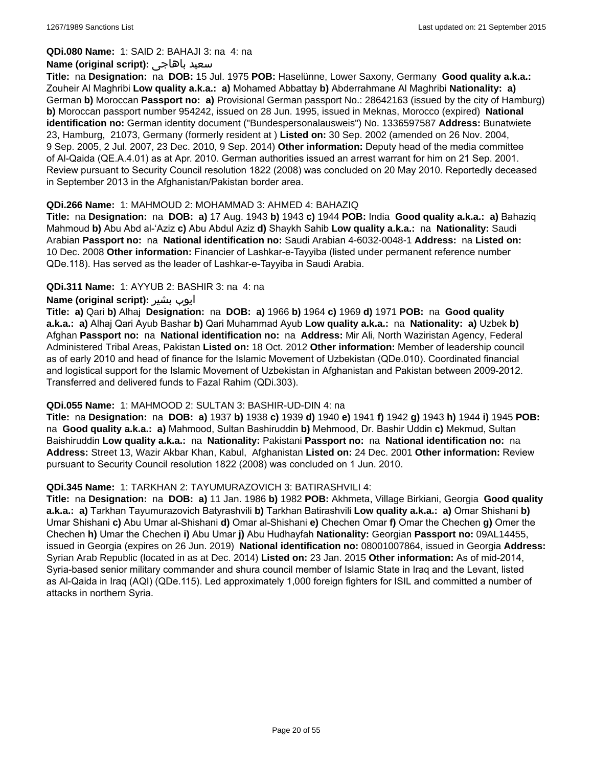#### **QDi.080 Name:** 1: SAID 2: BAHAJI 3: na 4: na

#### **Name (original script):** باهاجى سعيد

**Title:** na **Designation:** na **DOB:** 15 Jul. 1975 **POB:** Haselünne, Lower Saxony, Germany **Good quality a.k.a.:** Zouheir Al Maghribi **Low quality a.k.a.: a)** Mohamed Abbattay **b)** Abderrahmane Al Maghribi **Nationality: a)** German **b)** Moroccan **Passport no: a)** Provisional German passport No.: 28642163 (issued by the city of Hamburg) **b)** Moroccan passport number 954242, issued on 28 Jun. 1995, issued in Meknas, Morocco (expired) **National identification no:** German identity document ("Bundespersonalausweis") No. 1336597587 **Address:** Bunatwiete 23, Hamburg, 21073, Germany (formerly resident at ) **Listed on:** 30 Sep. 2002 (amended on 26 Nov. 2004, 9 Sep. 2005, 2 Jul. 2007, 23 Dec. 2010, 9 Sep. 2014) **Other information:** Deputy head of the media committee of Al-Qaida (QE.A.4.01) as at Apr. 2010. German authorities issued an arrest warrant for him on 21 Sep. 2001. Review pursuant to Security Council resolution 1822 (2008) was concluded on 20 May 2010. Reportedly deceased in September 2013 in the Afghanistan/Pakistan border area.

#### **QDi.266 Name:** 1: MAHMOUD 2: MOHAMMAD 3: AHMED 4: BAHAZIQ

**Title:** na **Designation:** na **DOB: a)** 17 Aug. 1943 **b)** 1943 **c)** 1944 **POB:** India **Good quality a.k.a.: a)** Bahaziq Mahmoud **b)** Abu Abd al-'Aziz **c)** Abu Abdul Aziz **d)** Shaykh Sahib **Low quality a.k.a.:** na **Nationality:** Saudi Arabian **Passport no:** na **National identification no:** Saudi Arabian 4-6032-0048-1 **Address:** na **Listed on:** 10 Dec. 2008 **Other information:** Financier of Lashkar-e-Tayyiba (listed under permanent reference number QDe.118). Has served as the leader of Lashkar-e-Tayyiba in Saudi Arabia.

#### **QDi.311 Name:** 1: AYYUB 2: BASHIR 3: na 4: na

#### **Name (original script):** بشیر ایوب

**Title: a)** Qari **b)** Alhaj **Designation:** na **DOB: a)** 1966 **b)** 1964 **c)** 1969 **d)** 1971 **POB:** na **Good quality a.k.a.: a)** Alhaj Qari Ayub Bashar **b)** Qari Muhammad Ayub **Low quality a.k.a.:** na **Nationality: a)** Uzbek **b)** Afghan **Passport no:** na **National identification no:** na **Address:** Mir Ali, North Waziristan Agency, Federal Administered Tribal Areas, Pakistan **Listed on:** 18 Oct. 2012 **Other information:** Member of leadership council as of early 2010 and head of finance for the Islamic Movement of Uzbekistan (QDe.010). Coordinated financial and logistical support for the Islamic Movement of Uzbekistan in Afghanistan and Pakistan between 2009-2012. Transferred and delivered funds to Fazal Rahim (QDi.303).

#### **QDi.055 Name:** 1: MAHMOOD 2: SULTAN 3: BASHIR-UD-DIN 4: na

**Title:** na **Designation:** na **DOB: a)** 1937 **b)** 1938 **c)** 1939 **d)** 1940 **e)** 1941 **f)** 1942 **g)** 1943 **h)** 1944 **i)** 1945 **POB:**  na **Good quality a.k.a.: a)** Mahmood, Sultan Bashiruddin **b)** Mehmood, Dr. Bashir Uddin **c)** Mekmud, Sultan Baishiruddin **Low quality a.k.a.:** na **Nationality:** Pakistani **Passport no:** na **National identification no:** na **Address:** Street 13, Wazir Akbar Khan, Kabul, Afghanistan **Listed on:** 24 Dec. 2001 **Other information:** Review pursuant to Security Council resolution 1822 (2008) was concluded on 1 Jun. 2010.

#### **QDi.345 Name:** 1: TARKHAN 2: TAYUMURAZOVICH 3: BATIRASHVILI 4:

**Title:** na **Designation:** na **DOB: a)** 11 Jan. 1986 **b)** 1982 **POB:** Akhmeta, Village Birkiani, Georgia **Good quality a.k.a.: a)** Tarkhan Tayumurazovich Batyrashvili **b)** Tarkhan Batirashvili **Low quality a.k.a.: a)** Omar Shishani **b)** Umar Shishani **c)** Abu Umar al-Shishani **d)** Omar al-Shishani **e)** Chechen Omar **f)** Omar the Chechen **g)** Omer the Chechen **h)** Umar the Chechen **i)** Abu Umar **j)** Abu Hudhayfah **Nationality:** Georgian **Passport no:** 09AL14455, issued in Georgia (expires on 26 Jun. 2019) **National identification no:** 08001007864, issued in Georgia **Address:** Syrian Arab Republic (located in as at Dec. 2014) **Listed on:** 23 Jan. 2015 **Other information:** As of mid-2014, Syria-based senior military commander and shura council member of Islamic State in Iraq and the Levant, listed as Al-Qaida in Iraq (AQI) (QDe.115). Led approximately 1,000 foreign fighters for ISIL and committed a number of attacks in northern Syria.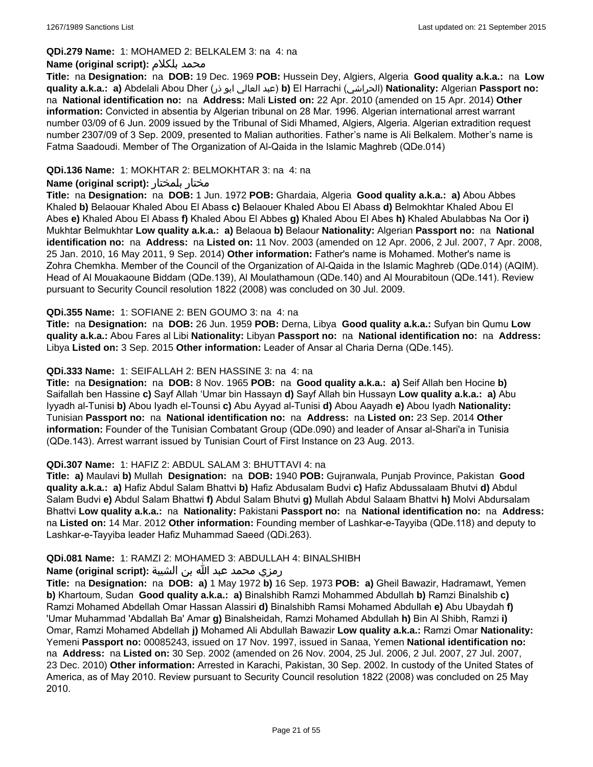#### **QDi.279 Name:** 1: MOHAMED 2: BELKALEM 3: na 4: na

#### **Name (original script):** بلكلام محمد

**Title:** na **Designation:** na **DOB:** 19 Dec. 1969 **POB:** Hussein Dey, Algiers, Algeria **Good quality a.k.a.:** na **Low quality a.k.a.: a)** Abdelali Abou Dher (ذر ابو العالي عبد(**b)** El Harrachi (الحراشي(**Nationality:** Algerian **Passport no:**  na **National identification no:** na **Address:** Mali **Listed on:** 22 Apr. 2010 (amended on 15 Apr. 2014) **Other information:** Convicted in absentia by Algerian tribunal on 28 Mar. 1996. Algerian international arrest warrant number 03/09 of 6 Jun. 2009 issued by the Tribunal of Sidi Mhamed, Algiers, Algeria. Algerian extradition request number 2307/09 of 3 Sep. 2009, presented to Malian authorities. Father's name is Ali Belkalem. Mother's name is Fatma Saadoudi. Member of The Organization of Al-Qaida in the Islamic Maghreb (QDe.014)

#### **QDi.136 Name:** 1: MOKHTAR 2: BELMOKHTAR 3: na 4: na

#### **Name (original script):** بلمختار مختار

**Title:** na **Designation:** na **DOB:** 1 Jun. 1972 **POB:** Ghardaia, Algeria **Good quality a.k.a.: a)** Abou Abbes Khaled **b)** Belaouar Khaled Abou El Abass **c)** Belaouer Khaled Abou El Abass **d)** Belmokhtar Khaled Abou El Abes **e)** Khaled Abou El Abass **f)** Khaled Abou El Abbes **g)** Khaled Abou El Abes **h)** Khaled Abulabbas Na Oor **i)** Mukhtar Belmukhtar **Low quality a.k.a.: a)** Belaoua **b)** Belaour **Nationality:** Algerian **Passport no:** na **National identification no:** na **Address:** na **Listed on:** 11 Nov. 2003 (amended on 12 Apr. 2006, 2 Jul. 2007, 7 Apr. 2008, 25 Jan. 2010, 16 May 2011, 9 Sep. 2014) **Other information:** Father's name is Mohamed. Mother's name is Zohra Chemkha. Member of the Council of the Organization of Al-Qaida in the Islamic Maghreb (QDe.014) (AQIM). Head of Al Mouakaoune Biddam (QDe.139), Al Moulathamoun (QDe.140) and Al Mourabitoun (QDe.141). Review pursuant to Security Council resolution 1822 (2008) was concluded on 30 Jul. 2009.

#### **QDi.355 Name:** 1: SOFIANE 2: BEN GOUMO 3: na 4: na

**Title:** na **Designation:** na **DOB:** 26 Jun. 1959 **POB:** Derna, Libya **Good quality a.k.a.:** Sufyan bin Qumu **Low quality a.k.a.:** Abou Fares al Libi **Nationality:** Libyan **Passport no:** na **National identification no:** na **Address:** Libya **Listed on:** 3 Sep. 2015 **Other information:** Leader of Ansar al Charia Derna (QDe.145).

#### **QDi.333 Name:** 1: SEIFALLAH 2: BEN HASSINE 3: na 4: na

**Title:** na **Designation:** na **DOB:** 8 Nov. 1965 **POB:** na **Good quality a.k.a.: a)** Seif Allah ben Hocine **b)** Saifallah ben Hassine **c)** Sayf Allah 'Umar bin Hassayn **d)** Sayf Allah bin Hussayn **Low quality a.k.a.: a)** Abu Iyyadh al-Tunisi **b)** Abou Iyadh el-Tounsi **c)** Abu Ayyad al-Tunisi **d)** Abou Aayadh **e)** Abou Iyadh **Nationality:** Tunisian **Passport no:** na **National identification no:** na **Address:** na **Listed on:** 23 Sep. 2014 **Other information:** Founder of the Tunisian Combatant Group (QDe.090) and leader of Ansar al-Shari'a in Tunisia (QDe.143). Arrest warrant issued by Tunisian Court of First Instance on 23 Aug. 2013.

## **QDi.307 Name:** 1: HAFIZ 2: ABDUL SALAM 3: BHUTTAVI 4: na

**Title: a)** Maulavi **b)** Mullah **Designation:** na **DOB:** 1940 **POB:** Gujranwala, Punjab Province, Pakistan **Good quality a.k.a.: a)** Hafiz Abdul Salam Bhattvi **b)** Hafiz Abdusalam Budvi **c)** Hafiz Abdussalaam Bhutvi **d)** Abdul Salam Budvi **e)** Abdul Salam Bhattwi **f)** Abdul Salam Bhutvi **g)** Mullah Abdul Salaam Bhattvi **h)** Molvi Abdursalam Bhattvi **Low quality a.k.a.:** na **Nationality:** Pakistani **Passport no:** na **National identification no:** na **Address:** na **Listed on:** 14 Mar. 2012 **Other information:** Founding member of Lashkar-e-Tayyiba (QDe.118) and deputy to Lashkar-e-Tayyiba leader Hafiz Muhammad Saeed (QDi.263).

#### **QDi.081 Name:** 1: RAMZI 2: MOHAMED 3: ABDULLAH 4: BINALSHIBH

## رمزي محمد عبد الله بن الشيبة **:(script original (Name**

**Title:** na **Designation:** na **DOB: a)** 1 May 1972 **b)** 16 Sep. 1973 **POB: a)** Gheil Bawazir, Hadramawt, Yemen **b)** Khartoum, Sudan **Good quality a.k.a.: a)** Binalshibh Ramzi Mohammed Abdullah **b)** Ramzi Binalshib **c)** Ramzi Mohamed Abdellah Omar Hassan Alassiri **d)** Binalshibh Ramsi Mohamed Abdullah **e)** Abu Ubaydah **f)** 'Umar Muhammad 'Abdallah Ba' Amar **g)** Binalsheidah, Ramzi Mohamed Abdullah **h)** Bin Al Shibh, Ramzi **i)** Omar, Ramzi Mohamed Abdellah **j)** Mohamed Ali Abdullah Bawazir **Low quality a.k.a.:** Ramzi Omar **Nationality:** Yemeni **Passport no:** 00085243, issued on 17 Nov. 1997, issued in Sanaa, Yemen **National identification no:**  na **Address:** na **Listed on:** 30 Sep. 2002 (amended on 26 Nov. 2004, 25 Jul. 2006, 2 Jul. 2007, 27 Jul. 2007, 23 Dec. 2010) **Other information:** Arrested in Karachi, Pakistan, 30 Sep. 2002. In custody of the United States of America, as of May 2010. Review pursuant to Security Council resolution 1822 (2008) was concluded on 25 May 2010.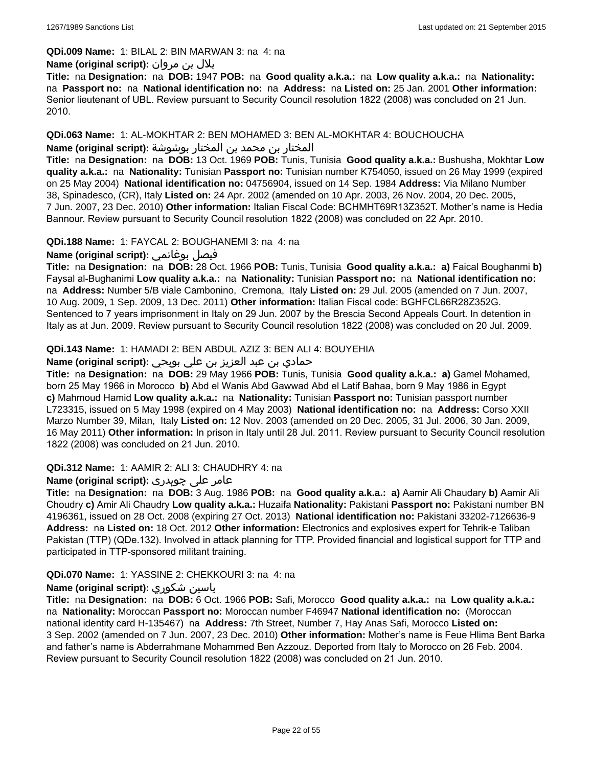#### **QDi.009 Name:** 1: BILAL 2: BIN MARWAN 3: na 4: na

#### بلال بن مروان **:(script original (Name**

**Title:** na **Designation:** na **DOB:** 1947 **POB:** na **Good quality a.k.a.:** na **Low quality a.k.a.:** na **Nationality:**  na **Passport no:** na **National identification no:** na **Address:** na **Listed on:** 25 Jan. 2001 **Other information:** Senior lieutenant of UBL. Review pursuant to Security Council resolution 1822 (2008) was concluded on 21 Jun. 2010.

#### **QDi.063 Name:** 1: AL-MOKHTAR 2: BEN MOHAMED 3: BEN AL-MOKHTAR 4: BOUCHOUCHA

المختار بن محمد بن المختار بوشوشة **:(script original (Name**

**Title:** na **Designation:** na **DOB:** 13 Oct. 1969 **POB:** Tunis, Tunisia **Good quality a.k.a.:** Bushusha, Mokhtar **Low quality a.k.a.:** na **Nationality:** Tunisian **Passport no:** Tunisian number K754050, issued on 26 May 1999 (expired on 25 May 2004) **National identification no:** 04756904, issued on 14 Sep. 1984 **Address:** Via Milano Number 38, Spinadesco, (CR), Italy **Listed on:** 24 Apr. 2002 (amended on 10 Apr. 2003, 26 Nov. 2004, 20 Dec. 2005, 7 Jun. 2007, 23 Dec. 2010) **Other information:** Italian Fiscal Code: BCHMHT69R13Z352T. Mother's name is Hedia Bannour. Review pursuant to Security Council resolution 1822 (2008) was concluded on 22 Apr. 2010.

#### **QDi.188 Name:** 1: FAYCAL 2: BOUGHANEMI 3: na 4: na

**Name (original script):** بوغانمي فيصل

**Title:** na **Designation:** na **DOB:** 28 Oct. 1966 **POB:** Tunis, Tunisia **Good quality a.k.a.: a)** Faical Boughanmi **b)** Faysal al-Bughanimi **Low quality a.k.a.:** na **Nationality:** Tunisian **Passport no:** na **National identification no:**  na **Address:** Number 5/B viale Cambonino, Cremona, Italy **Listed on:** 29 Jul. 2005 (amended on 7 Jun. 2007, 10 Aug. 2009, 1 Sep. 2009, 13 Dec. 2011) **Other information:** Italian Fiscal code: BGHFCL66R28Z352G. Sentenced to 7 years imprisonment in Italy on 29 Jun. 2007 by the Brescia Second Appeals Court. In detention in Italy as at Jun. 2009. Review pursuant to Security Council resolution 1822 (2008) was concluded on 20 Jul. 2009.

#### **QDi.143 Name:** 1: HAMADI 2: BEN ABDUL AZIZ 3: BEN ALI 4: BOUYEHIA

## حمادي بن عبد العزيز بن علي بويحي **:(script original (Name**

**Title:** na **Designation:** na **DOB:** 29 May 1966 **POB:** Tunis, Tunisia **Good quality a.k.a.: a)** Gamel Mohamed, born 25 May 1966 in Morocco **b)** Abd el Wanis Abd Gawwad Abd el Latif Bahaa, born 9 May 1986 in Egypt **c)** Mahmoud Hamid **Low quality a.k.a.:** na **Nationality:** Tunisian **Passport no:** Tunisian passport number L723315, issued on 5 May 1998 (expired on 4 May 2003) **National identification no:** na **Address:** Corso XXII Marzo Number 39, Milan, Italy **Listed on:** 12 Nov. 2003 (amended on 20 Dec. 2005, 31 Jul. 2006, 30 Jan. 2009, 16 May 2011) **Other information:** In prison in Italy until 28 Jul. 2011. Review pursuant to Security Council resolution 1822 (2008) was concluded on 21 Jun. 2010.

**QDi.312 Name:** 1: AAMIR 2: ALI 3: CHAUDHRY 4: na

## عامر علی چوہدری **:(script original (Name**

**Title:** na **Designation:** na **DOB:** 3 Aug. 1986 **POB:** na **Good quality a.k.a.: a)** Aamir Ali Chaudary **b)** Aamir Ali Choudry **c)** Amir Ali Chaudry **Low quality a.k.a.:** Huzaifa **Nationality:** Pakistani **Passport no:** Pakistani number BN 4196361, issued on 28 Oct. 2008 (expiring 27 Oct. 2013) **National identification no:** Pakistani 33202-7126636-9 **Address:** na **Listed on:** 18 Oct. 2012 **Other information:** Electronics and explosives expert for Tehrik-e Taliban Pakistan (TTP) (QDe.132). Involved in attack planning for TTP. Provided financial and logistical support for TTP and participated in TTP-sponsored militant training.

#### **QDi.070 Name:** 1: YASSINE 2: CHEKKOURI 3: na 4: na

## **Name (original script):** شكوري ياسين

**Title:** na **Designation:** na **DOB:** 6 Oct. 1966 **POB:** Safi, Morocco **Good quality a.k.a.:** na **Low quality a.k.a.:**  na **Nationality:** Moroccan **Passport no:** Moroccan number F46947 **National identification no:** (Moroccan national identity card H-135467) na **Address:** 7th Street, Number 7, Hay Anas Safi, Morocco **Listed on:** 3 Sep. 2002 (amended on 7 Jun. 2007, 23 Dec. 2010) **Other information:** Mother's name is Feue Hlima Bent Barka and father's name is Abderrahmane Mohammed Ben Azzouz. Deported from Italy to Morocco on 26 Feb. 2004. Review pursuant to Security Council resolution 1822 (2008) was concluded on 21 Jun. 2010.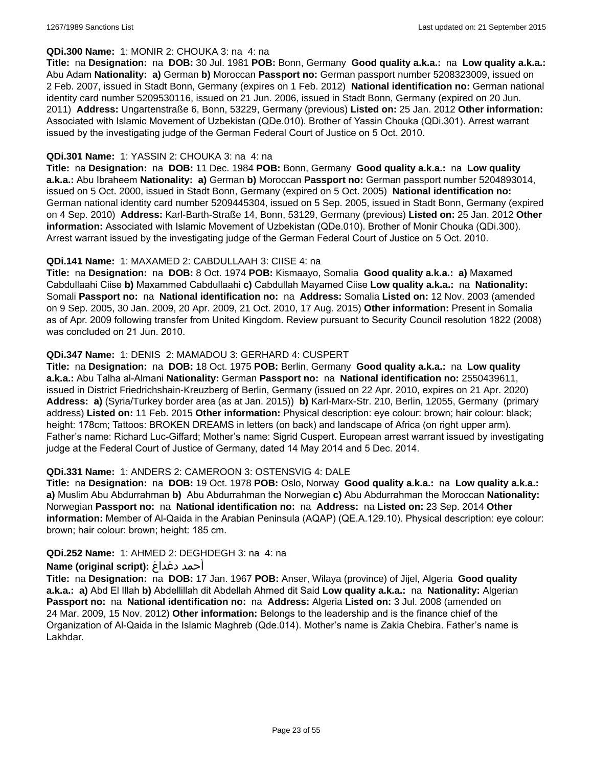#### **QDi.300 Name:** 1: MONIR 2: CHOUKA 3: na 4: na

**Title:** na **Designation:** na **DOB:** 30 Jul. 1981 **POB:** Bonn, Germany **Good quality a.k.a.:** na **Low quality a.k.a.:** Abu Adam **Nationality: a)** German **b)** Moroccan **Passport no:** German passport number 5208323009, issued on 2 Feb. 2007, issued in Stadt Bonn, Germany (expires on 1 Feb. 2012) **National identification no:** German national identity card number 5209530116, issued on 21 Jun. 2006, issued in Stadt Bonn, Germany (expired on 20 Jun. 2011) **Address:** Ungartenstraße 6, Bonn, 53229, Germany (previous) **Listed on:** 25 Jan. 2012 **Other information:** Associated with Islamic Movement of Uzbekistan (QDe.010). Brother of Yassin Chouka (QDi.301). Arrest warrant issued by the investigating judge of the German Federal Court of Justice on 5 Oct. 2010.

#### **QDi.301 Name:** 1: YASSIN 2: CHOUKA 3: na 4: na

**Title:** na **Designation:** na **DOB:** 11 Dec. 1984 **POB:** Bonn, Germany **Good quality a.k.a.:** na **Low quality a.k.a.:** Abu Ibraheem **Nationality: a)** German **b)** Moroccan **Passport no:** German passport number 5204893014, issued on 5 Oct. 2000, issued in Stadt Bonn, Germany (expired on 5 Oct. 2005) **National identification no:** German national identity card number 5209445304, issued on 5 Sep. 2005, issued in Stadt Bonn, Germany (expired on 4 Sep. 2010) **Address:** Karl-Barth-Straße 14, Bonn, 53129, Germany (previous) **Listed on:** 25 Jan. 2012 **Other information:** Associated with Islamic Movement of Uzbekistan (QDe.010). Brother of Monir Chouka (QDi.300). Arrest warrant issued by the investigating judge of the German Federal Court of Justice on 5 Oct. 2010.

## **QDi.141 Name:** 1: MAXAMED 2: CABDULLAAH 3: CIISE 4: na

**Title:** na **Designation:** na **DOB:** 8 Oct. 1974 **POB:** Kismaayo, Somalia **Good quality a.k.a.: a)** Maxamed Cabdullaahi Ciise **b)** Maxammed Cabdullaahi **c)** Cabdullah Mayamed Ciise **Low quality a.k.a.:** na **Nationality:** Somali **Passport no:** na **National identification no:** na **Address:** Somalia **Listed on:** 12 Nov. 2003 (amended on 9 Sep. 2005, 30 Jan. 2009, 20 Apr. 2009, 21 Oct. 2010, 17 Aug. 2015) **Other information:** Present in Somalia as of Apr. 2009 following transfer from United Kingdom. Review pursuant to Security Council resolution 1822 (2008) was concluded on 21 Jun. 2010.

## **QDi.347 Name:** 1: DENIS 2: MAMADOU 3: GERHARD 4: CUSPERT

**Title:** na **Designation:** na **DOB:** 18 Oct. 1975 **POB:** Berlin, Germany **Good quality a.k.a.:** na **Low quality a.k.a.:** Abu Talha al-Almani **Nationality:** German **Passport no:** na **National identification no:** 2550439611, issued in District Friedrichshain-Kreuzberg of Berlin, Germany (issued on 22 Apr. 2010, expires on 21 Apr. 2020) **Address: a)** (Syria/Turkey border area (as at Jan. 2015)) **b)** Karl-Marx-Str. 210, Berlin, 12055, Germany (primary address) **Listed on:** 11 Feb. 2015 **Other information:** Physical description: eye colour: brown; hair colour: black; height: 178cm; Tattoos: BROKEN DREAMS in letters (on back) and landscape of Africa (on right upper arm). Father's name: Richard Luc-Giffard; Mother's name: Sigrid Cuspert. European arrest warrant issued by investigating judge at the Federal Court of Justice of Germany, dated 14 May 2014 and 5 Dec. 2014.

## **QDi.331 Name:** 1: ANDERS 2: CAMEROON 3: OSTENSVIG 4: DALE

**Title:** na **Designation:** na **DOB:** 19 Oct. 1978 **POB:** Oslo, Norway **Good quality a.k.a.:** na **Low quality a.k.a.: a)** Muslim Abu Abdurrahman **b)** Abu Abdurrahman the Norwegian **c)** Abu Abdurrahman the Moroccan **Nationality:** Norwegian **Passport no:** na **National identification no:** na **Address:** na **Listed on:** 23 Sep. 2014 **Other information:** Member of Al-Qaida in the Arabian Peninsula (AQAP) (QE.A.129.10). Physical description: eye colour: brown; hair colour: brown; height: 185 cm.

## **QDi.252 Name:** 1: AHMED 2: DEGHDEGH 3: na 4: na

## **Name (original script):** دغداغ أحمد

**Title:** na **Designation:** na **DOB:** 17 Jan. 1967 **POB:** Anser, Wilaya (province) of Jijel, Algeria **Good quality a.k.a.: a)** Abd El Illah **b)** Abdellillah dit Abdellah Ahmed dit Said **Low quality a.k.a.:** na **Nationality:** Algerian **Passport no:** na **National identification no:** na **Address:** Algeria **Listed on:** 3 Jul. 2008 (amended on 24 Mar. 2009, 15 Nov. 2012) **Other information:** Belongs to the leadership and is the finance chief of the Organization of Al-Qaida in the Islamic Maghreb (Qde.014). Mother's name is Zakia Chebira. Father's name is Lakhdar.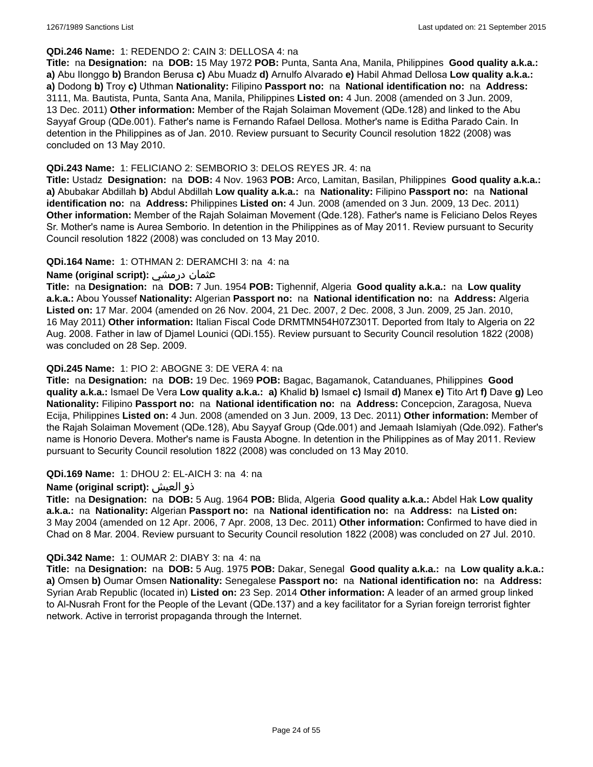#### **QDi.246 Name:** 1: REDENDO 2: CAIN 3: DELLOSA 4: na

**Title:** na **Designation:** na **DOB:** 15 May 1972 **POB:** Punta, Santa Ana, Manila, Philippines **Good quality a.k.a.: a)** Abu Ilonggo **b)** Brandon Berusa **c)** Abu Muadz **d)** Arnulfo Alvarado **e)** Habil Ahmad Dellosa **Low quality a.k.a.: a)** Dodong **b)** Troy **c)** Uthman **Nationality:** Filipino **Passport no:** na **National identification no:** na **Address:** 3111, Ma. Bautista, Punta, Santa Ana, Manila, Philippines **Listed on:** 4 Jun. 2008 (amended on 3 Jun. 2009, 13 Dec. 2011) **Other information:** Member of the Rajah Solaiman Movement (QDe.128) and linked to the Abu Sayyaf Group (QDe.001). Father's name is Fernando Rafael Dellosa. Mother's name is Editha Parado Cain. In detention in the Philippines as of Jan. 2010. Review pursuant to Security Council resolution 1822 (2008) was concluded on 13 May 2010.

#### **QDi.243 Name:** 1: FELICIANO 2: SEMBORIO 3: DELOS REYES JR. 4: na

**Title:** Ustadz **Designation:** na **DOB:** 4 Nov. 1963 **POB:** Arco, Lamitan, Basilan, Philippines **Good quality a.k.a.: a)** Abubakar Abdillah **b)** Abdul Abdillah **Low quality a.k.a.:** na **Nationality:** Filipino **Passport no:** na **National identification no:** na **Address:** Philippines **Listed on:** 4 Jun. 2008 (amended on 3 Jun. 2009, 13 Dec. 2011) **Other information:** Member of the Rajah Solaiman Movement (Qde.128). Father's name is Feliciano Delos Reyes Sr. Mother's name is Aurea Semborio. In detention in the Philippines as of May 2011. Review pursuant to Security Council resolution 1822 (2008) was concluded on 13 May 2010.

## **QDi.164 Name:** 1: OTHMAN 2: DERAMCHI 3: na 4: na

## **Name (original script):** درمشي عثمان

**Title:** na **Designation:** na **DOB:** 7 Jun. 1954 **POB:** Tighennif, Algeria **Good quality a.k.a.:** na **Low quality a.k.a.:** Abou Youssef **Nationality:** Algerian **Passport no:** na **National identification no:** na **Address:** Algeria **Listed on:** 17 Mar. 2004 (amended on 26 Nov. 2004, 21 Dec. 2007, 2 Dec. 2008, 3 Jun. 2009, 25 Jan. 2010, 16 May 2011) **Other information:** Italian Fiscal Code DRMTMN54H07Z301T. Deported from Italy to Algeria on 22 Aug. 2008. Father in law of Djamel Lounici (QDi.155). Review pursuant to Security Council resolution 1822 (2008) was concluded on 28 Sep. 2009.

#### **QDi.245 Name:** 1: PIO 2: ABOGNE 3: DE VERA 4: na

**Title:** na **Designation:** na **DOB:** 19 Dec. 1969 **POB:** Bagac, Bagamanok, Catanduanes, Philippines **Good quality a.k.a.:** Ismael De Vera **Low quality a.k.a.: a)** Khalid **b)** Ismael **c)** Ismail **d)** Manex **e)** Tito Art **f)** Dave **g)** Leo **Nationality:** Filipino **Passport no:** na **National identification no:** na **Address:** Concepcion, Zaragosa, Nueva Ecija, Philippines **Listed on:** 4 Jun. 2008 (amended on 3 Jun. 2009, 13 Dec. 2011) **Other information:** Member of the Rajah Solaiman Movement (QDe.128), Abu Sayyaf Group (Qde.001) and Jemaah Islamiyah (Qde.092). Father's name is Honorio Devera. Mother's name is Fausta Abogne. In detention in the Philippines as of May 2011. Review pursuant to Security Council resolution 1822 (2008) was concluded on 13 May 2010.

## **QDi.169 Name:** 1: DHOU 2: EL-AICH 3: na 4: na

#### **Name (original script):** العيش ذو

**Title:** na **Designation:** na **DOB:** 5 Aug. 1964 **POB:** Blida, Algeria **Good quality a.k.a.:** Abdel Hak **Low quality a.k.a.:** na **Nationality:** Algerian **Passport no:** na **National identification no:** na **Address:** na **Listed on:** 3 May 2004 (amended on 12 Apr. 2006, 7 Apr. 2008, 13 Dec. 2011) **Other information:** Confirmed to have died in Chad on 8 Mar. 2004. Review pursuant to Security Council resolution 1822 (2008) was concluded on 27 Jul. 2010.

#### **QDi.342 Name:** 1: OUMAR 2: DIABY 3: na 4: na

**Title:** na **Designation:** na **DOB:** 5 Aug. 1975 **POB:** Dakar, Senegal **Good quality a.k.a.:** na **Low quality a.k.a.: a)** Omsen **b)** Oumar Omsen **Nationality:** Senegalese **Passport no:** na **National identification no:** na **Address:** Syrian Arab Republic (located in) **Listed on:** 23 Sep. 2014 **Other information:** A leader of an armed group linked to Al-Nusrah Front for the People of the Levant (QDe.137) and a key facilitator for a Syrian foreign terrorist fighter network. Active in terrorist propaganda through the Internet.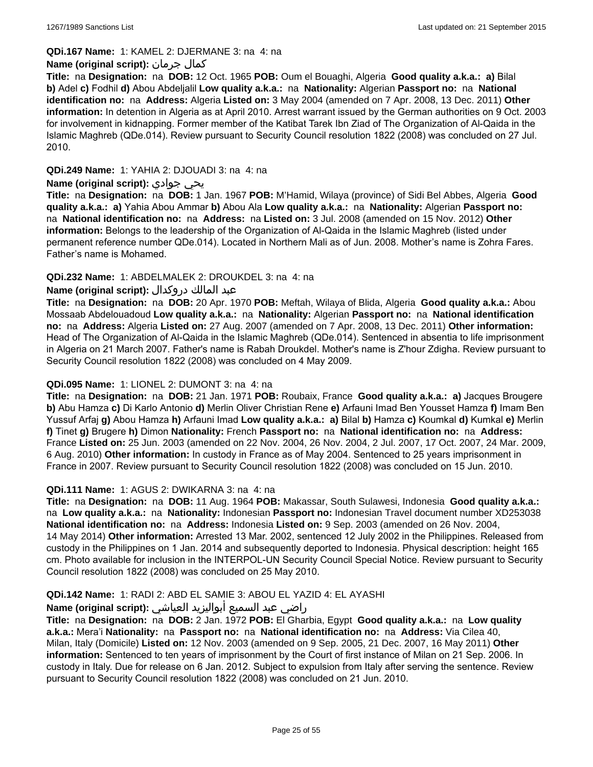**QDi.167 Name:** 1: KAMEL 2: DJERMANE 3: na 4: na

#### **Name (original script):** جرمان كمال

**Title:** na **Designation:** na **DOB:** 12 Oct. 1965 **POB:** Oum el Bouaghi, Algeria **Good quality a.k.a.: a)** Bilal **b)** Adel **c)** Fodhil **d)** Abou Abdeljalil **Low quality a.k.a.:** na **Nationality:** Algerian **Passport no:** na **National identification no:** na **Address:** Algeria **Listed on:** 3 May 2004 (amended on 7 Apr. 2008, 13 Dec. 2011) **Other information:** In detention in Algeria as at April 2010. Arrest warrant issued by the German authorities on 9 Oct. 2003 for involvement in kidnapping. Former member of the Katibat Tarek Ibn Ziad of The Organization of Al-Qaida in the Islamic Maghreb (QDe.014). Review pursuant to Security Council resolution 1822 (2008) was concluded on 27 Jul. 2010.

## **QDi.249 Name:** 1: YAHIA 2: DJOUADI 3: na 4: na

#### **Name (original script):** جوادي يحي

**Title:** na **Designation:** na **DOB:** 1 Jan. 1967 **POB:** M'Hamid, Wilaya (province) of Sidi Bel Abbes, Algeria **Good quality a.k.a.: a)** Yahia Abou Ammar **b)** Abou Ala **Low quality a.k.a.:** na **Nationality:** Algerian **Passport no:**  na **National identification no:** na **Address:** na **Listed on:** 3 Jul. 2008 (amended on 15 Nov. 2012) **Other information:** Belongs to the leadership of the Organization of Al-Qaida in the Islamic Maghreb (listed under permanent reference number QDe.014). Located in Northern Mali as of Jun. 2008. Mother's name is Zohra Fares. Father's name is Mohamed.

## **QDi.232 Name:** 1: ABDELMALEK 2: DROUKDEL 3: na 4: na

#### عبد المالك دروكدال **:(script original (Name**

**Title:** na **Designation:** na **DOB:** 20 Apr. 1970 **POB:** Meftah, Wilaya of Blida, Algeria **Good quality a.k.a.:** Abou Mossaab Abdelouadoud **Low quality a.k.a.:** na **Nationality:** Algerian **Passport no:** na **National identification no:** na **Address:** Algeria **Listed on:** 27 Aug. 2007 (amended on 7 Apr. 2008, 13 Dec. 2011) **Other information:** Head of The Organization of Al-Qaida in the Islamic Maghreb (QDe.014). Sentenced in absentia to life imprisonment in Algeria on 21 March 2007. Father's name is Rabah Droukdel. Mother's name is Z'hour Zdigha. Review pursuant to Security Council resolution 1822 (2008) was concluded on 4 May 2009.

#### **QDi.095 Name:** 1: LIONEL 2: DUMONT 3: na 4: na

**Title:** na **Designation:** na **DOB:** 21 Jan. 1971 **POB:** Roubaix, France **Good quality a.k.a.: a)** Jacques Brougere **b)** Abu Hamza **c)** Di Karlo Antonio **d)** Merlin Oliver Christian Rene **e)** Arfauni Imad Ben Yousset Hamza **f)** Imam Ben Yussuf Arfaj **g)** Abou Hamza **h)** Arfauni Imad **Low quality a.k.a.: a)** Bilal **b)** Hamza **c)** Koumkal **d)** Kumkal **e)** Merlin **f)** Tinet **g)** Brugere **h)** Dimon **Nationality:** French **Passport no:** na **National identification no:** na **Address:** France **Listed on:** 25 Jun. 2003 (amended on 22 Nov. 2004, 26 Nov. 2004, 2 Jul. 2007, 17 Oct. 2007, 24 Mar. 2009, 6 Aug. 2010) **Other information:** In custody in France as of May 2004. Sentenced to 25 years imprisonment in France in 2007. Review pursuant to Security Council resolution 1822 (2008) was concluded on 15 Jun. 2010.

#### **QDi.111 Name:** 1: AGUS 2: DWIKARNA 3: na 4: na

**Title:** na **Designation:** na **DOB:** 11 Aug. 1964 **POB:** Makassar, South Sulawesi, Indonesia **Good quality a.k.a.:**  na **Low quality a.k.a.:** na **Nationality:** Indonesian **Passport no:** Indonesian Travel document number XD253038 **National identification no:** na **Address:** Indonesia **Listed on:** 9 Sep. 2003 (amended on 26 Nov. 2004, 14 May 2014) **Other information:** Arrested 13 Mar. 2002, sentenced 12 July 2002 in the Philippines. Released from custody in the Philippines on 1 Jan. 2014 and subsequently deported to Indonesia. Physical description: height 165 cm. Photo available for inclusion in the INTERPOL-UN Security Council Special Notice. Review pursuant to Security Council resolution 1822 (2008) was concluded on 25 May 2010.

## **QDi.142 Name:** 1: RADI 2: ABD EL SAMIE 3: ABOU EL YAZID 4: EL AYASHI

## راضي عبد السميع أبواليزيد العياشي **:(script original (Name**

**Title:** na **Designation:** na **DOB:** 2 Jan. 1972 **POB:** El Gharbia, Egypt **Good quality a.k.a.:** na **Low quality a.k.a.:** Mera'i **Nationality:** na **Passport no:** na **National identification no:** na **Address:** Via Cilea 40, Milan, Italy (Domicile) **Listed on:** 12 Nov. 2003 (amended on 9 Sep. 2005, 21 Dec. 2007, 16 May 2011) **Other information:** Sentenced to ten years of imprisonment by the Court of first instance of Milan on 21 Sep. 2006. In custody in Italy. Due for release on 6 Jan. 2012. Subject to expulsion from Italy after serving the sentence. Review pursuant to Security Council resolution 1822 (2008) was concluded on 21 Jun. 2010.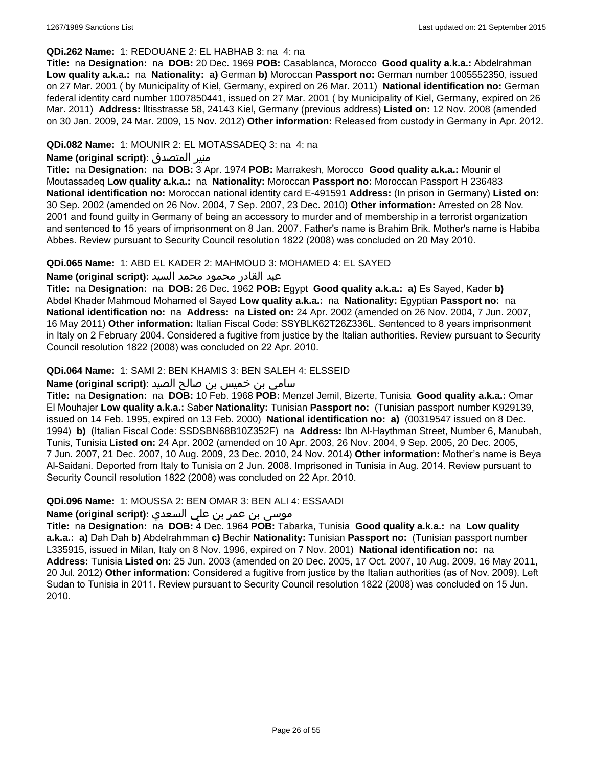#### **QDi.262 Name:** 1: REDOUANE 2: EL HABHAB 3: na 4: na

**Title:** na **Designation:** na **DOB:** 20 Dec. 1969 **POB:** Casablanca, Morocco **Good quality a.k.a.:** Abdelrahman **Low quality a.k.a.:** na **Nationality: a)** German **b)** Moroccan **Passport no:** German number 1005552350, issued on 27 Mar. 2001 ( by Municipality of Kiel, Germany, expired on 26 Mar. 2011) **National identification no:** German federal identity card number 1007850441, issued on 27 Mar. 2001 ( by Municipality of Kiel, Germany, expired on 26 Mar. 2011) **Address:** lltisstrasse 58, 24143 Kiel, Germany (previous address) **Listed on:** 12 Nov. 2008 (amended on 30 Jan. 2009, 24 Mar. 2009, 15 Nov. 2012) **Other information:** Released from custody in Germany in Apr. 2012.

#### **QDi.082 Name:** 1: MOUNIR 2: EL MOTASSADEQ 3: na 4: na

#### **Name (original script):** المتصدق منير

**Title:** na **Designation:** na **DOB:** 3 Apr. 1974 **POB:** Marrakesh, Morocco **Good quality a.k.a.:** Mounir el Moutassadeq **Low quality a.k.a.:** na **Nationality:** Moroccan **Passport no:** Moroccan Passport H 236483 **National identification no:** Moroccan national identity card E-491591 **Address:** (In prison in Germany) **Listed on:** 30 Sep. 2002 (amended on 26 Nov. 2004, 7 Sep. 2007, 23 Dec. 2010) **Other information:** Arrested on 28 Nov. 2001 and found guilty in Germany of being an accessory to murder and of membership in a terrorist organization and sentenced to 15 years of imprisonment on 8 Jan. 2007. Father's name is Brahim Brik. Mother's name is Habiba Abbes. Review pursuant to Security Council resolution 1822 (2008) was concluded on 20 May 2010.

## **QDi.065 Name:** 1: ABD EL KADER 2: MAHMOUD 3: MOHAMED 4: EL SAYED

#### عبد القادر محمود محمد السيد **:(script original (Name**

**Title:** na **Designation:** na **DOB:** 26 Dec. 1962 **POB:** Egypt **Good quality a.k.a.: a)** Es Sayed, Kader **b)** Abdel Khader Mahmoud Mohamed el Sayed **Low quality a.k.a.:** na **Nationality:** Egyptian **Passport no:** na **National identification no:** na **Address:** na **Listed on:** 24 Apr. 2002 (amended on 26 Nov. 2004, 7 Jun. 2007, 16 May 2011) **Other information:** Italian Fiscal Code: SSYBLK62T26Z336L. Sentenced to 8 years imprisonment in Italy on 2 February 2004. Considered a fugitive from justice by the Italian authorities. Review pursuant to Security Council resolution 1822 (2008) was concluded on 22 Apr. 2010.

## **QDi.064 Name:** 1: SAMI 2: BEN KHAMIS 3: BEN SALEH 4: ELSSEID

#### سامي بن خميس بن صالح الصيد **:Name (original script**)

**Title:** na **Designation:** na **DOB:** 10 Feb. 1968 **POB:** Menzel Jemil, Bizerte, Tunisia **Good quality a.k.a.:** Omar El Mouhajer **Low quality a.k.a.:** Saber **Nationality:** Tunisian **Passport no:** (Tunisian passport number K929139, issued on 14 Feb. 1995, expired on 13 Feb. 2000) **National identification no: a)** (00319547 issued on 8 Dec. 1994) **b)** (Italian Fiscal Code: SSDSBN68B10Z352F) na **Address:** Ibn Al-Haythman Street, Number 6, Manubah, Tunis, Tunisia **Listed on:** 24 Apr. 2002 (amended on 10 Apr. 2003, 26 Nov. 2004, 9 Sep. 2005, 20 Dec. 2005, 7 Jun. 2007, 21 Dec. 2007, 10 Aug. 2009, 23 Dec. 2010, 24 Nov. 2014) **Other information:** Mother's name is Beya Al-Saidani. Deported from Italy to Tunisia on 2 Jun. 2008. Imprisoned in Tunisia in Aug. 2014. Review pursuant to Security Council resolution 1822 (2008) was concluded on 22 Apr. 2010.

#### **QDi.096 Name:** 1: MOUSSA 2: BEN OMAR 3: BEN ALI 4: ESSAADI

## موسى بن عمر بن علي السعدي **:Name (original script)**

**Title:** na **Designation:** na **DOB:** 4 Dec. 1964 **POB:** Tabarka, Tunisia **Good quality a.k.a.:** na **Low quality a.k.a.: a)** Dah Dah **b)** Abdelrahmman **c)** Bechir **Nationality:** Tunisian **Passport no:** (Tunisian passport number L335915, issued in Milan, Italy on 8 Nov. 1996, expired on 7 Nov. 2001) **National identification no:** na **Address:** Tunisia **Listed on:** 25 Jun. 2003 (amended on 20 Dec. 2005, 17 Oct. 2007, 10 Aug. 2009, 16 May 2011, 20 Jul. 2012) **Other information:** Considered a fugitive from justice by the Italian authorities (as of Nov. 2009). Left Sudan to Tunisia in 2011. Review pursuant to Security Council resolution 1822 (2008) was concluded on 15 Jun. 2010.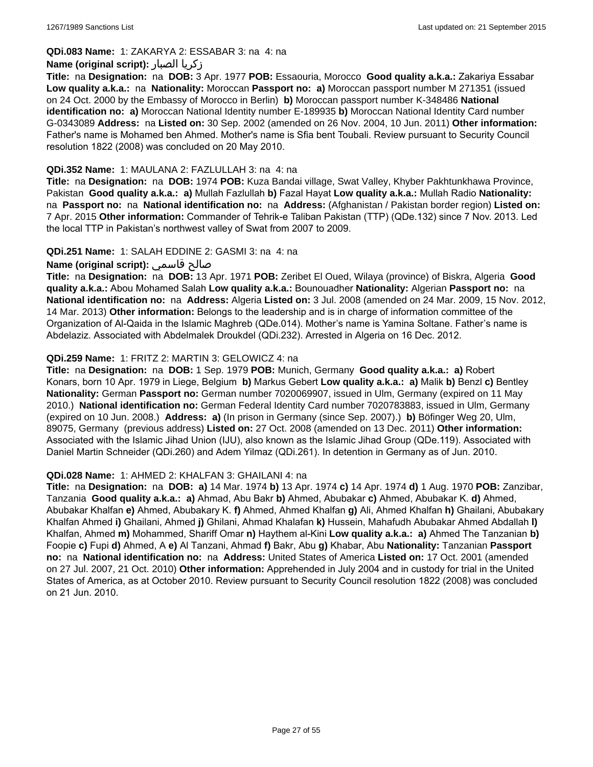## **QDi.083 Name:** 1: ZAKARYA 2: ESSABAR 3: na 4: na

#### **Name (original script):** الصبار زكريا

**Title:** na **Designation:** na **DOB:** 3 Apr. 1977 **POB:** Essaouria, Morocco **Good quality a.k.a.:** Zakariya Essabar **Low quality a.k.a.:** na **Nationality:** Moroccan **Passport no: a)** Moroccan passport number M 271351 (issued on 24 Oct. 2000 by the Embassy of Morocco in Berlin) **b)** Moroccan passport number K-348486 **National identification no: a)** Moroccan National Identity number E-189935 **b)** Moroccan National Identity Card number G-0343089 **Address:** na **Listed on:** 30 Sep. 2002 (amended on 26 Nov. 2004, 10 Jun. 2011) **Other information:** Father's name is Mohamed ben Ahmed. Mother's name is Sfia bent Toubali. Review pursuant to Security Council resolution 1822 (2008) was concluded on 20 May 2010.

#### **QDi.352 Name:** 1: MAULANA 2: FAZLULLAH 3: na 4: na

**Title:** na **Designation:** na **DOB:** 1974 **POB:** Kuza Bandai village, Swat Valley, Khyber Pakhtunkhawa Province, Pakistan **Good quality a.k.a.: a)** Mullah Fazlullah **b)** Fazal Hayat **Low quality a.k.a.:** Mullah Radio **Nationality:**  na **Passport no:** na **National identification no:** na **Address:** (Afghanistan / Pakistan border region) **Listed on:** 7 Apr. 2015 **Other information:** Commander of Tehrik-e Taliban Pakistan (TTP) (QDe.132) since 7 Nov. 2013. Led the local TTP in Pakistan's northwest valley of Swat from 2007 to 2009.

#### **QDi.251 Name:** 1: SALAH EDDINE 2: GASMI 3: na 4: na

#### **Name (original script):** قاسمي صالح

**Title:** na **Designation:** na **DOB:** 13 Apr. 1971 **POB:** Zeribet El Oued, Wilaya (province) of Biskra, Algeria **Good quality a.k.a.:** Abou Mohamed Salah **Low quality a.k.a.:** Bounouadher **Nationality:** Algerian **Passport no:** na **National identification no:** na **Address:** Algeria **Listed on:** 3 Jul. 2008 (amended on 24 Mar. 2009, 15 Nov. 2012, 14 Mar. 2013) **Other information:** Belongs to the leadership and is in charge of information committee of the Organization of Al-Qaida in the Islamic Maghreb (QDe.014). Mother's name is Yamina Soltane. Father's name is Abdelaziz. Associated with Abdelmalek Droukdel (QDi.232). Arrested in Algeria on 16 Dec. 2012.

#### **QDi.259 Name:** 1: FRITZ 2: MARTIN 3: GELOWICZ 4: na

**Title:** na **Designation:** na **DOB:** 1 Sep. 1979 **POB:** Munich, Germany **Good quality a.k.a.: a)** Robert Konars, born 10 Apr. 1979 in Liege, Belgium **b)** Markus Gebert **Low quality a.k.a.: a)** Malik **b)** Benzl **c)** Bentley **Nationality:** German **Passport no:** German number 7020069907, issued in Ulm, Germany (expired on 11 May 2010.) **National identification no:** German Federal Identity Card number 7020783883, issued in Ulm, Germany (expired on 10 Jun. 2008.) **Address: a)** (In prison in Germany (since Sep. 2007).) **b)** Böfinger Weg 20, Ulm, 89075, Germany (previous address) **Listed on:** 27 Oct. 2008 (amended on 13 Dec. 2011) **Other information:** Associated with the Islamic Jihad Union (IJU), also known as the Islamic Jihad Group (QDe.119). Associated with Daniel Martin Schneider (QDi.260) and Adem Yilmaz (QDi.261). In detention in Germany as of Jun. 2010.

#### **QDi.028 Name:** 1: AHMED 2: KHALFAN 3: GHAILANI 4: na

**Title:** na **Designation:** na **DOB: a)** 14 Mar. 1974 **b)** 13 Apr. 1974 **c)** 14 Apr. 1974 **d)** 1 Aug. 1970 **POB:** Zanzibar, Tanzania **Good quality a.k.a.: a)** Ahmad, Abu Bakr **b)** Ahmed, Abubakar **c)** Ahmed, Abubakar K. **d)** Ahmed, Abubakar Khalfan **e)** Ahmed, Abubakary K. **f)** Ahmed, Ahmed Khalfan **g)** Ali, Ahmed Khalfan **h)** Ghailani, Abubakary Khalfan Ahmed **i)** Ghailani, Ahmed **j)** Ghilani, Ahmad Khalafan **k)** Hussein, Mahafudh Abubakar Ahmed Abdallah **l)** Khalfan, Ahmed **m)** Mohammed, Shariff Omar **n)** Haythem al-Kini **Low quality a.k.a.: a)** Ahmed The Tanzanian **b)** Foopie **c)** Fupi **d)** Ahmed, A **e)** Al Tanzani, Ahmad **f)** Bakr, Abu **g)** Khabar, Abu **Nationality:** Tanzanian **Passport no:** na **National identification no:** na **Address:** United States of America **Listed on:** 17 Oct. 2001 (amended on 27 Jul. 2007, 21 Oct. 2010) **Other information:** Apprehended in July 2004 and in custody for trial in the United States of America, as at October 2010. Review pursuant to Security Council resolution 1822 (2008) was concluded on 21 Jun. 2010.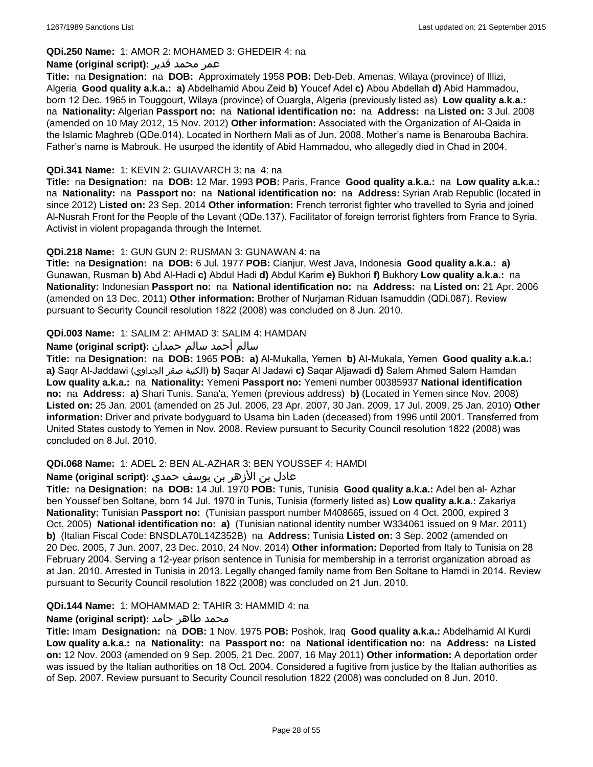#### **QDi.250 Name:** 1: AMOR 2: MOHAMED 3: GHEDEIR 4: na

#### عمر محمد قدير **:(script original (Name**

**Title:** na **Designation:** na **DOB:** Approximately 1958 **POB:** Deb-Deb, Amenas, Wilaya (province) of Illizi, Algeria **Good quality a.k.a.: a)** Abdelhamid Abou Zeid **b)** Youcef Adel **c)** Abou Abdellah **d)** Abid Hammadou, born 12 Dec. 1965 in Touggourt, Wilaya (province) of Ouargla, Algeria (previously listed as) **Low quality a.k.a.:**  na **Nationality:** Algerian **Passport no:** na **National identification no:** na **Address:** na **Listed on:** 3 Jul. 2008 (amended on 10 May 2012, 15 Nov. 2012) **Other information:** Associated with the Organization of Al-Qaida in the Islamic Maghreb (QDe.014). Located in Northern Mali as of Jun. 2008. Mother's name is Benarouba Bachira. Father's name is Mabrouk. He usurped the identity of Abid Hammadou, who allegedly died in Chad in 2004.

#### **QDi.341 Name:** 1: KEVIN 2: GUIAVARCH 3: na 4: na

**Title:** na **Designation:** na **DOB:** 12 Mar. 1993 **POB:** Paris, France **Good quality a.k.a.:** na **Low quality a.k.a.:**  na **Nationality:** na **Passport no:** na **National identification no:** na **Address:** Syrian Arab Republic (located in since 2012) **Listed on:** 23 Sep. 2014 **Other information:** French terrorist fighter who travelled to Syria and joined Al-Nusrah Front for the People of the Levant (QDe.137). Facilitator of foreign terrorist fighters from France to Syria. Activist in violent propaganda through the Internet.

#### **QDi.218 Name:** 1: GUN GUN 2: RUSMAN 3: GUNAWAN 4: na

**Title:** na **Designation:** na **DOB:** 6 Jul. 1977 **POB:** Cianjur, West Java, Indonesia **Good quality a.k.a.: a)** Gunawan, Rusman **b)** Abd Al-Hadi **c)** Abdul Hadi **d)** Abdul Karim **e)** Bukhori **f)** Bukhory **Low quality a.k.a.:** na **Nationality:** Indonesian **Passport no:** na **National identification no:** na **Address:** na **Listed on:** 21 Apr. 2006 (amended on 13 Dec. 2011) **Other information:** Brother of Nurjaman Riduan Isamuddin (QDi.087). Review pursuant to Security Council resolution 1822 (2008) was concluded on 8 Jun. 2010.

#### **QDi.003 Name:** 1: SALIM 2: AHMAD 3: SALIM 4: HAMDAN

#### سالم أحمد سالم حمدان **:(script original (Name**

**Title:** na **Designation:** na **DOB:** 1965 **POB: a)** Al-Mukalla, Yemen **b)** AI-Mukala, Yemen **Good quality a.k.a.: a)** Saqr Al-Jaddawi (الجداوي صقر الكنية(**b)** Saqar Al Jadawi **c)** Saqar Aljawadi **d)** Salem Ahmed Salem Hamdan **Low quality a.k.a.:** na **Nationality:** Yemeni **Passport no:** Yemeni number 00385937 **National identification no:** na **Address: a)** Shari Tunis, Sana'a, Yemen (previous address) **b)** (Located in Yemen since Nov. 2008) **Listed on:** 25 Jan. 2001 (amended on 25 Jul. 2006, 23 Apr. 2007, 30 Jan. 2009, 17 Jul. 2009, 25 Jan. 2010) **Other information:** Driver and private bodyguard to Usama bin Laden (deceased) from 1996 until 2001. Transferred from United States custody to Yemen in Nov. 2008. Review pursuant to Security Council resolution 1822 (2008) was concluded on 8 Jul. 2010.

#### **QDi.068 Name:** 1: ADEL 2: BEN AL-AZHAR 3: BEN YOUSSEF 4: HAMDI

## عادل بن الأزهر بن يوسف حمدي **:(script original (Name**

**Title:** na **Designation:** na **DOB:** 14 Jul. 1970 **POB:** Tunis, Tunisia **Good quality a.k.a.:** Adel ben al- Azhar ben Youssef ben Soltane, born 14 Jul. 1970 in Tunis, Tunisia (formerly listed as) **Low quality a.k.a.:** Zakariya **Nationality:** Tunisian **Passport no:** (Tunisian passport number M408665, issued on 4 Oct. 2000, expired 3 Oct. 2005) **National identification no: a)** (Tunisian national identity number W334061 issued on 9 Mar. 2011) **b)** (Italian Fiscal Code: BNSDLA70L14Z352B) na **Address:** Tunisia **Listed on:** 3 Sep. 2002 (amended on 20 Dec. 2005, 7 Jun. 2007, 23 Dec. 2010, 24 Nov. 2014) **Other information:** Deported from Italy to Tunisia on 28 February 2004. Serving a 12-year prison sentence in Tunisia for membership in a terrorist organization abroad as at Jan. 2010. Arrested in Tunisia in 2013. Legally changed family name from Ben Soltane to Hamdi in 2014. Review pursuant to Security Council resolution 1822 (2008) was concluded on 21 Jun. 2010.

#### **QDi.144 Name:** 1: MOHAMMAD 2: TAHIR 3: HAMMID 4: na

## **محمد طاهر حامد :**(Name (original script

**Title:** Imam **Designation:** na **DOB:** 1 Nov. 1975 **POB:** Poshok, Iraq **Good quality a.k.a.:** Abdelhamid Al Kurdi **Low quality a.k.a.:** na **Nationality:** na **Passport no:** na **National identification no:** na **Address:** na **Listed on:** 12 Nov. 2003 (amended on 9 Sep. 2005, 21 Dec. 2007, 16 May 2011) **Other information:** A deportation order was issued by the Italian authorities on 18 Oct. 2004. Considered a fugitive from justice by the Italian authorities as of Sep. 2007. Review pursuant to Security Council resolution 1822 (2008) was concluded on 8 Jun. 2010.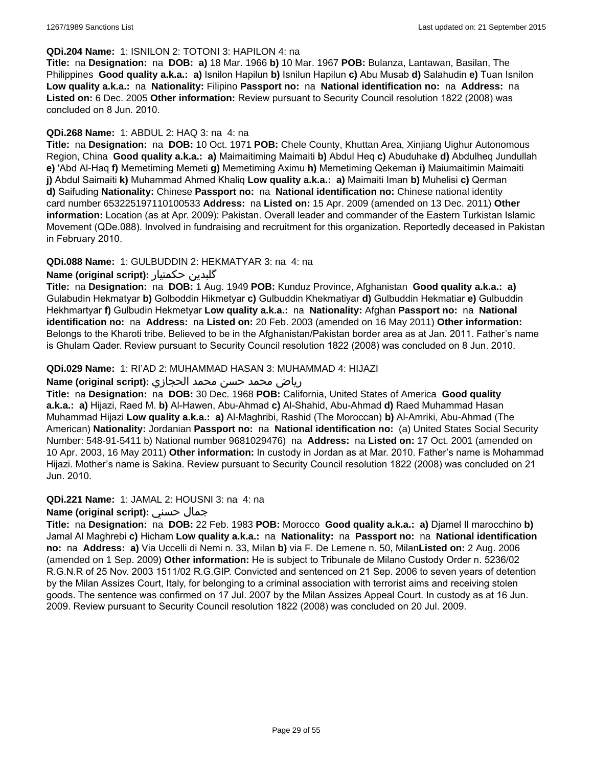#### **QDi.204 Name:** 1: ISNILON 2: TOTONI 3: HAPILON 4: na

**Title:** na **Designation:** na **DOB: a)** 18 Mar. 1966 **b)** 10 Mar. 1967 **POB:** Bulanza, Lantawan, Basilan, The Philippines **Good quality a.k.a.: a)** Isnilon Hapilun **b)** Isnilun Hapilun **c)** Abu Musab **d)** Salahudin **e)** Tuan Isnilon **Low quality a.k.a.:** na **Nationality:** Filipino **Passport no:** na **National identification no:** na **Address:** na **Listed on:** 6 Dec. 2005 **Other information:** Review pursuant to Security Council resolution 1822 (2008) was concluded on 8 Jun. 2010.

#### **QDi.268 Name:** 1: ABDUL 2: HAQ 3: na 4: na

**Title:** na **Designation:** na **DOB:** 10 Oct. 1971 **POB:** Chele County, Khuttan Area, Xinjiang Uighur Autonomous Region, China **Good quality a.k.a.: a)** Maimaitiming Maimaiti **b)** Abdul Heq **c)** Abuduhake **d)** Abdulheq Jundullah **e)** 'Abd Al-Haq **f)** Memetiming Memeti **g)** Memetiming Aximu **h)** Memetiming Qekeman **i)** Maiumaitimin Maimaiti **j)** Abdul Saimaiti **k)** Muhammad Ahmed Khaliq **Low quality a.k.a.: a)** Maimaiti Iman **b)** Muhelisi **c)** Qerman **d)** Saifuding **Nationality:** Chinese **Passport no:** na **National identification no:** Chinese national identity card number 653225197110100533 **Address:** na **Listed on:** 15 Apr. 2009 (amended on 13 Dec. 2011) **Other information:** Location (as at Apr. 2009): Pakistan. Overall leader and commander of the Eastern Turkistan Islamic Movement (QDe.088). Involved in fundraising and recruitment for this organization. Reportedly deceased in Pakistan in February 2010.

## **QDi.088 Name:** 1: GULBUDDIN 2: HEKMATYAR 3: na 4: na

## **Name (original script):** حکمتیار گلبدین

**Title:** na **Designation:** na **DOB:** 1 Aug. 1949 **POB:** Kunduz Province, Afghanistan **Good quality a.k.a.: a)** Gulabudin Hekmatyar **b)** Golboddin Hikmetyar **c)** Gulbuddin Khekmatiyar **d)** Gulbuddin Hekmatiar **e)** Gulbuddin Hekhmartyar **f)** Gulbudin Hekmetyar **Low quality a.k.a.:** na **Nationality:** Afghan **Passport no:** na **National identification no:** na **Address:** na **Listed on:** 20 Feb. 2003 (amended on 16 May 2011) **Other information:** Belongs to the Kharoti tribe. Believed to be in the Afghanistan/Pakistan border area as at Jan. 2011. Father's name is Ghulam Qader. Review pursuant to Security Council resolution 1822 (2008) was concluded on 8 Jun. 2010.

#### **QDi.029 Name:** 1: RI'AD 2: MUHAMMAD HASAN 3: MUHAMMAD 4: HIJAZI

## رياض محمد حسن محمد الحجازي **:(script original (Name**

**Title:** na **Designation:** na **DOB:** 30 Dec. 1968 **POB:** California, United States of America **Good quality a.k.a.: a)** Hijazi, Raed M. **b)** Al-Hawen, Abu-Ahmad **c)** Al-Shahid, Abu-Ahmad **d)** Raed Muhammad Hasan Muhammad Hijazi **Low quality a.k.a.: a)** Al-Maghribi, Rashid (The Moroccan) **b)** Al-Amriki, Abu-Ahmad (The American) **Nationality:** Jordanian **Passport no:** na **National identification no:** (a) United States Social Security Number: 548-91-5411 b) National number 9681029476) na **Address:** na **Listed on:** 17 Oct. 2001 (amended on 10 Apr. 2003, 16 May 2011) **Other information:** In custody in Jordan as at Mar. 2010. Father's name is Mohammad Hijazi. Mother's name is Sakina. Review pursuant to Security Council resolution 1822 (2008) was concluded on 21 Jun. 2010.

#### **QDi.221 Name:** 1: JAMAL 2: HOUSNI 3: na 4: na

#### **Name (original script):** حسني جمال

**Title:** na **Designation:** na **DOB:** 22 Feb. 1983 **POB:** Morocco **Good quality a.k.a.: a)** Djamel Il marocchino **b)** Jamal Al Maghrebi **c)** Hicham **Low quality a.k.a.:** na **Nationality:** na **Passport no:** na **National identification no:** na **Address: a)** Via Uccelli di Nemi n. 33, Milan **b)** via F. De Lemene n. 50, Milan**Listed on:** 2 Aug. 2006 (amended on 1 Sep. 2009) **Other information:** He is subject to Tribunale de Milano Custody Order n. 5236/02 R.G.N.R of 25 Nov. 2003 1511/02 R.G.GIP. Convicted and sentenced on 21 Sep. 2006 to seven years of detention by the Milan Assizes Court, Italy, for belonging to a criminal association with terrorist aims and receiving stolen goods. The sentence was confirmed on 17 Jul. 2007 by the Milan Assizes Appeal Court. In custody as at 16 Jun. 2009. Review pursuant to Security Council resolution 1822 (2008) was concluded on 20 Jul. 2009.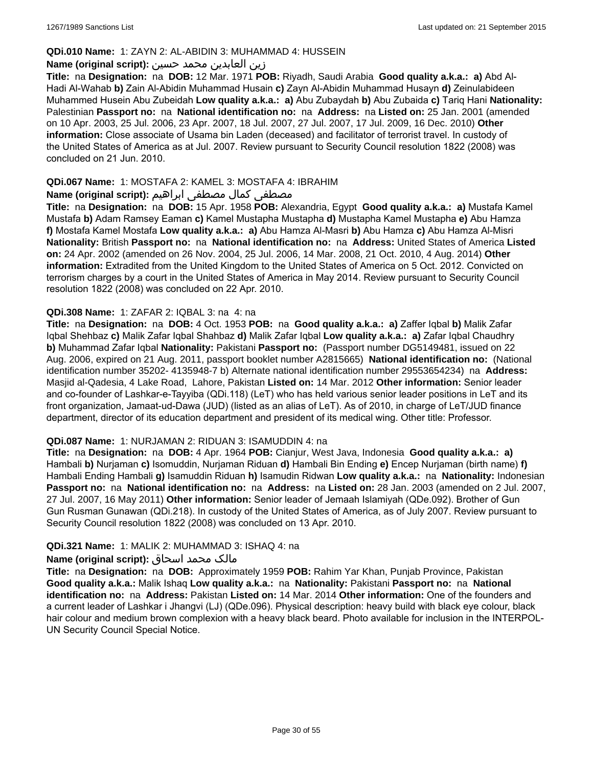#### **QDi.010 Name:** 1: ZAYN 2: AL-ABIDIN 3: MUHAMMAD 4: HUSSEIN

#### زين العابدين محمد حسين **:(script original (Name**

**Title:** na **Designation:** na **DOB:** 12 Mar. 1971 **POB:** Riyadh, Saudi Arabia **Good quality a.k.a.: a)** Abd Al-Hadi Al-Wahab **b)** Zain Al-Abidin Muhammad Husain **c)** Zayn Al-Abidin Muhammad Husayn **d)** Zeinulabideen Muhammed Husein Abu Zubeidah **Low quality a.k.a.: a)** Abu Zubaydah **b)** Abu Zubaida **c)** Tariq Hani **Nationality:** Palestinian **Passport no:** na **National identification no:** na **Address:** na **Listed on:** 25 Jan. 2001 (amended on 10 Apr. 2003, 25 Jul. 2006, 23 Apr. 2007, 18 Jul. 2007, 27 Jul. 2007, 17 Jul. 2009, 16 Dec. 2010) **Other information:** Close associate of Usama bin Laden (deceased) and facilitator of terrorist travel. In custody of the United States of America as at Jul. 2007. Review pursuant to Security Council resolution 1822 (2008) was concluded on 21 Jun. 2010.

#### **QDi.067 Name:** 1: MOSTAFA 2: KAMEL 3: MOSTAFA 4: IBRAHIM

#### مصطفى كمال مصطفى ابراهيم **:Name (original script**)

**Title:** na **Designation:** na **DOB:** 15 Apr. 1958 **POB:** Alexandria, Egypt **Good quality a.k.a.: a)** Mustafa Kamel Mustafa **b)** Adam Ramsey Eaman **c)** Kamel Mustapha Mustapha **d)** Mustapha Kamel Mustapha **e)** Abu Hamza **f)** Mostafa Kamel Mostafa **Low quality a.k.a.: a)** Abu Hamza Al-Masri **b)** Abu Hamza **c)** Abu Hamza Al-Misri **Nationality:** British **Passport no:** na **National identification no:** na **Address:** United States of America **Listed on:** 24 Apr. 2002 (amended on 26 Nov. 2004, 25 Jul. 2006, 14 Mar. 2008, 21 Oct. 2010, 4 Aug. 2014) **Other information:** Extradited from the United Kingdom to the United States of America on 5 Oct. 2012. Convicted on terrorism charges by a court in the United States of America in May 2014. Review pursuant to Security Council resolution 1822 (2008) was concluded on 22 Apr. 2010.

#### **QDi.308 Name:** 1: ZAFAR 2: IQBAL 3: na 4: na

**Title:** na **Designation:** na **DOB:** 4 Oct. 1953 **POB:** na **Good quality a.k.a.: a)** Zaffer Iqbal **b)** Malik Zafar Iqbal Shehbaz **c)** Malik Zafar Iqbal Shahbaz **d)** Malik Zafar Iqbal **Low quality a.k.a.: a)** Zafar Iqbal Chaudhry **b)** Muhammad Zafar Iqbal **Nationality:** Pakistani **Passport no:** (Passport number DG5149481, issued on 22 Aug. 2006, expired on 21 Aug. 2011, passport booklet number A2815665) **National identification no:** (National identification number 35202- 4135948-7 b) Alternate national identification number 29553654234) na **Address:** Masjid al-Qadesia, 4 Lake Road, Lahore, Pakistan **Listed on:** 14 Mar. 2012 **Other information:** Senior leader and co-founder of Lashkar-e-Tayyiba (QDi.118) (LeT) who has held various senior leader positions in LeT and its front organization, Jamaat-ud-Dawa (JUD) (listed as an alias of LeT). As of 2010, in charge of LeT/JUD finance department, director of its education department and president of its medical wing. Other title: Professor.

#### **QDi.087 Name:** 1: NURJAMAN 2: RIDUAN 3: ISAMUDDIN 4: na

**Title:** na **Designation:** na **DOB:** 4 Apr. 1964 **POB:** Cianjur, West Java, Indonesia **Good quality a.k.a.: a)** Hambali **b)** Nurjaman **c)** Isomuddin, Nurjaman Riduan **d)** Hambali Bin Ending **e)** Encep Nurjaman (birth name) **f)** Hambali Ending Hambali **g)** Isamuddin Riduan **h)** Isamudin Ridwan **Low quality a.k.a.:** na **Nationality:** Indonesian **Passport no:** na **National identification no:** na **Address:** na **Listed on:** 28 Jan. 2003 (amended on 2 Jul. 2007, 27 Jul. 2007, 16 May 2011) **Other information:** Senior leader of Jemaah Islamiyah (QDe.092). Brother of Gun Gun Rusman Gunawan (QDi.218). In custody of the United States of America, as of July 2007. Review pursuant to Security Council resolution 1822 (2008) was concluded on 13 Apr. 2010.

#### **QDi.321 Name:** 1: MALIK 2: MUHAMMAD 3: ISHAQ 4: na

## مالک محمد اسحاق **:(Name (original script**

**Title:** na **Designation:** na **DOB:** Approximately 1959 **POB:** Rahim Yar Khan, Punjab Province, Pakistan **Good quality a.k.a.:** Malik Ishaq **Low quality a.k.a.:** na **Nationality:** Pakistani **Passport no:** na **National identification no:** na **Address:** Pakistan **Listed on:** 14 Mar. 2014 **Other information:** One of the founders and a current leader of Lashkar i Jhangvi (LJ) (QDe.096). Physical description: heavy build with black eye colour, black hair colour and medium brown complexion with a heavy black beard. Photo available for inclusion in the INTERPOL-UN Security Council Special Notice.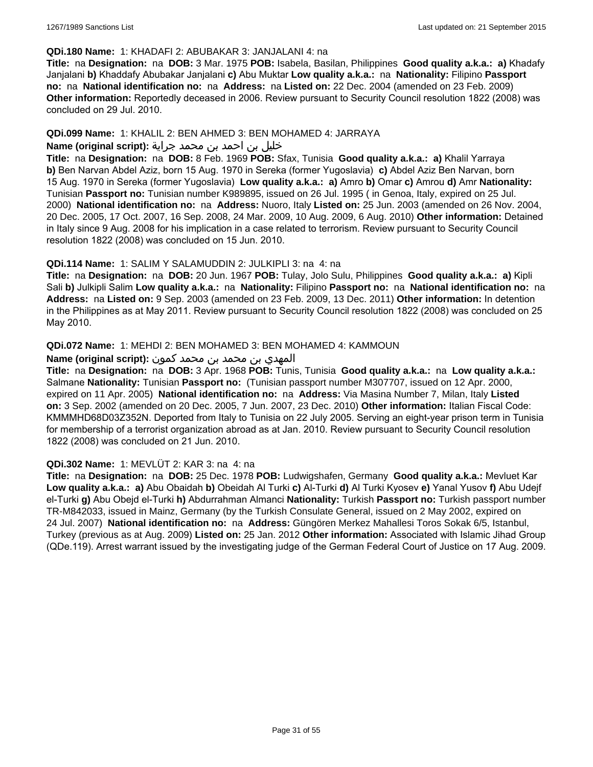#### **QDi.180 Name:** 1: KHADAFI 2: ABUBAKAR 3: JANJALANI 4: na

**Title:** na **Designation:** na **DOB:** 3 Mar. 1975 **POB:** Isabela, Basilan, Philippines **Good quality a.k.a.: a)** Khadafy Janjalani **b)** Khaddafy Abubakar Janjalani **c)** Abu Muktar **Low quality a.k.a.:** na **Nationality:** Filipino **Passport no:** na **National identification no:** na **Address:** na **Listed on:** 22 Dec. 2004 (amended on 23 Feb. 2009) **Other information:** Reportedly deceased in 2006. Review pursuant to Security Council resolution 1822 (2008) was concluded on 29 Jul. 2010.

#### **QDi.099 Name:** 1: KHALIL 2: BEN AHMED 3: BEN MOHAMED 4: JARRAYA

#### خليل بن احمد بن محمد جراية **:(script original (Name**

**Title:** na **Designation:** na **DOB:** 8 Feb. 1969 **POB:** Sfax, Tunisia **Good quality a.k.a.: a)** Khalil Yarraya **b)** Ben Narvan Abdel Aziz, born 15 Aug. 1970 in Sereka (former Yugoslavia) **c)** Abdel Aziz Ben Narvan, born 15 Aug. 1970 in Sereka (former Yugoslavia) **Low quality a.k.a.: a)** Amro **b)** Omar **c)** Amrou **d)** Amr **Nationality:** Tunisian **Passport no:** Tunisian number K989895, issued on 26 Jul. 1995 ( in Genoa, Italy, expired on 25 Jul. 2000) **National identification no:** na **Address:** Nuoro, Italy **Listed on:** 25 Jun. 2003 (amended on 26 Nov. 2004, 20 Dec. 2005, 17 Oct. 2007, 16 Sep. 2008, 24 Mar. 2009, 10 Aug. 2009, 6 Aug. 2010) **Other information:** Detained in Italy since 9 Aug. 2008 for his implication in a case related to terrorism. Review pursuant to Security Council resolution 1822 (2008) was concluded on 15 Jun. 2010.

#### **QDi.114 Name:** 1: SALIM Y SALAMUDDIN 2: JULKIPLI 3: na 4: na

**Title:** na **Designation:** na **DOB:** 20 Jun. 1967 **POB:** Tulay, Jolo Sulu, Philippines **Good quality a.k.a.: a)** Kipli Sali **b)** Julkipli Salim **Low quality a.k.a.:** na **Nationality:** Filipino **Passport no:** na **National identification no:** na **Address:** na **Listed on:** 9 Sep. 2003 (amended on 23 Feb. 2009, 13 Dec. 2011) **Other information:** In detention in the Philippines as at May 2011. Review pursuant to Security Council resolution 1822 (2008) was concluded on 25 May 2010.

#### **QDi.072 Name:** 1: MEHDI 2: BEN MOHAMED 3: BEN MOHAMED 4: KAMMOUN

#### المهدي بن محمد بن محمد كمون **:(script original (Name**

**Title:** na **Designation:** na **DOB:** 3 Apr. 1968 **POB:** Tunis, Tunisia **Good quality a.k.a.:** na **Low quality a.k.a.:** Salmane **Nationality:** Tunisian **Passport no:** (Tunisian passport number M307707, issued on 12 Apr. 2000, expired on 11 Apr. 2005) **National identification no:** na **Address:** Via Masina Number 7, Milan, Italy **Listed on:** 3 Sep. 2002 (amended on 20 Dec. 2005, 7 Jun. 2007, 23 Dec. 2010) **Other information:** Italian Fiscal Code: KMMMHD68D03Z352N. Deported from Italy to Tunisia on 22 July 2005. Serving an eight-year prison term in Tunisia for membership of a terrorist organization abroad as at Jan. 2010. Review pursuant to Security Council resolution 1822 (2008) was concluded on 21 Jun. 2010.

#### **QDi.302 Name:** 1: MEVLÜT 2: KAR 3: na 4: na

**Title:** na **Designation:** na **DOB:** 25 Dec. 1978 **POB:** Ludwigshafen, Germany **Good quality a.k.a.:** Mevluet Kar **Low quality a.k.a.: a)** Abu Obaidah **b)** Obeidah Al Turki **c)** Al-Turki **d)** Al Turki Kyosev **e)** Yanal Yusov **f)** Abu Udejf el-Turki **g)** Abu Obejd el-Turki **h)** Abdurrahman Almanci **Nationality:** Turkish **Passport no:** Turkish passport number TR-M842033, issued in Mainz, Germany (by the Turkish Consulate General, issued on 2 May 2002, expired on 24 Jul. 2007) **National identification no:** na **Address:** Güngören Merkez Mahallesi Toros Sokak 6/5, Istanbul, Turkey (previous as at Aug. 2009) **Listed on:** 25 Jan. 2012 **Other information:** Associated with Islamic Jihad Group (QDe.119). Arrest warrant issued by the investigating judge of the German Federal Court of Justice on 17 Aug. 2009.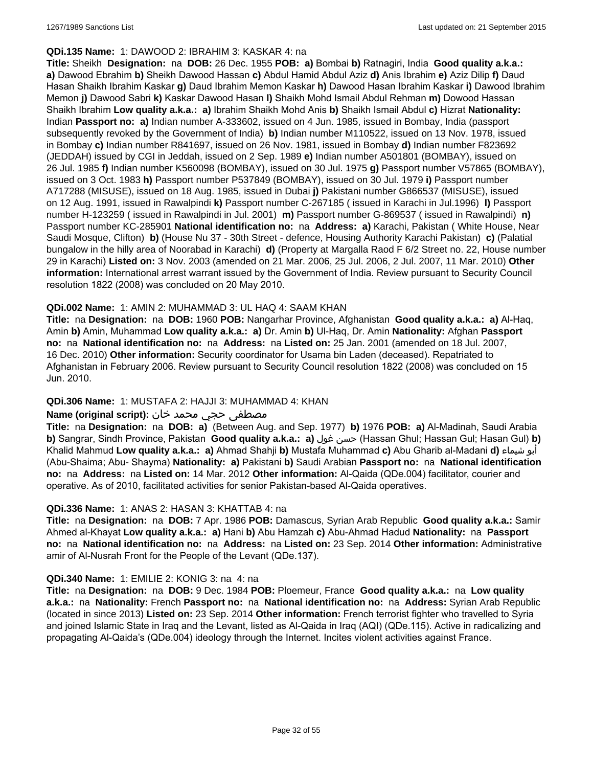#### **QDi.135 Name:** 1: DAWOOD 2: IBRAHIM 3: KASKAR 4: na

**Title:** Sheikh **Designation:** na **DOB:** 26 Dec. 1955 **POB: a)** Bombai **b)** Ratnagiri, India **Good quality a.k.a.: a)** Dawood Ebrahim **b)** Sheikh Dawood Hassan **c)** Abdul Hamid Abdul Aziz **d)** Anis Ibrahim **e)** Aziz Dilip **f)** Daud Hasan Shaikh Ibrahim Kaskar **g)** Daud Ibrahim Memon Kaskar **h)** Dawood Hasan Ibrahim Kaskar **i)** Dawood Ibrahim Memon **j)** Dawood Sabri **k)** Kaskar Dawood Hasan **l)** Shaikh Mohd Ismail Abdul Rehman **m)** Dowood Hassan Shaikh Ibrahim **Low quality a.k.a.: a)** Ibrahim Shaikh Mohd Anis **b)** Shaikh Ismail Abdul **c)** Hizrat **Nationality:** Indian **Passport no: a)** Indian number A-333602, issued on 4 Jun. 1985, issued in Bombay, India (passport subsequently revoked by the Government of India) **b)** Indian number M110522, issued on 13 Nov. 1978, issued in Bombay **c)** Indian number R841697, issued on 26 Nov. 1981, issued in Bombay **d)** Indian number F823692 (JEDDAH) issued by CGI in Jeddah, issued on 2 Sep. 1989 **e)** Indian number A501801 (BOMBAY), issued on 26 Jul. 1985 **f)** Indian number K560098 (BOMBAY), issued on 30 Jul. 1975 **g)** Passport number V57865 (BOMBAY), issued on 3 Oct. 1983 **h)** Passport number P537849 (BOMBAY), issued on 30 Jul. 1979 **i)** Passport number A717288 (MISUSE), issued on 18 Aug. 1985, issued in Dubai **j)** Pakistani number G866537 (MISUSE), issued on 12 Aug. 1991, issued in Rawalpindi **k)** Passport number C-267185 ( issued in Karachi in Jul.1996) **l)** Passport number H-123259 ( issued in Rawalpindi in Jul. 2001) **m)** Passport number G-869537 ( issued in Rawalpindi) **n)** Passport number KC-285901 **National identification no:** na **Address: a)** Karachi, Pakistan ( White House, Near Saudi Mosque, Clifton) **b)** (House Nu 37 - 30th Street - defence, Housing Authority Karachi Pakistan) **c)** (Palatial bungalow in the hilly area of Noorabad in Karachi) **d)** (Property at Margalla Raod F 6/2 Street no. 22, House number 29 in Karachi) **Listed on:** 3 Nov. 2003 (amended on 21 Mar. 2006, 25 Jul. 2006, 2 Jul. 2007, 11 Mar. 2010) **Other information:** International arrest warrant issued by the Government of India. Review pursuant to Security Council resolution 1822 (2008) was concluded on 20 May 2010.

#### **QDi.002 Name:** 1: AMIN 2: MUHAMMAD 3: UL HAQ 4: SAAM KHAN

**Title:** na **Designation:** na **DOB:** 1960 **POB:** Nangarhar Province, Afghanistan **Good quality a.k.a.: a)** Al-Haq, Amin **b)** Amin, Muhammad **Low quality a.k.a.: a)** Dr. Amin **b)** Ul-Haq, Dr. Amin **Nationality:** Afghan **Passport no:** na **National identification no:** na **Address:** na **Listed on:** 25 Jan. 2001 (amended on 18 Jul. 2007, 16 Dec. 2010) **Other information:** Security coordinator for Usama bin Laden (deceased). Repatriated to Afghanistan in February 2006. Review pursuant to Security Council resolution 1822 (2008) was concluded on 15 Jun. 2010.

## **QDi.306 Name:** 1: MUSTAFA 2: HAJJI 3: MUHAMMAD 4: KHAN

#### مصطفى حجي محمد خان **:Name (original script)**

**Title:** na **Designation:** na **DOB: a)** (Between Aug. and Sep. 1977) **b)** 1976 **POB: a)** Al-Madinah, Saudi Arabia **b)** Sangrar, Sindh Province, Pakistan **Good quality a.k.a.: a)** غول حسن) Hassan Ghul; Hassan Gul; Hasan Gul) **b)** Khalid Mahmud **Low quality a.k.a.: a)** Ahmad Shahji **b)** Mustafa Muhammad **c)** Abu Gharib al-Madani **d)** شيماء أبو (Abu-Shaima; Abu- Shayma) **Nationality: a)** Pakistani **b)** Saudi Arabian **Passport no:** na **National identification no:** na **Address:** na **Listed on:** 14 Mar. 2012 **Other information:** Al-Qaida (QDe.004) facilitator, courier and operative. As of 2010, facilitated activities for senior Pakistan-based Al-Qaida operatives.

#### **QDi.336 Name:** 1: ANAS 2: HASAN 3: KHATTAB 4: na

**Title:** na **Designation:** na **DOB:** 7 Apr. 1986 **POB:** Damascus, Syrian Arab Republic **Good quality a.k.a.:** Samir Ahmed al-Khayat **Low quality a.k.a.: a)** Hani **b)** Abu Hamzah **c)** Abu-Ahmad Hadud **Nationality:** na **Passport no:** na **National identification no:** na **Address:** na **Listed on:** 23 Sep. 2014 **Other information:** Administrative amir of Al-Nusrah Front for the People of the Levant (QDe.137).

#### **QDi.340 Name:** 1: EMILIE 2: KONIG 3: na 4: na

**Title:** na **Designation:** na **DOB:** 9 Dec. 1984 **POB:** Ploemeur, France **Good quality a.k.a.:** na **Low quality a.k.a.:** na **Nationality:** French **Passport no:** na **National identification no:** na **Address:** Syrian Arab Republic (located in since 2013) **Listed on:** 23 Sep. 2014 **Other information:** French terrorist fighter who travelled to Syria and joined Islamic State in Iraq and the Levant, listed as Al-Qaida in Iraq (AQI) (QDe.115). Active in radicalizing and propagating Al-Qaida's (QDe.004) ideology through the Internet. Incites violent activities against France.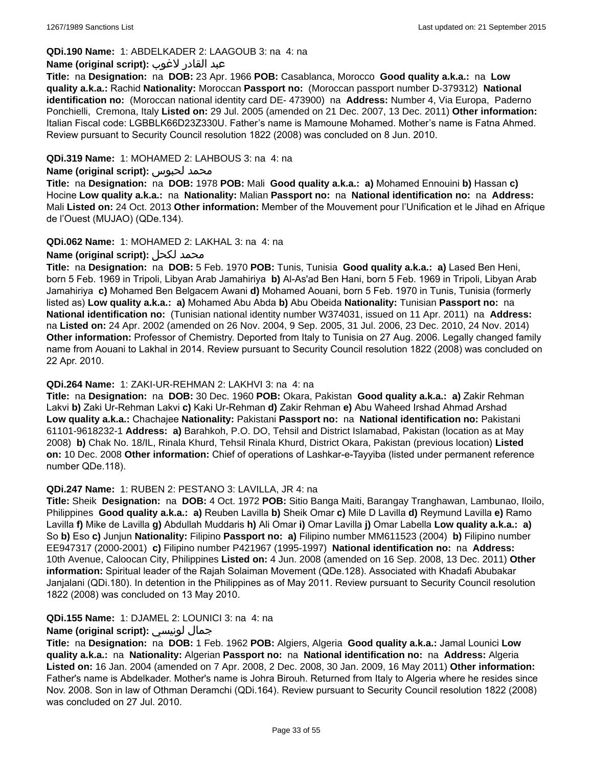## **QDi.190 Name:** 1: ABDELKADER 2: LAAGOUB 3: na 4: na

#### عبد القادر لاغوب **:(script original (Name**

**Title:** na **Designation:** na **DOB:** 23 Apr. 1966 **POB:** Casablanca, Morocco **Good quality a.k.a.:** na **Low quality a.k.a.:** Rachid **Nationality:** Moroccan **Passport no:** (Moroccan passport number D-379312) **National identification no:** (Moroccan national identity card DE- 473900) na **Address:** Number 4, Via Europa, Paderno Ponchielli, Cremona, Italy **Listed on:** 29 Jul. 2005 (amended on 21 Dec. 2007, 13 Dec. 2011) **Other information:** Italian Fiscal code: LGBBLK66D23Z330U. Father's name is Mamoune Mohamed. Mother's name is Fatna Ahmed. Review pursuant to Security Council resolution 1822 (2008) was concluded on 8 Jun. 2010.

#### **QDi.319 Name:** 1: MOHAMED 2: LAHBOUS 3: na 4: na

#### **Name (original script):** لحبوس محمد

**Title:** na **Designation:** na **DOB:** 1978 **POB:** Mali **Good quality a.k.a.: a)** Mohamed Ennouini **b)** Hassan **c)** Hocine **Low quality a.k.a.:** na **Nationality:** Malian **Passport no:** na **National identification no:** na **Address:** Mali **Listed on:** 24 Oct. 2013 **Other information:** Member of the Mouvement pour l'Unification et le Jihad en Afrique de l'Ouest (MUJAO) (QDe.134).

#### **QDi.062 Name:** 1: MOHAMED 2: LAKHAL 3: na 4: na

## **Name (original script):** لكحل محمد

**Title:** na **Designation:** na **DOB:** 5 Feb. 1970 **POB:** Tunis, Tunisia **Good quality a.k.a.: a)** Lased Ben Heni, born 5 Feb. 1969 in Tripoli, Libyan Arab Jamahiriya **b)** Al-As'ad Ben Hani, born 5 Feb. 1969 in Tripoli, Libyan Arab Jamahiriya **c)** Mohamed Ben Belgacem Awani **d)** Mohamed Aouani, born 5 Feb. 1970 in Tunis, Tunisia (formerly listed as) **Low quality a.k.a.: a)** Mohamed Abu Abda **b)** Abu Obeida **Nationality:** Tunisian **Passport no:** na **National identification no:** (Tunisian national identity number W374031, issued on 11 Apr. 2011) na **Address:**  na **Listed on:** 24 Apr. 2002 (amended on 26 Nov. 2004, 9 Sep. 2005, 31 Jul. 2006, 23 Dec. 2010, 24 Nov. 2014) **Other information:** Professor of Chemistry. Deported from Italy to Tunisia on 27 Aug. 2006. Legally changed family name from Aouani to Lakhal in 2014. Review pursuant to Security Council resolution 1822 (2008) was concluded on 22 Apr. 2010.

#### **QDi.264 Name:** 1: ZAKI-UR-REHMAN 2: LAKHVI 3: na 4: na

**Title:** na **Designation:** na **DOB:** 30 Dec. 1960 **POB:** Okara, Pakistan **Good quality a.k.a.: a)** Zakir Rehman Lakvi **b)** Zaki Ur-Rehman Lakvi **c)** Kaki Ur-Rehman **d)** Zakir Rehman **e)** Abu Waheed Irshad Ahmad Arshad **Low quality a.k.a.:** Chachajee **Nationality:** Pakistani **Passport no:** na **National identification no:** Pakistani 61101-9618232-1 **Address: a)** Barahkoh, P.O. DO, Tehsil and District Islamabad, Pakistan (location as at May 2008) **b)** Chak No. 18/IL, Rinala Khurd, Tehsil Rinala Khurd, District Okara, Pakistan (previous location) **Listed on:** 10 Dec. 2008 **Other information:** Chief of operations of Lashkar-e-Tayyiba (listed under permanent reference number QDe.118).

#### **QDi.247 Name:** 1: RUBEN 2: PESTANO 3: LAVILLA, JR 4: na

**Title:** Sheik **Designation:** na **DOB:** 4 Oct. 1972 **POB:** Sitio Banga Maiti, Barangay Tranghawan, Lambunao, Iloilo, Philippines **Good quality a.k.a.: a)** Reuben Lavilla **b)** Sheik Omar **c)** Mile D Lavilla **d)** Reymund Lavilla **e)** Ramo Lavilla **f)** Mike de Lavilla **g)** Abdullah Muddaris **h)** Ali Omar **i)** Omar Lavilla **j)** Omar Labella **Low quality a.k.a.: a)** So **b)** Eso **c)** Junjun **Nationality:** Filipino **Passport no: a)** Filipino number MM611523 (2004) **b)** Filipino number EE947317 (2000-2001) **c)** Filipino number P421967 (1995-1997) **National identification no:** na **Address:** 10th Avenue, Caloocan City, Philippines **Listed on:** 4 Jun. 2008 (amended on 16 Sep. 2008, 13 Dec. 2011) **Other information:** Spiritual leader of the Rajah Solaiman Movement (QDe.128). Associated with Khadafi Abubakar Janjalani (QDi.180). In detention in the Philippines as of May 2011. Review pursuant to Security Council resolution 1822 (2008) was concluded on 13 May 2010.

## **QDi.155 Name:** 1: DJAMEL 2: LOUNICI 3: na 4: na

## **Name (original script):** لونيسي جمال

**Title:** na **Designation:** na **DOB:** 1 Feb. 1962 **POB:** Algiers, Algeria **Good quality a.k.a.:** Jamal Lounici **Low quality a.k.a.:** na **Nationality:** Algerian **Passport no:** na **National identification no:** na **Address:** Algeria **Listed on:** 16 Jan. 2004 (amended on 7 Apr. 2008, 2 Dec. 2008, 30 Jan. 2009, 16 May 2011) **Other information:** Father's name is Abdelkader. Mother's name is Johra Birouh. Returned from Italy to Algeria where he resides since Nov. 2008. Son in law of Othman Deramchi (QDi.164). Review pursuant to Security Council resolution 1822 (2008) was concluded on 27 Jul. 2010.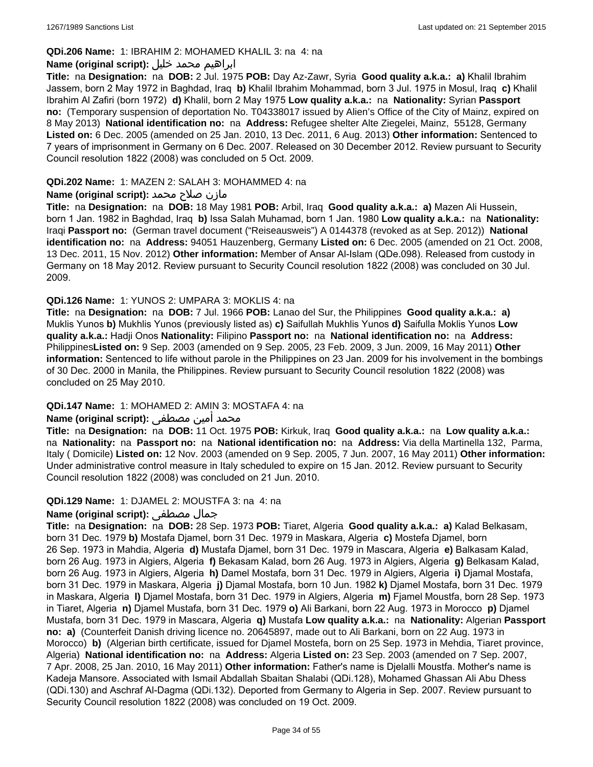#### **QDi.206 Name:** 1: IBRAHIM 2: MOHAMED KHALIL 3: na 4: na

#### ابراهيم محمد خليل **:(script original (Name**

**Title:** na **Designation:** na **DOB:** 2 Jul. 1975 **POB:** Day Az-Zawr, Syria **Good quality a.k.a.: a)** Khalil Ibrahim Jassem, born 2 May 1972 in Baghdad, Iraq **b)** Khalil Ibrahim Mohammad, born 3 Jul. 1975 in Mosul, Iraq **c)** Khalil Ibrahim Al Zafiri (born 1972) **d)** Khalil, born 2 May 1975 **Low quality a.k.a.:** na **Nationality:** Syrian **Passport no:** (Temporary suspension of deportation No. T04338017 issued by Alien's Office of the City of Mainz, expired on 8 May 2013) **National identification no:** na **Address:** Refugee shelter Alte Ziegelei, Mainz, 55128, Germany **Listed on:** 6 Dec. 2005 (amended on 25 Jan. 2010, 13 Dec. 2011, 6 Aug. 2013) **Other information:** Sentenced to 7 years of imprisonment in Germany on 6 Dec. 2007. Released on 30 December 2012. Review pursuant to Security Council resolution 1822 (2008) was concluded on 5 Oct. 2009.

#### **QDi.202 Name:** 1: MAZEN 2: SALAH 3: MOHAMMED 4: na

#### مازن صلاح محمد **:Name (original script)**

**Title:** na **Designation:** na **DOB:** 18 May 1981 **POB:** Arbil, Iraq **Good quality a.k.a.: a)** Mazen Ali Hussein, born 1 Jan. 1982 in Baghdad, Iraq **b)** Issa Salah Muhamad, born 1 Jan. 1980 **Low quality a.k.a.:** na **Nationality:** Iraqi **Passport no:** (German travel document ("Reiseausweis") A 0144378 (revoked as at Sep. 2012)) **National identification no:** na **Address:** 94051 Hauzenberg, Germany **Listed on:** 6 Dec. 2005 (amended on 21 Oct. 2008, 13 Dec. 2011, 15 Nov. 2012) **Other information:** Member of Ansar Al-Islam (QDe.098). Released from custody in Germany on 18 May 2012. Review pursuant to Security Council resolution 1822 (2008) was concluded on 30 Jul. 2009.

#### **QDi.126 Name:** 1: YUNOS 2: UMPARA 3: MOKLIS 4: na

**Title:** na **Designation:** na **DOB:** 7 Jul. 1966 **POB:** Lanao del Sur, the Philippines **Good quality a.k.a.: a)** Muklis Yunos **b)** Mukhlis Yunos (previously listed as) **c)** Saifullah Mukhlis Yunos **d)** Saifulla Moklis Yunos **Low quality a.k.a.:** Hadji Onos **Nationality:** Filipino **Passport no:** na **National identification no:** na **Address:** Philippines**Listed on:** 9 Sep. 2003 (amended on 9 Sep. 2005, 23 Feb. 2009, 3 Jun. 2009, 16 May 2011) **Other information:** Sentenced to life without parole in the Philippines on 23 Jan. 2009 for his involvement in the bombings of 30 Dec. 2000 in Manila, the Philippines. Review pursuant to Security Council resolution 1822 (2008) was concluded on 25 May 2010.

## **QDi.147 Name:** 1: MOHAMED 2: AMIN 3: MOSTAFA 4: na

## محمد أمين مصطفى :**Name (original script)**

**Title:** na **Designation:** na **DOB:** 11 Oct. 1975 **POB:** Kirkuk, Iraq **Good quality a.k.a.:** na **Low quality a.k.a.:**  na **Nationality:** na **Passport no:** na **National identification no:** na **Address:** Via della Martinella 132, Parma, Italy ( Domicile) **Listed on:** 12 Nov. 2003 (amended on 9 Sep. 2005, 7 Jun. 2007, 16 May 2011) **Other information:** Under administrative control measure in Italy scheduled to expire on 15 Jan. 2012. Review pursuant to Security Council resolution 1822 (2008) was concluded on 21 Jun. 2010.

#### **QDi.129 Name:** 1: DJAMEL 2: MOUSTFA 3: na 4: na

## **Name (original script):** مصطفى جمال

**Title:** na **Designation:** na **DOB:** 28 Sep. 1973 **POB:** Tiaret, Algeria **Good quality a.k.a.: a)** Kalad Belkasam, born 31 Dec. 1979 **b)** Mostafa Djamel, born 31 Dec. 1979 in Maskara, Algeria **c)** Mostefa Djamel, born 26 Sep. 1973 in Mahdia, Algeria **d)** Mustafa Djamel, born 31 Dec. 1979 in Mascara, Algeria **e)** Balkasam Kalad, born 26 Aug. 1973 in Algiers, Algeria **f)** Bekasam Kalad, born 26 Aug. 1973 in Algiers, Algeria **g)** Belkasam Kalad, born 26 Aug. 1973 in Algiers, Algeria **h)** Damel Mostafa, born 31 Dec. 1979 in Algiers, Algeria **i)** Djamal Mostafa, born 31 Dec. 1979 in Maskara, Algeria **j)** Djamal Mostafa, born 10 Jun. 1982 **k)** Djamel Mostafa, born 31 Dec. 1979 in Maskara, Algeria **l)** Djamel Mostafa, born 31 Dec. 1979 in Algiers, Algeria **m)** Fjamel Moustfa, born 28 Sep. 1973 in Tiaret, Algeria **n)** Djamel Mustafa, born 31 Dec. 1979 **o)** Ali Barkani, born 22 Aug. 1973 in Morocco **p)** Djamel Mustafa, born 31 Dec. 1979 in Mascara, Algeria **q)** Mustafa **Low quality a.k.a.:** na **Nationality:** Algerian **Passport no: a)** (Counterfeit Danish driving licence no. 20645897, made out to Ali Barkani, born on 22 Aug. 1973 in Morocco) **b)** (Algerian birth certificate, issued for Djamel Mostefa, born on 25 Sep. 1973 in Mehdia, Tiaret province, Algeria) **National identification no:** na **Address:** Algeria **Listed on:** 23 Sep. 2003 (amended on 7 Sep. 2007, 7 Apr. 2008, 25 Jan. 2010, 16 May 2011) **Other information:** Father's name is Djelalli Moustfa. Mother's name is Kadeja Mansore. Associated with Ismail Abdallah Sbaitan Shalabi (QDi.128), Mohamed Ghassan Ali Abu Dhess (QDi.130) and Aschraf Al-Dagma (QDi.132). Deported from Germany to Algeria in Sep. 2007. Review pursuant to Security Council resolution 1822 (2008) was concluded on 19 Oct. 2009.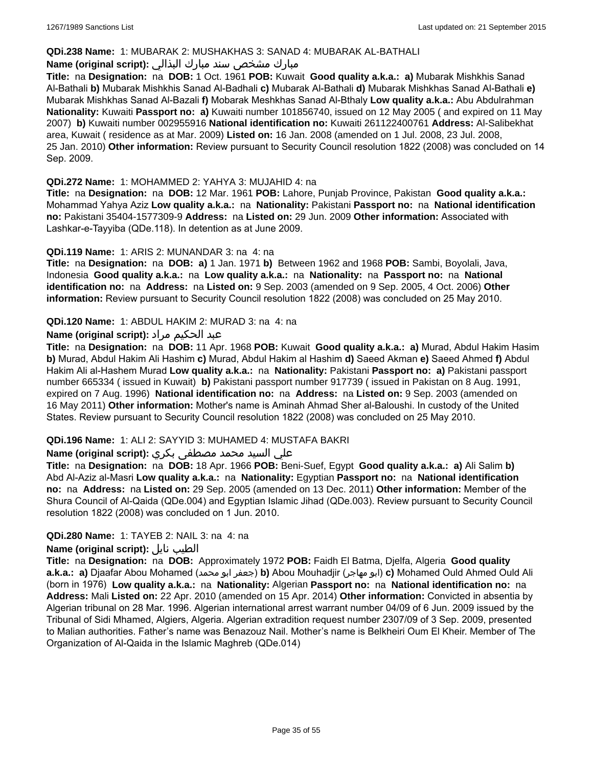#### **QDi.238 Name:** 1: MUBARAK 2: MUSHAKHAS 3: SANAD 4: MUBARAK AL-BATHALI

## مبارك مشخص سند مبارك البذالي **:Name (original script)**

**Title:** na **Designation:** na **DOB:** 1 Oct. 1961 **POB:** Kuwait **Good quality a.k.a.: a)** Mubarak Mishkhis Sanad Al-Bathali **b)** Mubarak Mishkhis Sanad Al-Badhali **c)** Mubarak Al-Bathali **d)** Mubarak Mishkhas Sanad Al-Bathali **e)** Mubarak Mishkhas Sanad Al-Bazali **f)** Mobarak Meshkhas Sanad Al-Bthaly **Low quality a.k.a.:** Abu Abdulrahman **Nationality:** Kuwaiti **Passport no: a)** Kuwaiti number 101856740, issued on 12 May 2005 ( and expired on 11 May 2007) **b)** Kuwaiti number 002955916 **National identification no:** Kuwaiti 261122400761 **Address:** Al-Salibekhat area, Kuwait ( residence as at Mar. 2009) **Listed on:** 16 Jan. 2008 (amended on 1 Jul. 2008, 23 Jul. 2008, 25 Jan. 2010) **Other information:** Review pursuant to Security Council resolution 1822 (2008) was concluded on 14 Sep. 2009.

#### **QDi.272 Name:** 1: MOHAMMED 2: YAHYA 3: MUJAHID 4: na

**Title:** na **Designation:** na **DOB:** 12 Mar. 1961 **POB:** Lahore, Punjab Province, Pakistan **Good quality a.k.a.:** Mohammad Yahya Aziz **Low quality a.k.a.:** na **Nationality:** Pakistani **Passport no:** na **National identification no:** Pakistani 35404-1577309-9 **Address:** na **Listed on:** 29 Jun. 2009 **Other information:** Associated with Lashkar-e-Tayyiba (QDe.118). In detention as at June 2009.

#### **QDi.119 Name:** 1: ARIS 2: MUNANDAR 3: na 4: na

**Title:** na **Designation:** na **DOB: a)** 1 Jan. 1971 **b)** Between 1962 and 1968 **POB:** Sambi, Boyolali, Java, Indonesia **Good quality a.k.a.:** na **Low quality a.k.a.:** na **Nationality:** na **Passport no:** na **National identification no:** na **Address:** na **Listed on:** 9 Sep. 2003 (amended on 9 Sep. 2005, 4 Oct. 2006) **Other information:** Review pursuant to Security Council resolution 1822 (2008) was concluded on 25 May 2010.

#### **QDi.120 Name:** 1: ABDUL HAKIM 2: MURAD 3: na 4: na

## عبد الحكيم مراد **:(script original (Name**

**Title:** na **Designation:** na **DOB:** 11 Apr. 1968 **POB:** Kuwait **Good quality a.k.a.: a)** Murad, Abdul Hakim Hasim **b)** Murad, Abdul Hakim Ali Hashim **c)** Murad, Abdul Hakim al Hashim **d)** Saeed Akman **e)** Saeed Ahmed **f)** Abdul Hakim Ali al-Hashem Murad **Low quality a.k.a.:** na **Nationality:** Pakistani **Passport no: a)** Pakistani passport number 665334 ( issued in Kuwait) **b)** Pakistani passport number 917739 ( issued in Pakistan on 8 Aug. 1991, expired on 7 Aug. 1996) **National identification no:** na **Address:** na **Listed on:** 9 Sep. 2003 (amended on 16 May 2011) **Other information:** Mother's name is Aminah Ahmad Sher al-Baloushi. In custody of the United States. Review pursuant to Security Council resolution 1822 (2008) was concluded on 25 May 2010.

## **QDi.196 Name:** 1: ALI 2: SAYYID 3: MUHAMED 4: MUSTAFA BAKRI

## علي السيد محمد مصطفى بكري **:(script original (Name**

**Title:** na **Designation:** na **DOB:** 18 Apr. 1966 **POB:** Beni-Suef, Egypt **Good quality a.k.a.: a)** Ali Salim **b)** Abd Al-Aziz al-Masri **Low quality a.k.a.:** na **Nationality:** Egyptian **Passport no:** na **National identification no:** na **Address:** na **Listed on:** 29 Sep. 2005 (amended on 13 Dec. 2011) **Other information:** Member of the Shura Council of Al-Qaida (QDe.004) and Egyptian Islamic Jihad (QDe.003). Review pursuant to Security Council resolution 1822 (2008) was concluded on 1 Jun. 2010.

## **QDi.280 Name:** 1: TAYEB 2: NAIL 3: na 4: na

#### **Name (original script):** نايل الطيب

**Title:** na **Designation:** na **DOB:** Approximately 1972 **POB:** Faidh El Batma, Djelfa, Algeria **Good quality a.k.a.: a)** Djaafar Abou Mohamed (محمد ابو جعفر(**b)** Abou Mouhadjir (مهاجر ابو(**c)** Mohamed Ould Ahmed Ould Ali (born in 1976) **Low quality a.k.a.:** na **Nationality:** Algerian **Passport no:** na **National identification no:** na **Address:** Mali **Listed on:** 22 Apr. 2010 (amended on 15 Apr. 2014) **Other information:** Convicted in absentia by Algerian tribunal on 28 Mar. 1996. Algerian international arrest warrant number 04/09 of 6 Jun. 2009 issued by the Tribunal of Sidi Mhamed, Algiers, Algeria. Algerian extradition request number 2307/09 of 3 Sep. 2009, presented to Malian authorities. Father's name was Benazouz Nail. Mother's name is Belkheiri Oum El Kheir. Member of The Organization of Al-Qaida in the Islamic Maghreb (QDe.014)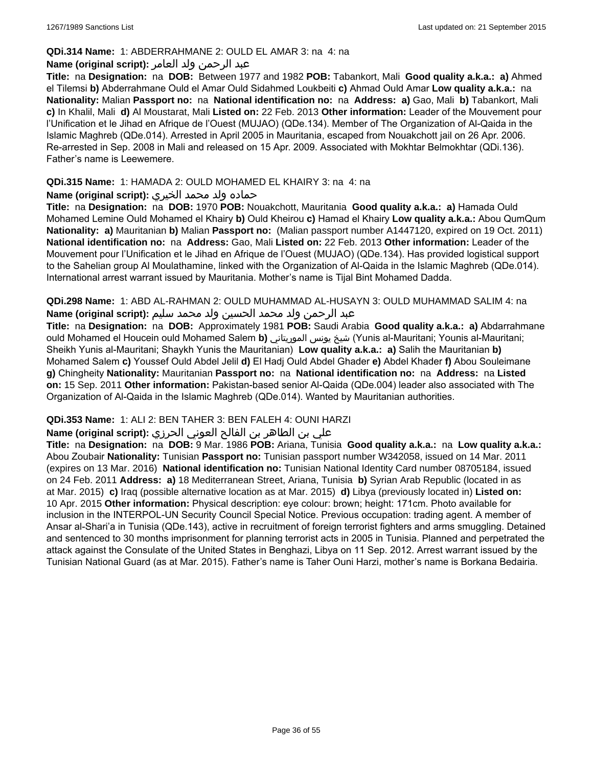#### **QDi.314 Name:** 1: ABDERRAHMANE 2: OULD EL AMAR 3: na 4: na

#### عبد الرحمن ولد العامر **:(script original (Name**

**Title:** na **Designation:** na **DOB:** Between 1977 and 1982 **POB:** Tabankort, Mali **Good quality a.k.a.: a)** Ahmed el Tilemsi **b)** Abderrahmane Ould el Amar Ould Sidahmed Loukbeiti **c)** Ahmad Ould Amar **Low quality a.k.a.:** na **Nationality:** Malian **Passport no:** na **National identification no:** na **Address: a)** Gao, Mali **b)** Tabankort, Mali **c)** In Khalil, Mali **d)** Al Moustarat, Mali **Listed on:** 22 Feb. 2013 **Other information:** Leader of the Mouvement pour l'Unification et le Jihad en Afrique de l'Ouest (MUJAO) (QDe.134). Member of The Organization of Al-Qaida in the Islamic Maghreb (QDe.014). Arrested in April 2005 in Mauritania, escaped from Nouakchott jail on 26 Apr. 2006. Re-arrested in Sep. 2008 in Mali and released on 15 Apr. 2009. Associated with Mokhtar Belmokhtar (QDi.136). Father's name is Leewemere.

## **QDi.315 Name:** 1: HAMADA 2: OULD MOHAMED EL KHAIRY 3: na 4: na

## حماده ولد محمد الخيري **:(script original (Name**

**Title:** na **Designation:** na **DOB:** 1970 **POB:** Nouakchott, Mauritania **Good quality a.k.a.: a)** Hamada Ould Mohamed Lemine Ould Mohamed el Khairy **b)** Ould Kheirou **c)** Hamad el Khairy **Low quality a.k.a.:** Abou QumQum **Nationality: a)** Mauritanian **b)** Malian **Passport no:** (Malian passport number A1447120, expired on 19 Oct. 2011) **National identification no:** na **Address:** Gao, Mali **Listed on:** 22 Feb. 2013 **Other information:** Leader of the Mouvement pour l'Unification et le Jihad en Afrique de l'Ouest (MUJAO) (QDe.134). Has provided logistical support to the Sahelian group Al Moulathamine, linked with the Organization of Al-Qaida in the Islamic Maghreb (QDe.014). International arrest warrant issued by Mauritania. Mother's name is Tijal Bint Mohamed Dadda.

**QDi.298 Name:** 1: ABD AL-RAHMAN 2: OULD MUHAMMAD AL-HUSAYN 3: OULD MUHAMMAD SALIM 4: na عبد الرحمن ولد محمد الحسين ولد محمد سليم **:(script original (Name**

**Title:** na **Designation:** na **DOB:** Approximately 1981 **POB:** Saudi Arabia **Good quality a.k.a.: a)** Abdarrahmane ould Mohamed el Houcein ould Mohamed Salem **b)** الموريتاني يونس شيخ) Yunis al-Mauritani; Younis al-Mauritani; Sheikh Yunis al-Mauritani; Shaykh Yunis the Mauritanian) **Low quality a.k.a.: a)** Salih the Mauritanian **b)** Mohamed Salem **c)** Youssef Ould Abdel Jelil **d)** El Hadj Ould Abdel Ghader **e)** Abdel Khader **f)** Abou Souleimane **g)** Chingheity **Nationality:** Mauritanian **Passport no:** na **National identification no:** na **Address:** na **Listed on:** 15 Sep. 2011 **Other information:** Pakistan-based senior Al-Qaida (QDe.004) leader also associated with The Organization of Al-Qaida in the Islamic Maghreb (QDe.014). Wanted by Mauritanian authorities.

#### **QDi.353 Name:** 1: ALI 2: BEN TAHER 3: BEN FALEH 4: OUNI HARZI

## علي بن الطاھر بن الفالح العوني الحرزي **:(script original (Name**

**Title:** na **Designation:** na **DOB:** 9 Mar. 1986 **POB:** Ariana, Tunisia **Good quality a.k.a.:** na **Low quality a.k.a.:** Abou Zoubair **Nationality:** Tunisian **Passport no:** Tunisian passport number W342058, issued on 14 Mar. 2011 (expires on 13 Mar. 2016) **National identification no:** Tunisian National Identity Card number 08705184, issued on 24 Feb. 2011 **Address: a)** 18 Mediterranean Street, Ariana, Tunisia **b)** Syrian Arab Republic (located in as at Mar. 2015) **c)** Iraq (possible alternative location as at Mar. 2015) **d)** Libya (previously located in) **Listed on:** 10 Apr. 2015 **Other information:** Physical description: eye colour: brown; height: 171cm. Photo available for inclusion in the INTERPOL-UN Security Council Special Notice. Previous occupation: trading agent. A member of Ansar al-Shari'a in Tunisia (QDe.143), active in recruitment of foreign terrorist fighters and arms smuggling. Detained and sentenced to 30 months imprisonment for planning terrorist acts in 2005 in Tunisia. Planned and perpetrated the attack against the Consulate of the United States in Benghazi, Libya on 11 Sep. 2012. Arrest warrant issued by the Tunisian National Guard (as at Mar. 2015). Father's name is Taher Ouni Harzi, mother's name is Borkana Bedairia.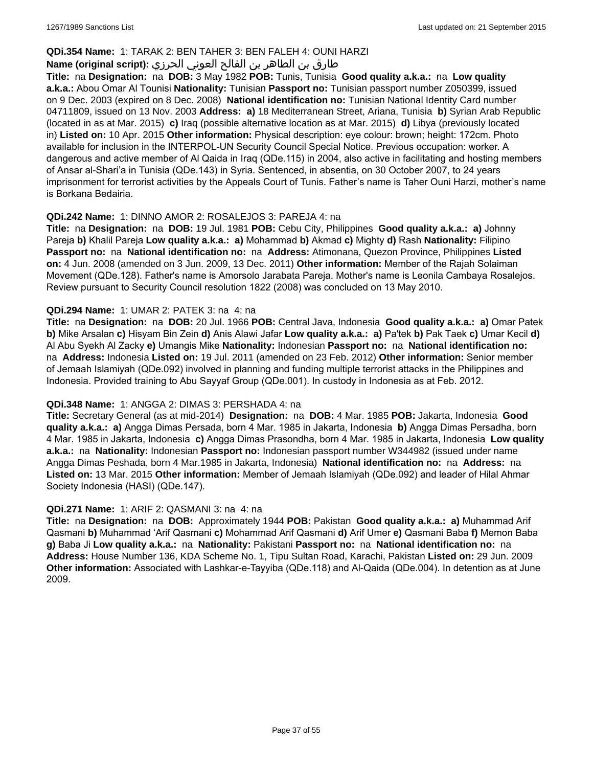## **QDi.354 Name:** 1: TARAK 2: BEN TAHER 3: BEN FALEH 4: OUNI HARZI

## طارق بن الطاھر بن الفالح العوني الحرزي **:(script original (Name**

**Title:** na **Designation:** na **DOB:** 3 May 1982 **POB:** Tunis, Tunisia **Good quality a.k.a.:** na **Low quality a.k.a.:** Abou Omar Al Tounisi **Nationality:** Tunisian **Passport no:** Tunisian passport number Z050399, issued on 9 Dec. 2003 (expired on 8 Dec. 2008) **National identification no:** Tunisian National Identity Card number 04711809, issued on 13 Nov. 2003 **Address: a)** 18 Mediterranean Street, Ariana, Tunisia **b)** Syrian Arab Republic (located in as at Mar. 2015) **c)** Iraq (possible alternative location as at Mar. 2015) **d)** Libya (previously located in) **Listed on:** 10 Apr. 2015 **Other information:** Physical description: eye colour: brown; height: 172cm. Photo available for inclusion in the INTERPOL-UN Security Council Special Notice. Previous occupation: worker. A dangerous and active member of Al Qaida in Iraq (QDe.115) in 2004, also active in facilitating and hosting members of Ansar al-Shari'a in Tunisia (QDe.143) in Syria. Sentenced, in absentia, on 30 October 2007, to 24 years imprisonment for terrorist activities by the Appeals Court of Tunis. Father's name is Taher Ouni Harzi, mother's name is Borkana Bedairia.

#### **QDi.242 Name:** 1: DINNO AMOR 2: ROSALEJOS 3: PAREJA 4: na

**Title:** na **Designation:** na **DOB:** 19 Jul. 1981 **POB:** Cebu City, Philippines **Good quality a.k.a.: a)** Johnny Pareja **b)** Khalil Pareja **Low quality a.k.a.: a)** Mohammad **b)** Akmad **c)** Mighty **d)** Rash **Nationality:** Filipino **Passport no:** na **National identification no:** na **Address:** Atimonana, Quezon Province, Philippines **Listed on:** 4 Jun. 2008 (amended on 3 Jun. 2009, 13 Dec. 2011) **Other information:** Member of the Rajah Solaiman Movement (QDe.128). Father's name is Amorsolo Jarabata Pareja. Mother's name is Leonila Cambaya Rosalejos. Review pursuant to Security Council resolution 1822 (2008) was concluded on 13 May 2010.

#### **QDi.294 Name:** 1: UMAR 2: PATEK 3: na 4: na

**Title:** na **Designation:** na **DOB:** 20 Jul. 1966 **POB:** Central Java, Indonesia **Good quality a.k.a.: a)** Omar Patek **b)** Mike Arsalan **c)** Hisyam Bin Zein **d)** Anis Alawi Jafar **Low quality a.k.a.: a)** Pa'tek **b)** Pak Taek **c)** Umar Kecil **d)** Al Abu Syekh Al Zacky **e)** Umangis Mike **Nationality:** Indonesian **Passport no:** na **National identification no:**  na **Address:** Indonesia **Listed on:** 19 Jul. 2011 (amended on 23 Feb. 2012) **Other information:** Senior member of Jemaah Islamiyah (QDe.092) involved in planning and funding multiple terrorist attacks in the Philippines and Indonesia. Provided training to Abu Sayyaf Group (QDe.001). In custody in Indonesia as at Feb. 2012.

#### **QDi.348 Name:** 1: ANGGA 2: DIMAS 3: PERSHADA 4: na

**Title:** Secretary General (as at mid-2014) **Designation:** na **DOB:** 4 Mar. 1985 **POB:** Jakarta, Indonesia **Good quality a.k.a.: a)** Angga Dimas Persada, born 4 Mar. 1985 in Jakarta, Indonesia **b)** Angga Dimas Persadha, born 4 Mar. 1985 in Jakarta, Indonesia **c)** Angga Dimas Prasondha, born 4 Mar. 1985 in Jakarta, Indonesia **Low quality a.k.a.:** na **Nationality:** Indonesian **Passport no:** Indonesian passport number W344982 (issued under name Angga Dimas Peshada, born 4 Mar.1985 in Jakarta, Indonesia) **National identification no:** na **Address:** na **Listed on:** 13 Mar. 2015 **Other information:** Member of Jemaah Islamiyah (QDe.092) and leader of Hilal Ahmar Society Indonesia (HASI) (QDe.147).

#### **QDi.271 Name:** 1: ARIF 2: QASMANI 3: na 4: na

**Title:** na **Designation:** na **DOB:** Approximately 1944 **POB:** Pakistan **Good quality a.k.a.: a)** Muhammad Arif Qasmani **b)** Muhammad 'Arif Qasmani **c)** Mohammad Arif Qasmani **d)** Arif Umer **e)** Qasmani Baba **f)** Memon Baba **g)** Baba Ji **Low quality a.k.a.:** na **Nationality:** Pakistani **Passport no:** na **National identification no:** na **Address:** House Number 136, KDA Scheme No. 1, Tipu Sultan Road, Karachi, Pakistan **Listed on:** 29 Jun. 2009 **Other information:** Associated with Lashkar-e-Tayyiba (QDe.118) and Al-Qaida (QDe.004). In detention as at June 2009.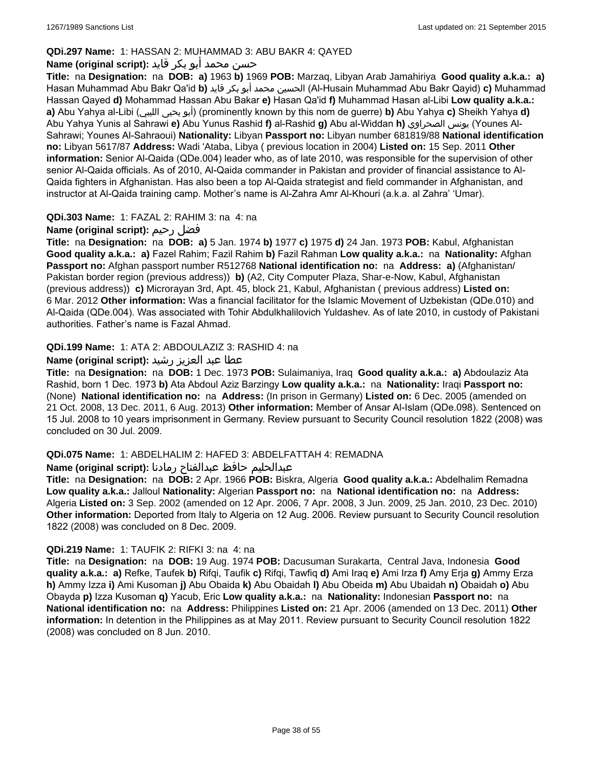## **QDi.297 Name:** 1: HASSAN 2: MUHAMMAD 3: ABU BAKR 4: QAYED

## حسن محمد أبو بكر قايد **:(script original (Name**

**Title:** na **Designation:** na **DOB: a)** 1963 **b)** 1969 **POB:** Marzaq, Libyan Arab Jamahiriya **Good quality a.k.a.: a)** Hasan Muhammad Abu Bakr Qa'id **b)** قايد بكر أبو محمد الحسين) Al-Husain Muhammad Abu Bakr Qayid) **c)** Muhammad Hassan Qayed **d)** Mohammad Hassan Abu Bakar **e)** Hasan Qa'id **f)** Muhammad Hasan al-Libi **Low quality a.k.a.: a)** Abu Yahya al-Libi (الليبي يحيى أبو) (prominently known by this nom de guerre) **b)** Abu Yahya **c)** Sheikh Yahya **d)** Abu Yahya Yunis al Sahrawi **e)** Abu Yunus Rashid **f)** al-Rashid **g)** Abu al-Widdan **h)** الصحراوي يونس) Younes Al-Sahrawi; Younes Al-Sahraoui) **Nationality:** Libyan **Passport no:** Libyan number 681819/88 **National identification no:** Libyan 5617/87 **Address:** Wadi 'Ataba, Libya ( previous location in 2004) **Listed on:** 15 Sep. 2011 **Other information:** Senior Al-Qaida (QDe.004) leader who, as of late 2010, was responsible for the supervision of other senior Al-Qaida officials. As of 2010, Al-Qaida commander in Pakistan and provider of financial assistance to Al-Qaida fighters in Afghanistan. Has also been a top Al-Qaida strategist and field commander in Afghanistan, and instructor at Al-Qaida training camp. Mother's name is Al-Zahra Amr Al-Khouri (a.k.a. al Zahra' 'Umar).

## **QDi.303 Name:** 1: FAZAL 2: RAHIM 3: na 4: na

## **Name (original script):** رحيم فضل

**Title:** na **Designation:** na **DOB: a)** 5 Jan. 1974 **b)** 1977 **c)** 1975 **d)** 24 Jan. 1973 **POB:** Kabul, Afghanistan **Good quality a.k.a.: a)** Fazel Rahim; Fazil Rahim **b)** Fazil Rahman **Low quality a.k.a.:** na **Nationality:** Afghan **Passport no:** Afghan passport number R512768 **National identification no:** na **Address: a)** (Afghanistan/ Pakistan border region (previous address)) **b)** (A2, City Computer Plaza, Shar-e-Now, Kabul, Afghanistan (previous address)) **c)** Microrayan 3rd, Apt. 45, block 21, Kabul, Afghanistan ( previous address) **Listed on:** 6 Mar. 2012 **Other information:** Was a financial facilitator for the Islamic Movement of Uzbekistan (QDe.010) and Al-Qaida (QDe.004). Was associated with Tohir Abdulkhalilovich Yuldashev. As of late 2010, in custody of Pakistani authorities. Father's name is Fazal Ahmad.

## **QDi.199 Name:** 1: ATA 2: ABDOULAZIZ 3: RASHID 4: na

## عطا عبد العزيز رشيد **:(script original (Name**

**Title:** na **Designation:** na **DOB:** 1 Dec. 1973 **POB:** Sulaimaniya, Iraq **Good quality a.k.a.: a)** Abdoulaziz Ata Rashid, born 1 Dec. 1973 **b)** Ata Abdoul Aziz Barzingy **Low quality a.k.a.:** na **Nationality:** Iraqi **Passport no:**  (None) **National identification no:** na **Address:** (In prison in Germany) **Listed on:** 6 Dec. 2005 (amended on 21 Oct. 2008, 13 Dec. 2011, 6 Aug. 2013) **Other information:** Member of Ansar Al-Islam (QDe.098). Sentenced on 15 Jul. 2008 to 10 years imprisonment in Germany. Review pursuant to Security Council resolution 1822 (2008) was concluded on 30 Jul. 2009.

## **QDi.075 Name:** 1: ABDELHALIM 2: HAFED 3: ABDELFATTAH 4: REMADNA

## عبدالحليم حافظ عبدالفتاح رمادنا **:(script original (Name**

**Title:** na **Designation:** na **DOB:** 2 Apr. 1966 **POB:** Biskra, Algeria **Good quality a.k.a.:** Abdelhalim Remadna **Low quality a.k.a.:** Jalloul **Nationality:** Algerian **Passport no:** na **National identification no:** na **Address:** Algeria **Listed on:** 3 Sep. 2002 (amended on 12 Apr. 2006, 7 Apr. 2008, 3 Jun. 2009, 25 Jan. 2010, 23 Dec. 2010) **Other information:** Deported from Italy to Algeria on 12 Aug. 2006. Review pursuant to Security Council resolution 1822 (2008) was concluded on 8 Dec. 2009.

## **QDi.219 Name:** 1: TAUFIK 2: RIFKI 3: na 4: na

**Title:** na **Designation:** na **DOB:** 19 Aug. 1974 **POB:** Dacusuman Surakarta, Central Java, Indonesia **Good quality a.k.a.: a)** Refke, Taufek **b)** Rifqi, Taufik **c)** Rifqi, Tawfiq **d)** Ami Iraq **e)** Ami Irza **f)** Amy Erja **g)** Ammy Erza **h)** Ammy Izza **i)** Ami Kusoman **j)** Abu Obaida **k)** Abu Obaidah **l)** Abu Obeida **m)** Abu Ubaidah **n)** Obaidah **o)** Abu Obayda **p)** Izza Kusoman **q)** Yacub, Eric **Low quality a.k.a.:** na **Nationality:** Indonesian **Passport no:** na **National identification no:** na **Address:** Philippines **Listed on:** 21 Apr. 2006 (amended on 13 Dec. 2011) **Other information:** In detention in the Philippines as at May 2011. Review pursuant to Security Council resolution 1822 (2008) was concluded on 8 Jun. 2010.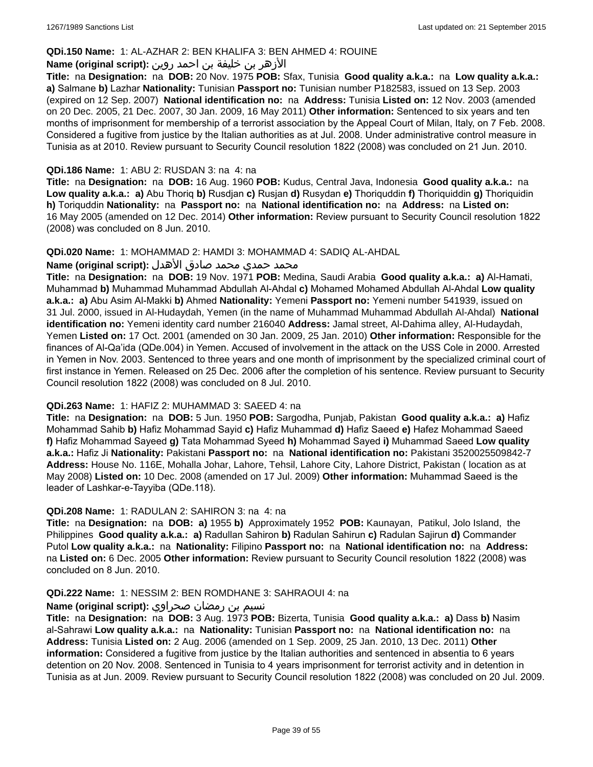#### **QDi.150 Name:** 1: AL-AZHAR 2: BEN KHALIFA 3: BEN AHMED 4: ROUINE

## الأزهر بن خليفة بن احمد روين **:(script original (Name**

**Title:** na **Designation:** na **DOB:** 20 Nov. 1975 **POB:** Sfax, Tunisia **Good quality a.k.a.:** na **Low quality a.k.a.: a)** Salmane **b)** Lazhar **Nationality:** Tunisian **Passport no:** Tunisian number P182583, issued on 13 Sep. 2003 (expired on 12 Sep. 2007) **National identification no:** na **Address:** Tunisia **Listed on:** 12 Nov. 2003 (amended on 20 Dec. 2005, 21 Dec. 2007, 30 Jan. 2009, 16 May 2011) **Other information:** Sentenced to six years and ten months of imprisonment for membership of a terrorist association by the Appeal Court of Milan, Italy, on 7 Feb. 2008. Considered a fugitive from justice by the Italian authorities as at Jul. 2008. Under administrative control measure in Tunisia as at 2010. Review pursuant to Security Council resolution 1822 (2008) was concluded on 21 Jun. 2010.

#### **QDi.186 Name:** 1: ABU 2: RUSDAN 3: na 4: na

**Title:** na **Designation:** na **DOB:** 16 Aug. 1960 **POB:** Kudus, Central Java, Indonesia **Good quality a.k.a.:** na **Low quality a.k.a.: a)** Abu Thoriq **b)** Rusdjan **c)** Rusjan **d)** Rusydan **e)** Thoriquddin **f)** Thoriquiddin **g)** Thoriquidin **h)** Toriquddin **Nationality:** na **Passport no:** na **National identification no:** na **Address:** na **Listed on:** 16 May 2005 (amended on 12 Dec. 2014) **Other information:** Review pursuant to Security Council resolution 1822 (2008) was concluded on 8 Jun. 2010.

#### **QDi.020 Name:** 1: MOHAMMAD 2: HAMDI 3: MOHAMMAD 4: SADIQ AL-AHDAL

#### محمد حمدي محمد صادق الأهدل **:Name (original script**)

**Title:** na **Designation:** na **DOB:** 19 Nov. 1971 **POB:** Medina, Saudi Arabia **Good quality a.k.a.: a)** Al-Hamati, Muhammad **b)** Muhammad Muhammad Abdullah Al-Ahdal **c)** Mohamed Mohamed Abdullah Al-Ahdal **Low quality a.k.a.: a)** Abu Asim Al-Makki **b)** Ahmed **Nationality:** Yemeni **Passport no:** Yemeni number 541939, issued on 31 Jul. 2000, issued in Al-Hudaydah, Yemen (in the name of Muhammad Muhammad Abdullah Al-Ahdal) **National identification no:** Yemeni identity card number 216040 **Address:** Jamal street, Al-Dahima alley, Al-Hudaydah, Yemen **Listed on:** 17 Oct. 2001 (amended on 30 Jan. 2009, 25 Jan. 2010) **Other information:** Responsible for the finances of Al-Qa'ida (QDe.004) in Yemen. Accused of involvement in the attack on the USS Cole in 2000. Arrested in Yemen in Nov. 2003. Sentenced to three years and one month of imprisonment by the specialized criminal court of first instance in Yemen. Released on 25 Dec. 2006 after the completion of his sentence. Review pursuant to Security Council resolution 1822 (2008) was concluded on 8 Jul. 2010.

#### **QDi.263 Name:** 1: HAFIZ 2: MUHAMMAD 3: SAEED 4: na

**Title:** na **Designation:** na **DOB:** 5 Jun. 1950 **POB:** Sargodha, Punjab, Pakistan **Good quality a.k.a.: a)** Hafiz Mohammad Sahib **b)** Hafiz Mohammad Sayid **c)** Hafiz Muhammad **d)** Hafiz Saeed **e)** Hafez Mohammad Saeed **f)** Hafiz Mohammad Sayeed **g)** Tata Mohammad Syeed **h)** Mohammad Sayed **i)** Muhammad Saeed **Low quality a.k.a.:** Hafiz Ji **Nationality:** Pakistani **Passport no:** na **National identification no:** Pakistani 3520025509842-7 **Address:** House No. 116E, Mohalla Johar, Lahore, Tehsil, Lahore City, Lahore District, Pakistan ( location as at May 2008) **Listed on:** 10 Dec. 2008 (amended on 17 Jul. 2009) **Other information:** Muhammad Saeed is the leader of Lashkar-e-Tayyiba (QDe.118).

#### **QDi.208 Name:** 1: RADULAN 2: SAHIRON 3: na 4: na

**Title:** na **Designation:** na **DOB: a)** 1955 **b)** Approximately 1952 **POB:** Kaunayan, Patikul, Jolo Island, the Philippines **Good quality a.k.a.: a)** Radullan Sahiron **b)** Radulan Sahirun **c)** Radulan Sajirun **d)** Commander Putol **Low quality a.k.a.:** na **Nationality:** Filipino **Passport no:** na **National identification no:** na **Address:**  na **Listed on:** 6 Dec. 2005 **Other information:** Review pursuant to Security Council resolution 1822 (2008) was concluded on 8 Jun. 2010.

#### **QDi.222 Name:** 1: NESSIM 2: BEN ROMDHANE 3: SAHRAOUI 4: na

#### نسيم بن رمضان صحراوي **:(script original (Name**

**Title:** na **Designation:** na **DOB:** 3 Aug. 1973 **POB:** Bizerta, Tunisia **Good quality a.k.a.: a)** Dass **b)** Nasim al-Sahrawi **Low quality a.k.a.:** na **Nationality:** Tunisian **Passport no:** na **National identification no:** na **Address:** Tunisia **Listed on:** 2 Aug. 2006 (amended on 1 Sep. 2009, 25 Jan. 2010, 13 Dec. 2011) **Other information:** Considered a fugitive from justice by the Italian authorities and sentenced in absentia to 6 years detention on 20 Nov. 2008. Sentenced in Tunisia to 4 years imprisonment for terrorist activity and in detention in Tunisia as at Jun. 2009. Review pursuant to Security Council resolution 1822 (2008) was concluded on 20 Jul. 2009.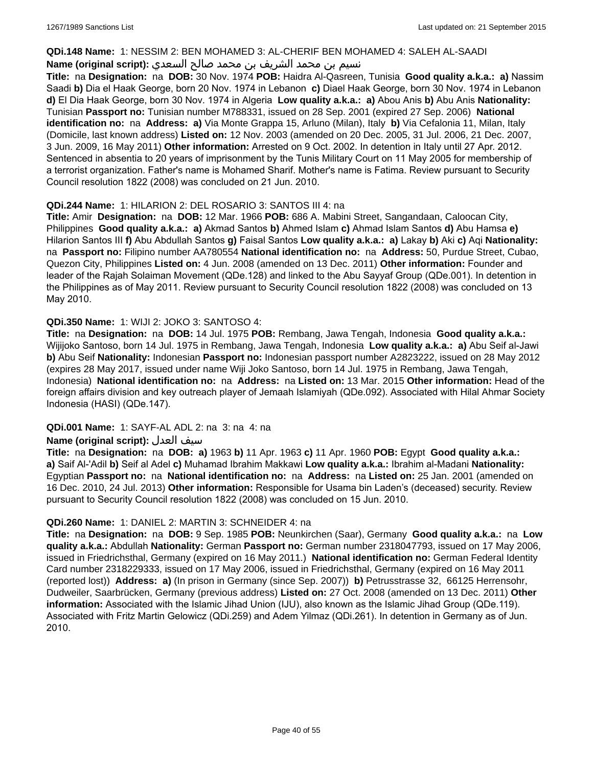#### **QDi.148 Name:** 1: NESSIM 2: BEN MOHAMED 3: AL-CHERIF BEN MOHAMED 4: SALEH AL-SAADI

## نسيم بن محمد الشريف بن محمد صالح السعدي **:Name (original script**)

**Title:** na **Designation:** na **DOB:** 30 Nov. 1974 **POB:** Haidra Al-Qasreen, Tunisia **Good quality a.k.a.: a)** Nassim Saadi **b)** Dia el Haak George, born 20 Nov. 1974 in Lebanon **c)** Diael Haak George, born 30 Nov. 1974 in Lebanon **d)** El Dia Haak George, born 30 Nov. 1974 in Algeria **Low quality a.k.a.: a)** Abou Anis **b)** Abu Anis **Nationality:** Tunisian **Passport no:** Tunisian number M788331, issued on 28 Sep. 2001 (expired 27 Sep. 2006) **National identification no:** na **Address: a)** Via Monte Grappa 15, Arluno (Milan), Italy **b)** Via Cefalonia 11, Milan, Italy (Domicile, last known address) **Listed on:** 12 Nov. 2003 (amended on 20 Dec. 2005, 31 Jul. 2006, 21 Dec. 2007, 3 Jun. 2009, 16 May 2011) **Other information:** Arrested on 9 Oct. 2002. In detention in Italy until 27 Apr. 2012. Sentenced in absentia to 20 years of imprisonment by the Tunis Military Court on 11 May 2005 for membership of a terrorist organization. Father's name is Mohamed Sharif. Mother's name is Fatima. Review pursuant to Security Council resolution 1822 (2008) was concluded on 21 Jun. 2010.

## **QDi.244 Name:** 1: HILARION 2: DEL ROSARIO 3: SANTOS III 4: na

**Title:** Amir **Designation:** na **DOB:** 12 Mar. 1966 **POB:** 686 A. Mabini Street, Sangandaan, Caloocan City, Philippines **Good quality a.k.a.: a)** Akmad Santos **b)** Ahmed Islam **c)** Ahmad Islam Santos **d)** Abu Hamsa **e)** Hilarion Santos III **f)** Abu Abdullah Santos **g)** Faisal Santos **Low quality a.k.a.: a)** Lakay **b)** Aki **c)** Aqi **Nationality:**  na **Passport no:** Filipino number AA780554 **National identification no:** na **Address:** 50, Purdue Street, Cubao, Quezon City, Philippines **Listed on:** 4 Jun. 2008 (amended on 13 Dec. 2011) **Other information:** Founder and leader of the Rajah Solaiman Movement (QDe.128) and linked to the Abu Sayyaf Group (QDe.001). In detention in the Philippines as of May 2011. Review pursuant to Security Council resolution 1822 (2008) was concluded on 13 May 2010.

## **QDi.350 Name:** 1: WIJI 2: JOKO 3: SANTOSO 4:

**Title:** na **Designation:** na **DOB:** 14 Jul. 1975 **POB:** Rembang, Jawa Tengah, Indonesia **Good quality a.k.a.:** Wijijoko Santoso, born 14 Jul. 1975 in Rembang, Jawa Tengah, Indonesia **Low quality a.k.a.: a)** Abu Seif al-Jawi **b)** Abu Seif **Nationality:** Indonesian **Passport no:** Indonesian passport number A2823222, issued on 28 May 2012 (expires 28 May 2017, issued under name Wiji Joko Santoso, born 14 Jul. 1975 in Rembang, Jawa Tengah, Indonesia) **National identification no:** na **Address:** na **Listed on:** 13 Mar. 2015 **Other information:** Head of the foreign affairs division and key outreach player of Jemaah Islamiyah (QDe.092). Associated with Hilal Ahmar Society Indonesia (HASI) (QDe.147).

## **QDi.001 Name:** 1: SAYF-AL ADL 2: na 3: na 4: na

## **Name (original script):** العدل سيف

**Title:** na **Designation:** na **DOB: a)** 1963 **b)** 11 Apr. 1963 **c)** 11 Apr. 1960 **POB:** Egypt **Good quality a.k.a.: a)** Saif Al-'Adil **b)** Seif al Adel **c)** Muhamad Ibrahim Makkawi **Low quality a.k.a.:** Ibrahim al-Madani **Nationality:** Egyptian **Passport no:** na **National identification no:** na **Address:** na **Listed on:** 25 Jan. 2001 (amended on 16 Dec. 2010, 24 Jul. 2013) **Other information:** Responsible for Usama bin Laden's (deceased) security. Review pursuant to Security Council resolution 1822 (2008) was concluded on 15 Jun. 2010.

## **QDi.260 Name:** 1: DANIEL 2: MARTIN 3: SCHNEIDER 4: na

**Title:** na **Designation:** na **DOB:** 9 Sep. 1985 **POB:** Neunkirchen (Saar), Germany **Good quality a.k.a.:** na **Low quality a.k.a.:** Abdullah **Nationality:** German **Passport no:** German number 2318047793, issued on 17 May 2006, issued in Friedrichsthal, Germany (expired on 16 May 2011.) **National identification no:** German Federal Identity Card number 2318229333, issued on 17 May 2006, issued in Friedrichsthal, Germany (expired on 16 May 2011 (reported lost)) **Address: a)** (In prison in Germany (since Sep. 2007)) **b)** Petrusstrasse 32, 66125 Herrensohr, Dudweiler, Saarbrücken, Germany (previous address) **Listed on:** 27 Oct. 2008 (amended on 13 Dec. 2011) **Other information:** Associated with the Islamic Jihad Union (IJU), also known as the Islamic Jihad Group (QDe.119). Associated with Fritz Martin Gelowicz (QDi.259) and Adem Yilmaz (QDi.261). In detention in Germany as of Jun. 2010.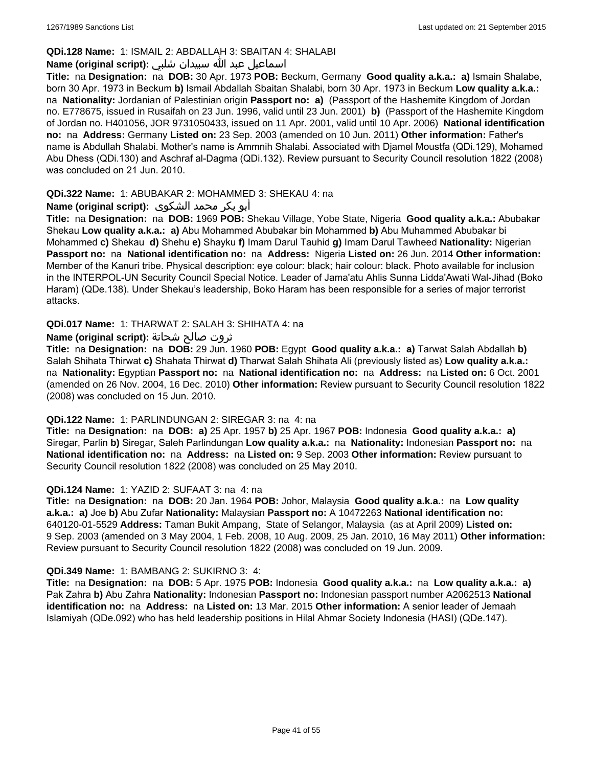## **QDi.128 Name:** 1: ISMAIL 2: ABDALLAH 3: SBAITAN 4: SHALABI

## اسماعيل عبد الله سبيدان شلبي **:(script original (Name**

**Title:** na **Designation:** na **DOB:** 30 Apr. 1973 **POB:** Beckum, Germany **Good quality a.k.a.: a)** Ismain Shalabe, born 30 Apr. 1973 in Beckum **b)** Ismail Abdallah Sbaitan Shalabi, born 30 Apr. 1973 in Beckum **Low quality a.k.a.:**  na **Nationality:** Jordanian of Palestinian origin **Passport no: a)** (Passport of the Hashemite Kingdom of Jordan no. E778675, issued in Rusaifah on 23 Jun. 1996, valid until 23 Jun. 2001) **b)** (Passport of the Hashemite Kingdom of Jordan no. H401056, JOR 9731050433, issued on 11 Apr. 2001, valid until 10 Apr. 2006) **National identification no:** na **Address:** Germany **Listed on:** 23 Sep. 2003 (amended on 10 Jun. 2011) **Other information:** Father's name is Abdullah Shalabi. Mother's name is Ammnih Shalabi. Associated with Djamel Moustfa (QDi.129), Mohamed Abu Dhess (QDi.130) and Aschraf al-Dagma (QDi.132). Review pursuant to Security Council resolution 1822 (2008) was concluded on 21 Jun. 2010.

## **QDi.322 Name:** 1: ABUBAKAR 2: MOHAMMED 3: SHEKAU 4: na

## أبو بكر محمد الشكوى **:(script original (Name**

**Title:** na **Designation:** na **DOB:** 1969 **POB:** Shekau Village, Yobe State, Nigeria **Good quality a.k.a.:** Abubakar Shekau **Low quality a.k.a.: a)** Abu Mohammed Abubakar bin Mohammed **b)** Abu Muhammed Abubakar bi Mohammed **c)** Shekau **d)** Shehu **e)** Shayku **f)** Imam Darul Tauhid **g)** Imam Darul Tawheed **Nationality:** Nigerian **Passport no:** na **National identification no:** na **Address:** Nigeria **Listed on:** 26 Jun. 2014 **Other information:** Member of the Kanuri tribe. Physical description: eye colour: black; hair colour: black. Photo available for inclusion in the INTERPOL-UN Security Council Special Notice. Leader of Jama'atu Ahlis Sunna Lidda'Awati Wal-Jihad (Boko Haram) (QDe.138). Under Shekau's leadership, Boko Haram has been responsible for a series of major terrorist attacks.

## **QDi.017 Name:** 1: THARWAT 2: SALAH 3: SHIHATA 4: na

## ثروت صالح شحاتة **:(script original (Name**

**Title:** na **Designation:** na **DOB:** 29 Jun. 1960 **POB:** Egypt **Good quality a.k.a.: a)** Tarwat Salah Abdallah **b)** Salah Shihata Thirwat **c)** Shahata Thirwat **d)** Tharwat Salah Shihata Ali (previously listed as) **Low quality a.k.a.:**  na **Nationality:** Egyptian **Passport no:** na **National identification no:** na **Address:** na **Listed on:** 6 Oct. 2001 (amended on 26 Nov. 2004, 16 Dec. 2010) **Other information:** Review pursuant to Security Council resolution 1822 (2008) was concluded on 15 Jun. 2010.

## **QDi.122 Name:** 1: PARLINDUNGAN 2: SIREGAR 3: na 4: na

**Title:** na **Designation:** na **DOB: a)** 25 Apr. 1957 **b)** 25 Apr. 1967 **POB:** Indonesia **Good quality a.k.a.: a)** Siregar, Parlin **b)** Siregar, Saleh Parlindungan **Low quality a.k.a.:** na **Nationality:** Indonesian **Passport no:** na **National identification no:** na **Address:** na **Listed on:** 9 Sep. 2003 **Other information:** Review pursuant to Security Council resolution 1822 (2008) was concluded on 25 May 2010.

## **QDi.124 Name:** 1: YAZID 2: SUFAAT 3: na 4: na

**Title:** na **Designation:** na **DOB:** 20 Jan. 1964 **POB:** Johor, Malaysia **Good quality a.k.a.:** na **Low quality a.k.a.: a)** Joe **b)** Abu Zufar **Nationality:** Malaysian **Passport no:** A 10472263 **National identification no:** 640120-01-5529 **Address:** Taman Bukit Ampang, State of Selangor, Malaysia (as at April 2009) **Listed on:** 9 Sep. 2003 (amended on 3 May 2004, 1 Feb. 2008, 10 Aug. 2009, 25 Jan. 2010, 16 May 2011) **Other information:** Review pursuant to Security Council resolution 1822 (2008) was concluded on 19 Jun. 2009.

## **QDi.349 Name:** 1: BAMBANG 2: SUKIRNO 3: 4:

**Title:** na **Designation:** na **DOB:** 5 Apr. 1975 **POB:** Indonesia **Good quality a.k.a.:** na **Low quality a.k.a.: a)** Pak Zahra **b)** Abu Zahra **Nationality:** Indonesian **Passport no:** Indonesian passport number A2062513 **National identification no:** na **Address:** na **Listed on:** 13 Mar. 2015 **Other information:** A senior leader of Jemaah Islamiyah (QDe.092) who has held leadership positions in Hilal Ahmar Society Indonesia (HASI) (QDe.147).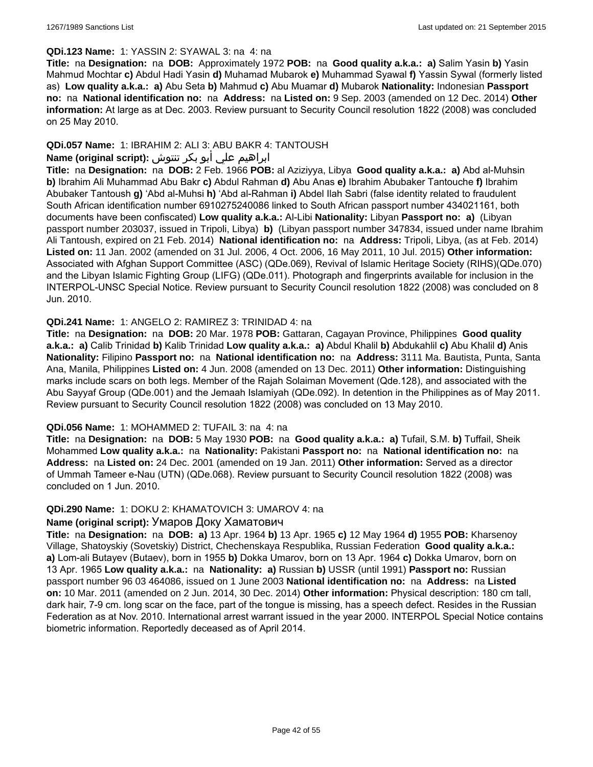#### **QDi.123 Name:** 1: YASSIN 2: SYAWAL 3: na 4: na

**Title:** na **Designation:** na **DOB:** Approximately 1972 **POB:** na **Good quality a.k.a.: a)** Salim Yasin **b)** Yasin Mahmud Mochtar **c)** Abdul Hadi Yasin **d)** Muhamad Mubarok **e)** Muhammad Syawal **f)** Yassin Sywal (formerly listed as) **Low quality a.k.a.: a)** Abu Seta **b)** Mahmud **c)** Abu Muamar **d)** Mubarok **Nationality:** Indonesian **Passport no:** na **National identification no:** na **Address:** na **Listed on:** 9 Sep. 2003 (amended on 12 Dec. 2014) **Other information:** At large as at Dec. 2003. Review pursuant to Security Council resolution 1822 (2008) was concluded on 25 May 2010.

## **QDi.057 Name:** 1: IBRAHIM 2: ALI 3: ABU BAKR 4: TANTOUSH

## ابراهيم علي أبو بكر تنتوش **:(script original (Name**

**Title:** na **Designation:** na **DOB:** 2 Feb. 1966 **POB:** al Aziziyya, Libya **Good quality a.k.a.: a)** Abd al-Muhsin **b)** Ibrahim Ali Muhammad Abu Bakr **c)** Abdul Rahman **d)** Abu Anas **e)** Ibrahim Abubaker Tantouche **f)** Ibrahim Abubaker Tantoush **g)** 'Abd al-Muhsi **h)** 'Abd al-Rahman **i)** Abdel Ilah Sabri (false identity related to fraudulent South African identification number 6910275240086 linked to South African passport number 434021161, both documents have been confiscated) **Low quality a.k.a.:** Al-Libi **Nationality:** Libyan **Passport no: a)** (Libyan passport number 203037, issued in Tripoli, Libya) **b)** (Libyan passport number 347834, issued under name Ibrahim Ali Tantoush, expired on 21 Feb. 2014) **National identification no:** na **Address:** Tripoli, Libya, (as at Feb. 2014) **Listed on:** 11 Jan. 2002 (amended on 31 Jul. 2006, 4 Oct. 2006, 16 May 2011, 10 Jul. 2015) **Other information:** Associated with Afghan Support Committee (ASC) (QDe.069), Revival of Islamic Heritage Society (RIHS)(QDe.070) and the Libyan Islamic Fighting Group (LIFG) (QDe.011). Photograph and fingerprints available for inclusion in the INTERPOL-UNSC Special Notice. Review pursuant to Security Council resolution 1822 (2008) was concluded on 8 Jun. 2010.

#### **QDi.241 Name:** 1: ANGELO 2: RAMIREZ 3: TRINIDAD 4: na

**Title:** na **Designation:** na **DOB:** 20 Mar. 1978 **POB:** Gattaran, Cagayan Province, Philippines **Good quality a.k.a.: a)** Calib Trinidad **b)** Kalib Trinidad **Low quality a.k.a.: a)** Abdul Khalil **b)** Abdukahlil **c)** Abu Khalil **d)** Anis **Nationality:** Filipino **Passport no:** na **National identification no:** na **Address:** 3111 Ma. Bautista, Punta, Santa Ana, Manila, Philippines **Listed on:** 4 Jun. 2008 (amended on 13 Dec. 2011) **Other information:** Distinguishing marks include scars on both legs. Member of the Rajah Solaiman Movement (Qde.128), and associated with the Abu Sayyaf Group (QDe.001) and the Jemaah Islamiyah (QDe.092). In detention in the Philippines as of May 2011. Review pursuant to Security Council resolution 1822 (2008) was concluded on 13 May 2010.

#### **QDi.056 Name:** 1: MOHAMMED 2: TUFAIL 3: na 4: na

**Title:** na **Designation:** na **DOB:** 5 May 1930 **POB:** na **Good quality a.k.a.: a)** Tufail, S.M. **b)** Tuffail, Sheik Mohammed **Low quality a.k.a.:** na **Nationality:** Pakistani **Passport no:** na **National identification no:** na **Address:** na **Listed on:** 24 Dec. 2001 (amended on 19 Jan. 2011) **Other information:** Served as a director of Ummah Tameer e-Nau (UTN) (QDe.068). Review pursuant to Security Council resolution 1822 (2008) was concluded on 1 Jun. 2010.

#### **QDi.290 Name:** 1: DOKU 2: KHAMATOVICH 3: UMAROV 4: na

## **Name (original script):** Умаров Доку Хаматович

**Title:** na **Designation:** na **DOB: a)** 13 Apr. 1964 **b)** 13 Apr. 1965 **c)** 12 May 1964 **d)** 1955 **POB:** Kharsenoy Village, Shatoyskiy (Sovetskiy) District, Chechenskaya Respublika, Russian Federation **Good quality a.k.a.: a)** Lom-ali Butayev (Butaev), born in 1955 **b)** Dokka Umarov, born on 13 Apr. 1964 **c)** Dokka Umarov, born on 13 Apr. 1965 **Low quality a.k.a.:** na **Nationality: a)** Russian **b)** USSR (until 1991) **Passport no:** Russian passport number 96 03 464086, issued on 1 June 2003 **National identification no:** na **Address:** na **Listed on:** 10 Mar. 2011 (amended on 2 Jun. 2014, 30 Dec. 2014) **Other information:** Physical description: 180 cm tall, dark hair, 7-9 cm. long scar on the face, part of the tongue is missing, has a speech defect. Resides in the Russian Federation as at Nov. 2010. International arrest warrant issued in the year 2000. INTERPOL Special Notice contains biometric information. Reportedly deceased as of April 2014.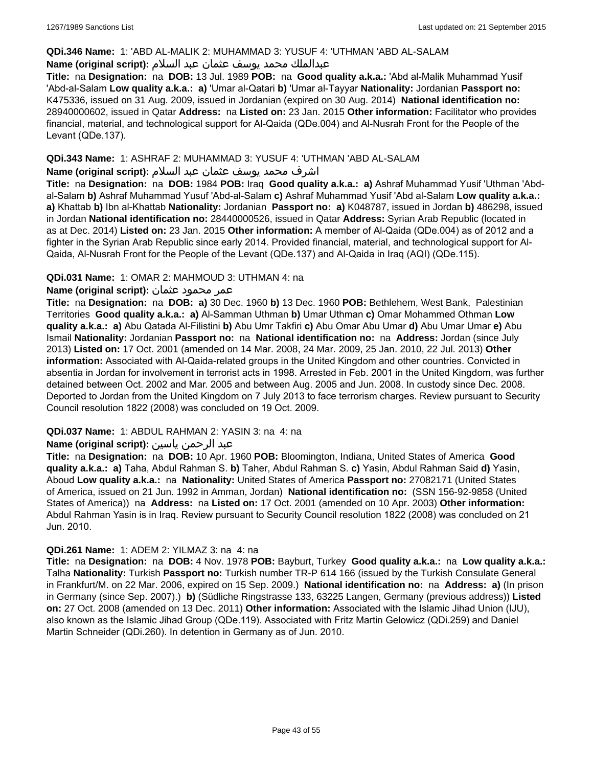#### **QDi.346 Name:** 1: 'ABD AL-MALIK 2: MUHAMMAD 3: YUSUF 4: 'UTHMAN 'ABD AL-SALAM

## عبدالملك محمد يوسف عثمان عبد السلام **:(script original (Name**

**Title:** na **Designation:** na **DOB:** 13 Jul. 1989 **POB:** na **Good quality a.k.a.:** 'Abd al-Malik Muhammad Yusif 'Abd-al-Salam **Low quality a.k.a.: a)** 'Umar al-Qatari **b)** 'Umar al-Tayyar **Nationality:** Jordanian **Passport no:** K475336, issued on 31 Aug. 2009, issued in Jordanian (expired on 30 Aug. 2014) **National identification no:** 28940000602, issued in Qatar **Address:** na **Listed on:** 23 Jan. 2015 **Other information:** Facilitator who provides financial, material, and technological support for Al-Qaida (QDe.004) and Al-Nusrah Front for the People of the Levant (QDe.137).

#### **QDi.343 Name:** 1: ASHRAF 2: MUHAMMAD 3: YUSUF 4: 'UTHMAN 'ABD AL-SALAM

#### اشرف محمد يوسف عثمان عبد السلام **:(script original (Name**

**Title:** na **Designation:** na **DOB:** 1984 **POB:** Iraq **Good quality a.k.a.: a)** Ashraf Muhammad Yusif 'Uthman 'Abdal-Salam **b)** Ashraf Muhammad Yusuf 'Abd-al-Salam **c)** Ashraf Muhammad Yusif 'Abd al-Salam **Low quality a.k.a.: a)** Khattab **b)** Ibn al-Khattab **Nationality:** Jordanian **Passport no: a)** K048787, issued in Jordan **b)** 486298, issued in Jordan **National identification no:** 28440000526, issued in Qatar **Address:** Syrian Arab Republic (located in as at Dec. 2014) **Listed on:** 23 Jan. 2015 **Other information:** A member of Al-Qaida (QDe.004) as of 2012 and a fighter in the Syrian Arab Republic since early 2014. Provided financial, material, and technological support for Al-Qaida, Al-Nusrah Front for the People of the Levant (QDe.137) and Al-Qaida in Iraq (AQI) (QDe.115).

#### **QDi.031 Name:** 1: OMAR 2: MAHMOUD 3: UTHMAN 4: na

#### عمر محمود عثمان **:(script original (Name**

**Title:** na **Designation:** na **DOB: a)** 30 Dec. 1960 **b)** 13 Dec. 1960 **POB:** Bethlehem, West Bank, Palestinian Territories **Good quality a.k.a.: a)** Al-Samman Uthman **b)** Umar Uthman **c)** Omar Mohammed Othman **Low quality a.k.a.: a)** Abu Qatada Al-Filistini **b)** Abu Umr Takfiri **c)** Abu Omar Abu Umar **d)** Abu Umar Umar **e)** Abu Ismail **Nationality:** Jordanian **Passport no:** na **National identification no:** na **Address:** Jordan (since July 2013) **Listed on:** 17 Oct. 2001 (amended on 14 Mar. 2008, 24 Mar. 2009, 25 Jan. 2010, 22 Jul. 2013) **Other information:** Associated with Al-Qaida-related groups in the United Kingdom and other countries. Convicted in absentia in Jordan for involvement in terrorist acts in 1998. Arrested in Feb. 2001 in the United Kingdom, was further detained between Oct. 2002 and Mar. 2005 and between Aug. 2005 and Jun. 2008. In custody since Dec. 2008. Deported to Jordan from the United Kingdom on 7 July 2013 to face terrorism charges. Review pursuant to Security Council resolution 1822 (2008) was concluded on 19 Oct. 2009.

## **QDi.037 Name:** 1: ABDUL RAHMAN 2: YASIN 3: na 4: na

#### عبد الرحمن ياسين **:(script original (Name**

**Title:** na **Designation:** na **DOB:** 10 Apr. 1960 **POB:** Bloomington, Indiana, United States of America **Good quality a.k.a.: a)** Taha, Abdul Rahman S. **b)** Taher, Abdul Rahman S. **c)** Yasin, Abdul Rahman Said **d)** Yasin, Aboud **Low quality a.k.a.:** na **Nationality:** United States of America **Passport no:** 27082171 (United States of America, issued on 21 Jun. 1992 in Amman, Jordan) **National identification no:** (SSN 156-92-9858 (United States of America)) na **Address:** na **Listed on:** 17 Oct. 2001 (amended on 10 Apr. 2003) **Other information:** Abdul Rahman Yasin is in Iraq. Review pursuant to Security Council resolution 1822 (2008) was concluded on 21 Jun. 2010.

#### **QDi.261 Name:** 1: ADEM 2: YILMAZ 3: na 4: na

**Title:** na **Designation:** na **DOB:** 4 Nov. 1978 **POB:** Bayburt, Turkey **Good quality a.k.a.:** na **Low quality a.k.a.:** Talha **Nationality:** Turkish **Passport no:** Turkish number TR-P 614 166 (issued by the Turkish Consulate General in Frankfurt/M. on 22 Mar. 2006, expired on 15 Sep. 2009.) **National identification no:** na **Address: a)** (In prison in Germany (since Sep. 2007).) **b)** (Südliche Ringstrasse 133, 63225 Langen, Germany (previous address)) **Listed on:** 27 Oct. 2008 (amended on 13 Dec. 2011) **Other information:** Associated with the Islamic Jihad Union (IJU), also known as the Islamic Jihad Group (QDe.119). Associated with Fritz Martin Gelowicz (QDi.259) and Daniel Martin Schneider (QDi.260). In detention in Germany as of Jun. 2010.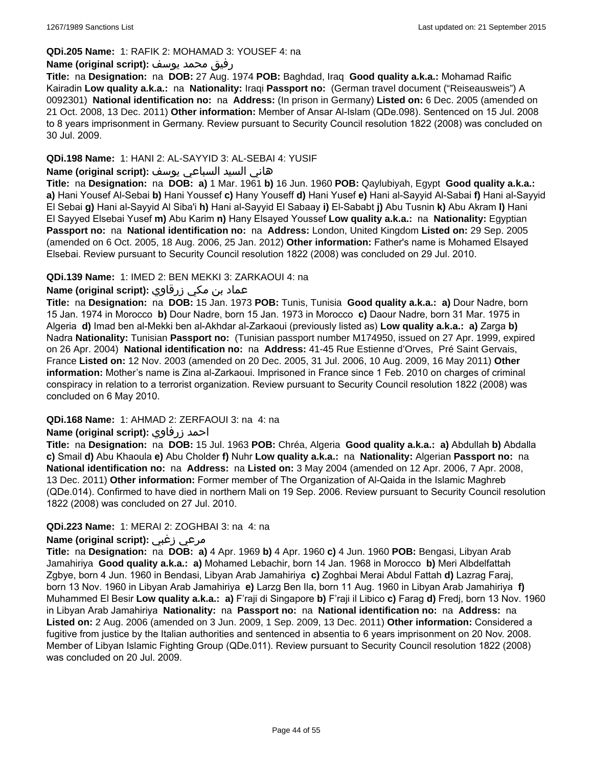#### **QDi.205 Name:** 1: RAFIK 2: MOHAMAD 3: YOUSEF 4: na

#### رفيق محمد يوسف **:(script original (Name**

**Title:** na **Designation:** na **DOB:** 27 Aug. 1974 **POB:** Baghdad, Iraq **Good quality a.k.a.:** Mohamad Raific Kairadin **Low quality a.k.a.:** na **Nationality:** Iraqi **Passport no:** (German travel document ("Reiseausweis") A 0092301) **National identification no:** na **Address:** (In prison in Germany) **Listed on:** 6 Dec. 2005 (amended on 21 Oct. 2008, 13 Dec. 2011) **Other information:** Member of Ansar Al-Islam (QDe.098). Sentenced on 15 Jul. 2008 to 8 years imprisonment in Germany. Review pursuant to Security Council resolution 1822 (2008) was concluded on 30 Jul. 2009.

#### **QDi.198 Name:** 1: HANI 2: AL-SAYYID 3: AL-SEBAI 4: YUSIF

## هاني السيد السباعي يوسف **:(script original (Name**

**Title:** na **Designation:** na **DOB: a)** 1 Mar. 1961 **b)** 16 Jun. 1960 **POB:** Qaylubiyah, Egypt **Good quality a.k.a.: a)** Hani Yousef Al-Sebai **b)** Hani Youssef **c)** Hany Youseff **d)** Hani Yusef **e)** Hani al-Sayyid Al-Sabai **f)** Hani al-Sayyid El Sebai **g)** Hani al-Sayyid Al Siba'i **h)** Hani al-Sayyid El Sabaay **i)** El-Sababt **j)** Abu Tusnin **k)** Abu Akram **l)** Hani El Sayyed Elsebai Yusef **m)** Abu Karim **n)** Hany Elsayed Youssef **Low quality a.k.a.:** na **Nationality:** Egyptian **Passport no:** na **National identification no:** na **Address:** London, United Kingdom **Listed on:** 29 Sep. 2005 (amended on 6 Oct. 2005, 18 Aug. 2006, 25 Jan. 2012) **Other information:** Father's name is Mohamed Elsayed Elsebai. Review pursuant to Security Council resolution 1822 (2008) was concluded on 29 Jul. 2010.

#### **QDi.139 Name:** 1: IMED 2: BEN MEKKI 3: ZARKAOUI 4: na

## عماد بن مكي زرقاوي **:(script original (Name**

**Title:** na **Designation:** na **DOB:** 15 Jan. 1973 **POB:** Tunis, Tunisia **Good quality a.k.a.: a)** Dour Nadre, born 15 Jan. 1974 in Morocco **b)** Dour Nadre, born 15 Jan. 1973 in Morocco **c)** Daour Nadre, born 31 Mar. 1975 in Algeria **d)** Imad ben al-Mekki ben al-Akhdar al-Zarkaoui (previously listed as) **Low quality a.k.a.: a)** Zarga **b)** Nadra **Nationality:** Tunisian **Passport no:** (Tunisian passport number M174950, issued on 27 Apr. 1999, expired on 26 Apr. 2004) **National identification no:** na **Address:** 41-45 Rue Estienne d'Orves, Pré Saint Gervais, France **Listed on:** 12 Nov. 2003 (amended on 20 Dec. 2005, 31 Jul. 2006, 10 Aug. 2009, 16 May 2011) **Other information:** Mother's name is Zina al-Zarkaoui. Imprisoned in France since 1 Feb. 2010 on charges of criminal conspiracy in relation to a terrorist organization. Review pursuant to Security Council resolution 1822 (2008) was concluded on 6 May 2010.

#### **QDi.168 Name:** 1: AHMAD 2: ZERFAOUI 3: na 4: na

## **Name (original script):** زرفاوي احمد

**Title:** na **Designation:** na **DOB:** 15 Jul. 1963 **POB:** Chréa, Algeria **Good quality a.k.a.: a)** Abdullah **b)** Abdalla **c)** Smail **d)** Abu Khaoula **e)** Abu Cholder **f)** Nuhr **Low quality a.k.a.:** na **Nationality:** Algerian **Passport no:** na **National identification no:** na **Address:** na **Listed on:** 3 May 2004 (amended on 12 Apr. 2006, 7 Apr. 2008, 13 Dec. 2011) **Other information:** Former member of The Organization of Al-Qaida in the Islamic Maghreb (QDe.014). Confirmed to have died in northern Mali on 19 Sep. 2006. Review pursuant to Security Council resolution 1822 (2008) was concluded on 27 Jul. 2010.

#### **QDi.223 Name:** 1: MERAI 2: ZOGHBAI 3: na 4: na

#### **Name (original script):** زغبي مرعي

**Title:** na **Designation:** na **DOB: a)** 4 Apr. 1969 **b)** 4 Apr. 1960 **c)** 4 Jun. 1960 **POB:** Bengasi, Libyan Arab Jamahiriya **Good quality a.k.a.: a)** Mohamed Lebachir, born 14 Jan. 1968 in Morocco **b)** Meri Albdelfattah Zgbye, born 4 Jun. 1960 in Bendasi, Libyan Arab Jamahiriya **c)** Zoghbai Merai Abdul Fattah **d)** Lazrag Faraj, born 13 Nov. 1960 in Libyan Arab Jamahiriya **e)** Larzg Ben Ila, born 11 Aug. 1960 in Libyan Arab Jamahiriya **f)** Muhammed El Besir **Low quality a.k.a.: a)** F'raji di Singapore **b)** F'raji il Libico **c)** Farag **d)** Fredj, born 13 Nov. 1960 in Libyan Arab Jamahiriya **Nationality:** na **Passport no:** na **National identification no:** na **Address:** na **Listed on:** 2 Aug. 2006 (amended on 3 Jun. 2009, 1 Sep. 2009, 13 Dec. 2011) **Other information:** Considered a fugitive from justice by the Italian authorities and sentenced in absentia to 6 years imprisonment on 20 Nov. 2008. Member of Libyan Islamic Fighting Group (QDe.011). Review pursuant to Security Council resolution 1822 (2008) was concluded on 20 Jul. 2009.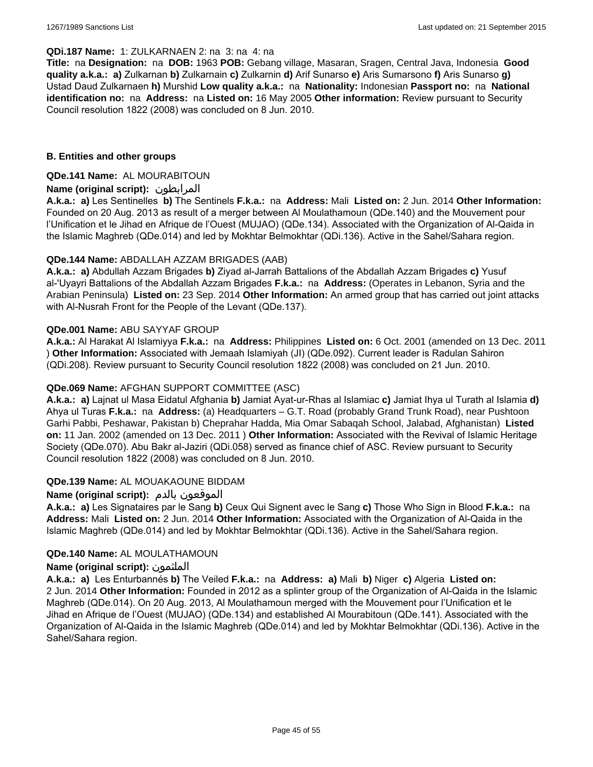#### **QDi.187 Name:** 1: ZULKARNAEN 2: na 3: na 4: na

**Title:** na **Designation:** na **DOB:** 1963 **POB:** Gebang village, Masaran, Sragen, Central Java, Indonesia **Good quality a.k.a.: a)** Zulkarnan **b)** Zulkarnain **c)** Zulkarnin **d)** Arif Sunarso **e)** Aris Sumarsono **f)** Aris Sunarso **g)** Ustad Daud Zulkarnaen **h)** Murshid **Low quality a.k.a.:** na **Nationality:** Indonesian **Passport no:** na **National identification no:** na **Address:** na **Listed on:** 16 May 2005 **Other information:** Review pursuant to Security Council resolution 1822 (2008) was concluded on 8 Jun. 2010.

#### **B. Entities and other groups**

#### **QDe.141 Name:** AL MOURABITOUN

#### **Name (original script):** المرابطون

**A.k.a.: a)** Les Sentinelles **b)** The Sentinels **F.k.a.:** na **Address:** Mali **Listed on:** 2 Jun. 2014 **Other Information:**  Founded on 20 Aug. 2013 as result of a merger between Al Moulathamoun (QDe.140) and the Mouvement pour l'Unification et le Jihad en Afrique de l'Ouest (MUJAO) (QDe.134). Associated with the Organization of Al-Qaida in the Islamic Maghreb (QDe.014) and led by Mokhtar Belmokhtar (QDi.136). Active in the Sahel/Sahara region.

#### **QDe.144 Name:** ABDALLAH AZZAM BRIGADES (AAB)

**A.k.a.: a)** Abdullah Azzam Brigades **b)** Ziyad al-Jarrah Battalions of the Abdallah Azzam Brigades **c)** Yusuf al-'Uyayri Battalions of the Abdallah Azzam Brigades **F.k.a.:** na **Address:** (Operates in Lebanon, Syria and the Arabian Peninsula) **Listed on:** 23 Sep. 2014 **Other Information:** An armed group that has carried out joint attacks with Al-Nusrah Front for the People of the Levant (QDe.137).

#### **QDe.001 Name:** ABU SAYYAF GROUP

**A.k.a.:** Al Harakat Al Islamiyya **F.k.a.:** na **Address:** Philippines **Listed on:** 6 Oct. 2001 (amended on 13 Dec. 2011 ) **Other Information:** Associated with Jemaah Islamiyah (JI) (QDe.092). Current leader is Radulan Sahiron (QDi.208). Review pursuant to Security Council resolution 1822 (2008) was concluded on 21 Jun. 2010.

#### **QDe.069 Name:** AFGHAN SUPPORT COMMITTEE (ASC)

**A.k.a.: a)** Lajnat ul Masa Eidatul Afghania **b)** Jamiat Ayat-ur-Rhas al Islamiac **c)** Jamiat Ihya ul Turath al Islamia **d)** Ahya ul Turas **F.k.a.:** na **Address:** (a) Headquarters – G.T. Road (probably Grand Trunk Road), near Pushtoon Garhi Pabbi, Peshawar, Pakistan b) Cheprahar Hadda, Mia Omar Sabaqah School, Jalabad, Afghanistan) **Listed on:** 11 Jan. 2002 (amended on 13 Dec. 2011 ) **Other Information:** Associated with the Revival of Islamic Heritage Society (QDe.070). Abu Bakr al-Jaziri (QDi.058) served as finance chief of ASC. Review pursuant to Security Council resolution 1822 (2008) was concluded on 8 Jun. 2010.

#### **QDe.139 Name:** AL MOUAKAOUNE BIDDAM

## **Name (original script):** بالدم الموقعون

**A.k.a.: a)** Les Signataires par le Sang **b)** Ceux Qui Signent avec le Sang **c)** Those Who Sign in Blood **F.k.a.:** na **Address:** Mali **Listed on:** 2 Jun. 2014 **Other Information:** Associated with the Organization of Al-Qaida in the Islamic Maghreb (QDe.014) and led by Mokhtar Belmokhtar (QDi.136). Active in the Sahel/Sahara region.

#### **QDe.140 Name:** AL MOULATHAMOUN

#### **Name (original script):** الملثمون

**A.k.a.: a)** Les Enturbannés **b)** The Veiled **F.k.a.:** na **Address: a)** Mali **b)** Niger **c)** Algeria **Listed on:** 2 Jun. 2014 **Other Information:** Founded in 2012 as a splinter group of the Organization of Al-Qaida in the Islamic Maghreb (QDe.014). On 20 Aug. 2013, Al Moulathamoun merged with the Mouvement pour l'Unification et le Jihad en Afrique de l'Ouest (MUJAO) (QDe.134) and established Al Mourabitoun (QDe.141). Associated with the Organization of Al-Qaida in the Islamic Maghreb (QDe.014) and led by Mokhtar Belmokhtar (QDi.136). Active in the Sahel/Sahara region.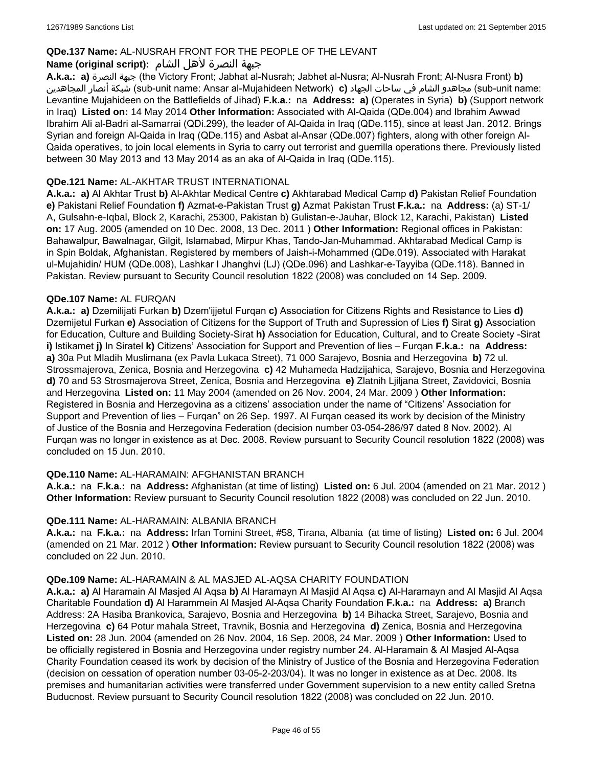## **QDe.137 Name:** AL-NUSRAH FRONT FOR THE PEOPLE OF THE LEVANT

## جبهة النصرة لأهل الشام **:(script original (Name**

**A.k.a.: a)** النصرة جبهة) the Victory Front; Jabhat al-Nusrah; Jabhet al-Nusra; Al-Nusrah Front; Al-Nusra Front) **b)**  المجاهدين أنصار شبكة) sub-unit name: Ansar al-Mujahideen Network) **c)** الجهاد ساحات في الشام مجاهدو) sub-unit name: Levantine Mujahideen on the Battlefields of Jihad) **F.k.a.:** na **Address: a)** (Operates in Syria) **b)** (Support network in Iraq) **Listed on:** 14 May 2014 **Other Information:** Associated with Al-Qaida (QDe.004) and Ibrahim Awwad Ibrahim Ali al-Badri al-Samarrai (QDi.299), the leader of Al-Qaida in Iraq (QDe.115), since at least Jan. 2012. Brings Syrian and foreign Al-Qaida in Iraq (QDe.115) and Asbat al-Ansar (QDe.007) fighters, along with other foreign Al-Qaida operatives, to join local elements in Syria to carry out terrorist and guerrilla operations there. Previously listed between 30 May 2013 and 13 May 2014 as an aka of Al-Qaida in Iraq (QDe.115).

#### **QDe.121 Name:** AL-AKHTAR TRUST INTERNATIONAL

**A.k.a.: a)** Al Akhtar Trust **b)** Al-Akhtar Medical Centre **c)** Akhtarabad Medical Camp **d)** Pakistan Relief Foundation **e)** Pakistani Relief Foundation **f)** Azmat-e-Pakistan Trust **g)** Azmat Pakistan Trust **F.k.a.:** na **Address:** (a) ST-1/ A, Gulsahn-e-Iqbal, Block 2, Karachi, 25300, Pakistan b) Gulistan-e-Jauhar, Block 12, Karachi, Pakistan) **Listed on:** 17 Aug. 2005 (amended on 10 Dec. 2008, 13 Dec. 2011 ) **Other Information:** Regional offices in Pakistan: Bahawalpur, Bawalnagar, Gilgit, Islamabad, Mirpur Khas, Tando-Jan-Muhammad. Akhtarabad Medical Camp is in Spin Boldak, Afghanistan. Registered by members of Jaish-i-Mohammed (QDe.019). Associated with Harakat ul-Mujahidin/ HUM (QDe.008), Lashkar I Jhanghvi (LJ) (QDe.096) and Lashkar-e-Tayyiba (QDe.118). Banned in Pakistan. Review pursuant to Security Council resolution 1822 (2008) was concluded on 14 Sep. 2009.

#### **QDe.107 Name:** AL FURQAN

**A.k.a.: a)** Dzemilijati Furkan **b)** Dzem'ijjetul Furqan **c)** Association for Citizens Rights and Resistance to Lies **d)** Dzemijetul Furkan **e)** Association of Citizens for the Support of Truth and Supression of Lies **f)** Sirat **g)** Association for Education, Culture and Building Society-Sirat **h)** Association for Education, Cultural, and to Create Society -Sirat **i)** Istikamet **j)** In Siratel **k)** Citizens' Association for Support and Prevention of lies – Furqan **F.k.a.:** na **Address: a)** 30a Put Mladih Muslimana (ex Pavla Lukaca Street), 71 000 Sarajevo, Bosnia and Herzegovina **b)** 72 ul. Strossmajerova, Zenica, Bosnia and Herzegovina **c)** 42 Muhameda Hadzijahica, Sarajevo, Bosnia and Herzegovina **d)** 70 and 53 Strosmajerova Street, Zenica, Bosnia and Herzegovina **e)** Zlatnih Ljiljana Street, Zavidovici, Bosnia and Herzegovina **Listed on:** 11 May 2004 (amended on 26 Nov. 2004, 24 Mar. 2009 ) **Other Information:** Registered in Bosnia and Herzegovina as a citizens' association under the name of "Citizens' Association for Support and Prevention of lies – Furqan" on 26 Sep. 1997. Al Furqan ceased its work by decision of the Ministry of Justice of the Bosnia and Herzegovina Federation (decision number 03-054-286/97 dated 8 Nov. 2002). Al Furqan was no longer in existence as at Dec. 2008. Review pursuant to Security Council resolution 1822 (2008) was concluded on 15 Jun. 2010.

## **QDe.110 Name:** AL-HARAMAIN: AFGHANISTAN BRANCH

**A.k.a.:** na **F.k.a.:** na **Address:** Afghanistan (at time of listing) **Listed on:** 6 Jul. 2004 (amended on 21 Mar. 2012 ) **Other Information:** Review pursuant to Security Council resolution 1822 (2008) was concluded on 22 Jun. 2010.

#### **QDe.111 Name:** AL-HARAMAIN: ALBANIA BRANCH

**A.k.a.:** na **F.k.a.:** na **Address:** Irfan Tomini Street, #58, Tirana, Albania (at time of listing) **Listed on:** 6 Jul. 2004 (amended on 21 Mar. 2012 ) **Other Information:** Review pursuant to Security Council resolution 1822 (2008) was concluded on 22 Jun. 2010.

#### **QDe.109 Name:** AL-HARAMAIN & AL MASJED AL-AQSA CHARITY FOUNDATION

**A.k.a.: a)** Al Haramain Al Masjed Al Aqsa **b)** Al Haramayn Al Masjid Al Aqsa **c)** Al-Haramayn and Al Masjid Al Aqsa Charitable Foundation **d)** Al Harammein Al Masjed Al-Aqsa Charity Foundation **F.k.a.:** na **Address: a)** Branch Address: 2A Hasiba Brankovica, Sarajevo, Bosnia and Herzegovina **b)** 14 Bihacka Street, Sarajevo, Bosnia and Herzegovina **c)** 64 Potur mahala Street, Travnik, Bosnia and Herzegovina **d)** Zenica, Bosnia and Herzegovina **Listed on:** 28 Jun. 2004 (amended on 26 Nov. 2004, 16 Sep. 2008, 24 Mar. 2009 ) **Other Information:** Used to be officially registered in Bosnia and Herzegovina under registry number 24. Al-Haramain & Al Masjed Al-Aqsa Charity Foundation ceased its work by decision of the Ministry of Justice of the Bosnia and Herzegovina Federation (decision on cessation of operation number 03-05-2-203/04). It was no longer in existence as at Dec. 2008. Its premises and humanitarian activities were transferred under Government supervision to a new entity called Sretna Buducnost. Review pursuant to Security Council resolution 1822 (2008) was concluded on 22 Jun. 2010.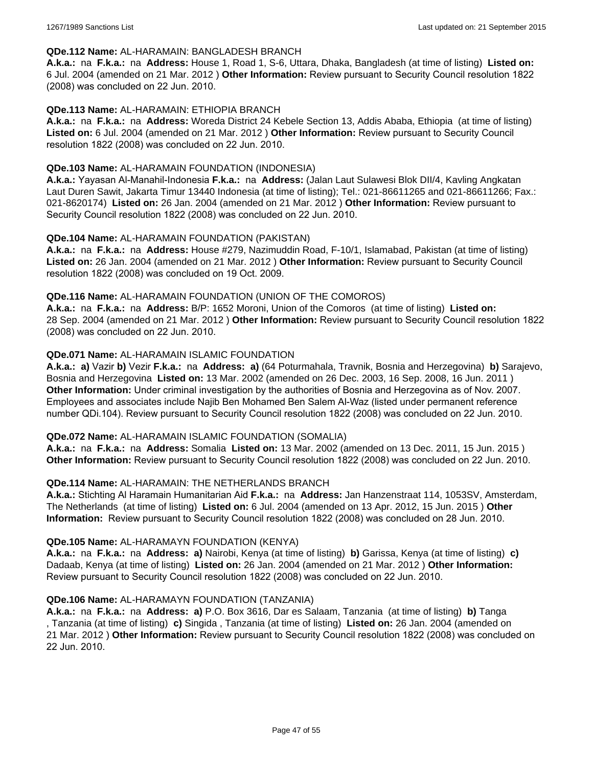#### **QDe.112 Name:** AL-HARAMAIN: BANGLADESH BRANCH

**A.k.a.:** na **F.k.a.:** na **Address:** House 1, Road 1, S-6, Uttara, Dhaka, Bangladesh (at time of listing) **Listed on:** 6 Jul. 2004 (amended on 21 Mar. 2012 ) **Other Information:** Review pursuant to Security Council resolution 1822 (2008) was concluded on 22 Jun. 2010.

#### **QDe.113 Name:** AL-HARAMAIN: ETHIOPIA BRANCH

**A.k.a.:** na **F.k.a.:** na **Address:** Woreda District 24 Kebele Section 13, Addis Ababa, Ethiopia (at time of listing) **Listed on:** 6 Jul. 2004 (amended on 21 Mar. 2012 ) **Other Information:** Review pursuant to Security Council resolution 1822 (2008) was concluded on 22 Jun. 2010.

#### **QDe.103 Name:** AL-HARAMAIN FOUNDATION (INDONESIA)

**A.k.a.:** Yayasan Al-Manahil-Indonesia **F.k.a.:** na **Address:** (Jalan Laut Sulawesi Blok DII/4, Kavling Angkatan Laut Duren Sawit, Jakarta Timur 13440 Indonesia (at time of listing); Tel.: 021-86611265 and 021-86611266; Fax.: 021-8620174) **Listed on:** 26 Jan. 2004 (amended on 21 Mar. 2012 ) **Other Information:** Review pursuant to Security Council resolution 1822 (2008) was concluded on 22 Jun. 2010.

#### **QDe.104 Name:** AL-HARAMAIN FOUNDATION (PAKISTAN)

**A.k.a.:** na **F.k.a.:** na **Address:** House #279, Nazimuddin Road, F-10/1, Islamabad, Pakistan (at time of listing) **Listed on:** 26 Jan. 2004 (amended on 21 Mar. 2012 ) **Other Information:** Review pursuant to Security Council resolution 1822 (2008) was concluded on 19 Oct. 2009.

#### **QDe.116 Name:** AL-HARAMAIN FOUNDATION (UNION OF THE COMOROS)

**A.k.a.:** na **F.k.a.:** na **Address:** B/P: 1652 Moroni, Union of the Comoros (at time of listing) **Listed on:** 28 Sep. 2004 (amended on 21 Mar. 2012 ) **Other Information:** Review pursuant to Security Council resolution 1822 (2008) was concluded on 22 Jun. 2010.

#### **QDe.071 Name:** AL-HARAMAIN ISLAMIC FOUNDATION

**A.k.a.: a)** Vazir **b)** Vezir **F.k.a.:** na **Address: a)** (64 Poturmahala, Travnik, Bosnia and Herzegovina) **b)** Sarajevo, Bosnia and Herzegovina **Listed on:** 13 Mar. 2002 (amended on 26 Dec. 2003, 16 Sep. 2008, 16 Jun. 2011 ) **Other Information:** Under criminal investigation by the authorities of Bosnia and Herzegovina as of Nov. 2007. Employees and associates include Najib Ben Mohamed Ben Salem Al-Waz (listed under permanent reference number QDi.104). Review pursuant to Security Council resolution 1822 (2008) was concluded on 22 Jun. 2010.

#### **QDe.072 Name:** AL-HARAMAIN ISLAMIC FOUNDATION (SOMALIA)

**A.k.a.:** na **F.k.a.:** na **Address:** Somalia **Listed on:** 13 Mar. 2002 (amended on 13 Dec. 2011, 15 Jun. 2015 ) **Other Information:** Review pursuant to Security Council resolution 1822 (2008) was concluded on 22 Jun. 2010.

#### **QDe.114 Name:** AL-HARAMAIN: THE NETHERLANDS BRANCH

**A.k.a.:** Stichting Al Haramain Humanitarian Aid **F.k.a.:** na **Address:** Jan Hanzenstraat 114, 1053SV, Amsterdam, The Netherlands (at time of listing) **Listed on:** 6 Jul. 2004 (amended on 13 Apr. 2012, 15 Jun. 2015 ) **Other Information:** Review pursuant to Security Council resolution 1822 (2008) was concluded on 28 Jun. 2010.

#### **QDe.105 Name:** AL-HARAMAYN FOUNDATION (KENYA)

**A.k.a.:** na **F.k.a.:** na **Address: a)** Nairobi, Kenya (at time of listing) **b)** Garissa, Kenya (at time of listing) **c)** Dadaab, Kenya (at time of listing) **Listed on:** 26 Jan. 2004 (amended on 21 Mar. 2012 ) **Other Information:** Review pursuant to Security Council resolution 1822 (2008) was concluded on 22 Jun. 2010.

#### **QDe.106 Name:** AL-HARAMAYN FOUNDATION (TANZANIA)

**A.k.a.:** na **F.k.a.:** na **Address: a)** P.O. Box 3616, Dar es Salaam, Tanzania (at time of listing) **b)** Tanga , Tanzania (at time of listing) **c)** Singida , Tanzania (at time of listing) **Listed on:** 26 Jan. 2004 (amended on 21 Mar. 2012 ) **Other Information:** Review pursuant to Security Council resolution 1822 (2008) was concluded on 22 Jun. 2010.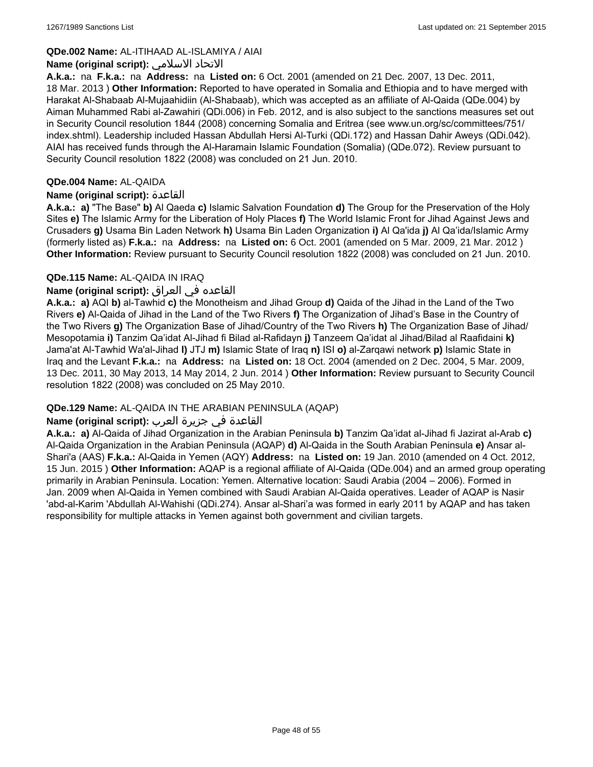## **QDe.002 Name:** AL-ITIHAAD AL-ISLAMIYA / AIAI

#### **Name (original script):** الاسلامي الاتحاد

**A.k.a.:** na **F.k.a.:** na **Address:** na **Listed on:** 6 Oct. 2001 (amended on 21 Dec. 2007, 13 Dec. 2011, 18 Mar. 2013 ) **Other Information:** Reported to have operated in Somalia and Ethiopia and to have merged with Harakat Al-Shabaab Al-Mujaahidiin (Al-Shabaab), which was accepted as an affiliate of Al-Qaida (QDe.004) by Aiman Muhammed Rabi al-Zawahiri (QDi.006) in Feb. 2012, and is also subject to the sanctions measures set out in Security Council resolution 1844 (2008) concerning Somalia and Eritrea (see www.un.org/sc/committees/751/ index.shtml). Leadership included Hassan Abdullah Hersi Al-Turki (QDi.172) and Hassan Dahir Aweys (QDi.042). AIAI has received funds through the Al-Haramain Islamic Foundation (Somalia) (QDe.072). Review pursuant to Security Council resolution 1822 (2008) was concluded on 21 Jun. 2010.

#### **QDe.004 Name:** AL-QAIDA

#### **Name (original script):** القاعدة

**A.k.a.: a)** "The Base" **b)** Al Qaeda **c)** Islamic Salvation Foundation **d)** The Group for the Preservation of the Holy Sites **e)** The Islamic Army for the Liberation of Holy Places **f)** The World Islamic Front for Jihad Against Jews and Crusaders **g)** Usama Bin Laden Network **h)** Usama Bin Laden Organization **i)** Al Qa'ida **j)** Al Qa'ida/Islamic Army (formerly listed as) **F.k.a.:** na **Address:** na **Listed on:** 6 Oct. 2001 (amended on 5 Mar. 2009, 21 Mar. 2012 ) **Other Information:** Review pursuant to Security Council resolution 1822 (2008) was concluded on 21 Jun. 2010.

#### **QDe.115 Name:** AL-QAIDA IN IRAQ

## القاعده في العراق **:(script original (Name**

**A.k.a.: a)** AQI **b)** al-Tawhid **c)** the Monotheism and Jihad Group **d)** Qaida of the Jihad in the Land of the Two Rivers **e)** Al-Qaida of Jihad in the Land of the Two Rivers **f)** The Organization of Jihad's Base in the Country of the Two Rivers **g)** The Organization Base of Jihad/Country of the Two Rivers **h)** The Organization Base of Jihad/ Mesopotamia **i)** Tanzim Qa'idat Al-Jihad fi Bilad al-Rafidayn **j)** Tanzeem Qa'idat al Jihad/Bilad al Raafidaini **k)** Jama'at Al-Tawhid Wa'al-Jihad **l)** JTJ **m)** Islamic State of Iraq **n)** ISI **o)** al-Zarqawi network **p)** Islamic State in Iraq and the Levant **F.k.a.:** na **Address:** na **Listed on:** 18 Oct. 2004 (amended on 2 Dec. 2004, 5 Mar. 2009, 13 Dec. 2011, 30 May 2013, 14 May 2014, 2 Jun. 2014 ) **Other Information:** Review pursuant to Security Council resolution 1822 (2008) was concluded on 25 May 2010.

## **QDe.129 Name:** AL-QAIDA IN THE ARABIAN PENINSULA (AQAP)

## القاعدة في جزيرة العرب **:(script original (Name**

**A.k.a.: a)** Al-Qaida of Jihad Organization in the Arabian Peninsula **b)** Tanzim Qa'idat al-Jihad fi Jazirat al-Arab **c)** Al-Qaida Organization in the Arabian Peninsula (AQAP) **d)** Al-Qaida in the South Arabian Peninsula **e)** Ansar al-Shari'a (AAS) **F.k.a.:** Al-Qaida in Yemen (AQY) **Address:** na **Listed on:** 19 Jan. 2010 (amended on 4 Oct. 2012, 15 Jun. 2015 ) **Other Information:** AQAP is a regional affiliate of Al-Qaida (QDe.004) and an armed group operating primarily in Arabian Peninsula. Location: Yemen. Alternative location: Saudi Arabia (2004 – 2006). Formed in Jan. 2009 when Al-Qaida in Yemen combined with Saudi Arabian Al-Qaida operatives. Leader of AQAP is Nasir 'abd-al-Karim 'Abdullah Al-Wahishi (QDi.274). Ansar al-Shari'a was formed in early 2011 by AQAP and has taken responsibility for multiple attacks in Yemen against both government and civilian targets.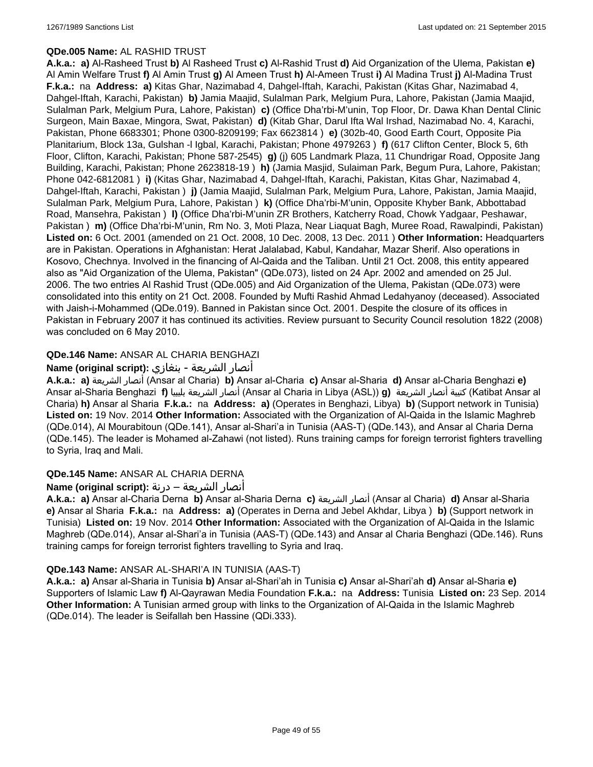#### **QDe.005 Name:** AL RASHID TRUST

**A.k.a.: a)** Al-Rasheed Trust **b)** Al Rasheed Trust **c)** Al-Rashid Trust **d)** Aid Organization of the Ulema, Pakistan **e)** Al Amin Welfare Trust **f)** Al Amin Trust **g)** Al Ameen Trust **h)** Al-Ameen Trust **i)** Al Madina Trust **j)** Al-Madina Trust **F.k.a.:** na **Address: a)** Kitas Ghar, Nazimabad 4, Dahgel-Iftah, Karachi, Pakistan (Kitas Ghar, Nazimabad 4, Dahgel-Iftah, Karachi, Pakistan) **b)** Jamia Maajid, Sulalman Park, Melgium Pura, Lahore, Pakistan (Jamia Maajid, Sulalman Park, Melgium Pura, Lahore, Pakistan) **c)** (Office Dha'rbi-M'unin, Top Floor, Dr. Dawa Khan Dental Clinic Surgeon, Main Baxae, Mingora, Swat, Pakistan) **d)** (Kitab Ghar, Darul Ifta Wal Irshad, Nazimabad No. 4, Karachi, Pakistan, Phone 6683301; Phone 0300-8209199; Fax 6623814 ) **e)** (302b-40, Good Earth Court, Opposite Pia Planitarium, Block 13a, Gulshan -l Igbal, Karachi, Pakistan; Phone 4979263 ) **f)** (617 Clifton Center, Block 5, 6th Floor, Clifton, Karachi, Pakistan; Phone 587-2545) **g)** (j) 605 Landmark Plaza, 11 Chundrigar Road, Opposite Jang Building, Karachi, Pakistan; Phone 2623818-19 ) **h)** (Jamia Masjid, Sulaiman Park, Begum Pura, Lahore, Pakistan; Phone 042-6812081 ) **i)** (Kitas Ghar, Nazimabad 4, Dahgel-Iftah, Karachi, Pakistan, Kitas Ghar, Nazimabad 4, Dahgel-Iftah, Karachi, Pakistan ) **j)** (Jamia Maajid, Sulalman Park, Melgium Pura, Lahore, Pakistan, Jamia Maajid, Sulalman Park, Melgium Pura, Lahore, Pakistan ) **k)** (Office Dha'rbi-M'unin, Opposite Khyber Bank, Abbottabad Road, Mansehra, Pakistan ) **l)** (Office Dha'rbi-M'unin ZR Brothers, Katcherry Road, Chowk Yadgaar, Peshawar, Pakistan ) **m)** (Office Dha'rbi-M'unin, Rm No. 3, Moti Plaza, Near Liaquat Bagh, Muree Road, Rawalpindi, Pakistan) **Listed on:** 6 Oct. 2001 (amended on 21 Oct. 2008, 10 Dec. 2008, 13 Dec. 2011 ) **Other Information:** Headquarters are in Pakistan. Operations in Afghanistan: Herat Jalalabad, Kabul, Kandahar, Mazar Sherif. Also operations in Kosovo, Chechnya. Involved in the financing of Al-Qaida and the Taliban. Until 21 Oct. 2008, this entity appeared also as "Aid Organization of the Ulema, Pakistan" (QDe.073), listed on 24 Apr. 2002 and amended on 25 Jul. 2006. The two entries Al Rashid Trust (QDe.005) and Aid Organization of the Ulema, Pakistan (QDe.073) were consolidated into this entity on 21 Oct. 2008. Founded by Mufti Rashid Ahmad Ledahyanoy (deceased). Associated with Jaish-i-Mohammed (QDe.019). Banned in Pakistan since Oct. 2001. Despite the closure of its offices in Pakistan in February 2007 it has continued its activities. Review pursuant to Security Council resolution 1822 (2008) was concluded on 6 May 2010.

## **QDe.146 Name:** ANSAR AL CHARIA BENGHAZI

## أنصار الشريعة - بنغازي **:(script original (Name**

**A.k.a.: a)** الشريعة أنصار) Ansar al Charia) **b)** Ansar al-Charia **c)** Ansar al-Sharia **d)** Ansar al-Charia Benghazi **e)** Ansar al-Sharia Benghazi **f)** بليبيا الشريعة أنصار) Ansar al Charia in Libya (ASL)) **g)** الشريعة أنصار كتيبة) Katibat Ansar al Charia) **h)** Ansar al Sharia **F.k.a.:** na **Address: a)** (Operates in Benghazi, Libya) **b)** (Support network in Tunisia) **Listed on:** 19 Nov. 2014 **Other Information:** Associated with the Organization of Al-Qaida in the Islamic Maghreb (QDe.014), Al Mourabitoun (QDe.141), Ansar al-Shari'a in Tunisia (AAS-T) (QDe.143), and Ansar al Charia Derna (QDe.145). The leader is Mohamed al-Zahawi (not listed). Runs training camps for foreign terrorist fighters travelling to Syria, Iraq and Mali.

## **QDe.145 Name:** ANSAR AL CHARIA DERNA

## أنصار الشريعة – درنة **:(script original (Name**

**A.k.a.: a)** Ansar al-Charia Derna **b)** Ansar al-Sharia Derna **c)** الشريعة أنصار) Ansar al Charia) **d)** Ansar al-Sharia **e)** Ansar al Sharia **F.k.a.:** na **Address: a)** (Operates in Derna and Jebel Akhdar, Libya ) **b)** (Support network in Tunisia) **Listed on:** 19 Nov. 2014 **Other Information:** Associated with the Organization of Al-Qaida in the Islamic Maghreb (QDe.014), Ansar al-Shari'a in Tunisia (AAS-T) (QDe.143) and Ansar al Charia Benghazi (QDe.146). Runs training camps for foreign terrorist fighters travelling to Syria and Iraq.

## **QDe.143 Name:** ANSAR AL-SHARI'A IN TUNISIA (AAS-T)

**A.k.a.: a)** Ansar al-Sharia in Tunisia **b)** Ansar al-Shari'ah in Tunisia **c)** Ansar al-Shari'ah **d)** Ansar al-Sharia **e)** Supporters of Islamic Law **f)** Al-Qayrawan Media Foundation **F.k.a.:** na **Address:** Tunisia **Listed on:** 23 Sep. 2014 **Other Information:** A Tunisian armed group with links to the Organization of Al-Qaida in the Islamic Maghreb (QDe.014). The leader is Seifallah ben Hassine (QDi.333).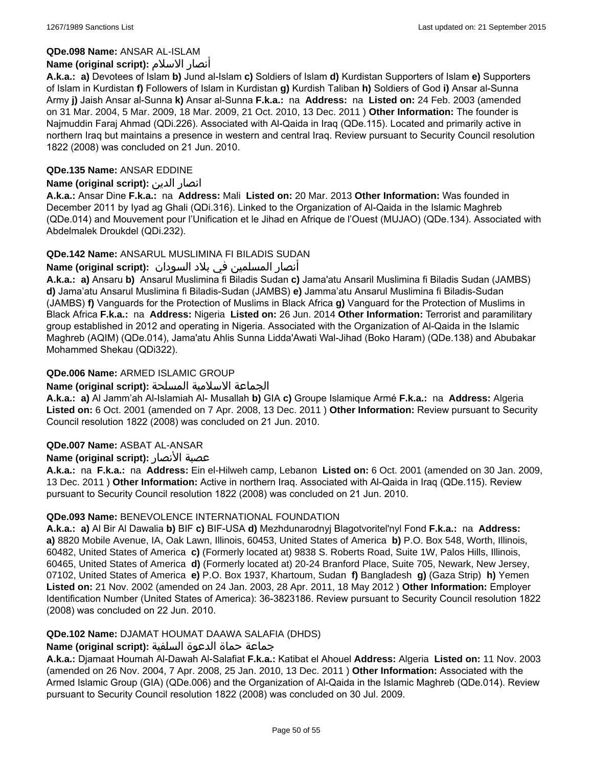## **QDe.098 Name:** ANSAR AL-ISLAM

## **Name (original script):** الاسلام أنصار

**A.k.a.: a)** Devotees of Islam **b)** Jund al-Islam **c)** Soldiers of Islam **d)** Kurdistan Supporters of Islam **e)** Supporters of Islam in Kurdistan **f)** Followers of Islam in Kurdistan **g)** Kurdish Taliban **h)** Soldiers of God **i)** Ansar al-Sunna Army **j)** Jaish Ansar al-Sunna **k)** Ansar al-Sunna **F.k.a.:** na **Address:** na **Listed on:** 24 Feb. 2003 (amended on 31 Mar. 2004, 5 Mar. 2009, 18 Mar. 2009, 21 Oct. 2010, 13 Dec. 2011 ) **Other Information:** The founder is Najmuddin Faraj Ahmad (QDi.226). Associated with Al-Qaida in Iraq (QDe.115). Located and primarily active in northern Iraq but maintains a presence in western and central Iraq. Review pursuant to Security Council resolution 1822 (2008) was concluded on 21 Jun. 2010.

## **QDe.135 Name:** ANSAR EDDINE

## **Name (original script):** الدين انصار

**A.k.a.:** Ansar Dine **F.k.a.:** na **Address:** Mali **Listed on:** 20 Mar. 2013 **Other Information:** Was founded in December 2011 by Iyad ag Ghali (QDi.316). Linked to the Organization of Al-Qaida in the Islamic Maghreb (QDe.014) and Mouvement pour l'Unification et le Jihad en Afrique de l'Ouest (MUJAO) (QDe.134). Associated with Abdelmalek Droukdel (QDi.232).

## **QDe.142 Name:** ANSARUL MUSLIMINA FI BILADIS SUDAN

## انصار المسلمین في بلاد السودان :**(Name (original script**

**A.k.a.: a)** Ansaru **b)** Ansarul Muslimina fi Biladis Sudan **c)** Jama'atu Ansaril Muslimina fi Biladis Sudan (JAMBS) **d)** Jama'atu Ansarul Muslimina fi Biladis-Sudan (JAMBS) **e)** Jamma'atu Ansarul Muslimina fi Biladis-Sudan (JAMBS) **f)** Vanguards for the Protection of Muslims in Black Africa **g)** Vanguard for the Protection of Muslims in Black Africa **F.k.a.:** na **Address:** Nigeria **Listed on:** 26 Jun. 2014 **Other Information:** Terrorist and paramilitary group established in 2012 and operating in Nigeria. Associated with the Organization of Al-Qaida in the Islamic Maghreb (AQIM) (QDe.014), Jama'atu Ahlis Sunna Lidda'Awati Wal-Jihad (Boko Haram) (QDe.138) and Abubakar Mohammed Shekau (QDi322).

## **QDe.006 Name:** ARMED ISLAMIC GROUP

## الجماعة الاسلامية المسلحة **:(script original (Name**

**A.k.a.: a)** Al Jamm'ah Al-Islamiah Al- Musallah **b)** GIA **c)** Groupe Islamique Armé **F.k.a.:** na **Address:** Algeria **Listed on:** 6 Oct. 2001 (amended on 7 Apr. 2008, 13 Dec. 2011 ) **Other Information:** Review pursuant to Security Council resolution 1822 (2008) was concluded on 21 Jun. 2010.

## **QDe.007 Name:** ASBAT AL-ANSAR

## **Name (original script):** الأنصار عصبة

**A.k.a.:** na **F.k.a.:** na **Address:** Ein el-Hilweh camp, Lebanon **Listed on:** 6 Oct. 2001 (amended on 30 Jan. 2009, 13 Dec. 2011 ) **Other Information:** Active in northern Iraq. Associated with Al-Qaida in Iraq (QDe.115). Review pursuant to Security Council resolution 1822 (2008) was concluded on 21 Jun. 2010.

## **QDe.093 Name:** BENEVOLENCE INTERNATIONAL FOUNDATION

**A.k.a.: a)** Al Bir Al Dawalia **b)** BIF **c)** BIF-USA **d)** Mezhdunarodnyj Blagotvoritel'nyl Fond **F.k.a.:** na **Address: a)** 8820 Mobile Avenue, IA, Oak Lawn, Illinois, 60453, United States of America **b)** P.O. Box 548, Worth, Illinois, 60482, United States of America **c)** (Formerly located at) 9838 S. Roberts Road, Suite 1W, Palos Hills, Illinois, 60465, United States of America **d)** (Formerly located at) 20-24 Branford Place, Suite 705, Newark, New Jersey, 07102, United States of America **e)** P.O. Box 1937, Khartoum, Sudan **f)** Bangladesh **g)** (Gaza Strip) **h)** Yemen **Listed on:** 21 Nov. 2002 (amended on 24 Jan. 2003, 28 Apr. 2011, 18 May 2012 ) **Other Information:** Employer Identification Number (United States of America): 36-3823186. Review pursuant to Security Council resolution 1822 (2008) was concluded on 22 Jun. 2010.

## **QDe.102 Name:** DJAMAT HOUMAT DAAWA SALAFIA (DHDS)

## جماعة حماة الدعوة السلفية **:(script original (Name**

**A.k.a.:** Djamaat Houmah Al-Dawah Al-Salafiat **F.k.a.:** Katibat el Ahouel **Address:** Algeria **Listed on:** 11 Nov. 2003 (amended on 26 Nov. 2004, 7 Apr. 2008, 25 Jan. 2010, 13 Dec. 2011 ) **Other Information:** Associated with the Armed Islamic Group (GIA) (QDe.006) and the Organization of Al-Qaida in the Islamic Maghreb (QDe.014). Review pursuant to Security Council resolution 1822 (2008) was concluded on 30 Jul. 2009.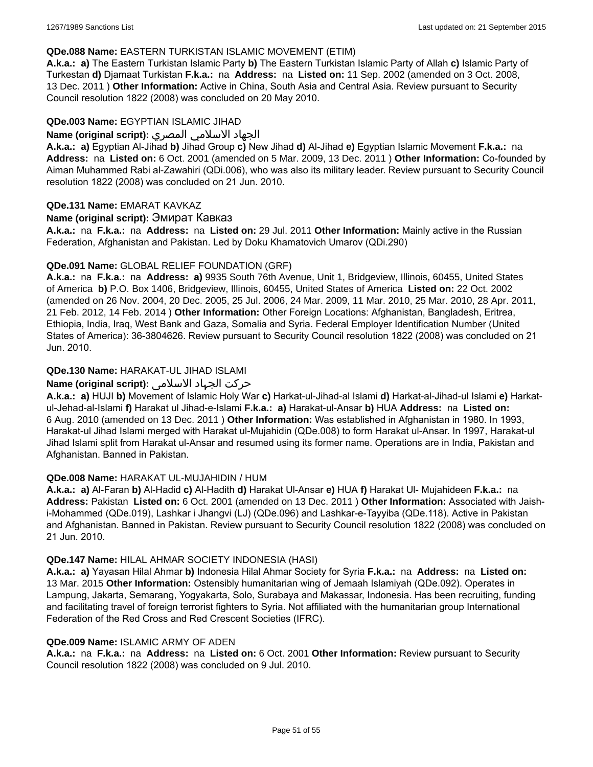#### **QDe.088 Name:** EASTERN TURKISTAN ISLAMIC MOVEMENT (ETIM)

**A.k.a.: a)** The Eastern Turkistan Islamic Party **b)** The Eastern Turkistan Islamic Party of Allah **c)** Islamic Party of Turkestan **d)** Djamaat Turkistan **F.k.a.:** na **Address:** na **Listed on:** 11 Sep. 2002 (amended on 3 Oct. 2008, 13 Dec. 2011 ) **Other Information:** Active in China, South Asia and Central Asia. Review pursuant to Security Council resolution 1822 (2008) was concluded on 20 May 2010.

#### **QDe.003 Name:** EGYPTIAN ISLAMIC JIHAD

#### الجهاد الاسلامي المصري **:(script original (Name**

**A.k.a.: a)** Egyptian Al-Jihad **b)** Jihad Group **c)** New Jihad **d)** Al-Jihad **e)** Egyptian Islamic Movement **F.k.a.:** na **Address:** na **Listed on:** 6 Oct. 2001 (amended on 5 Mar. 2009, 13 Dec. 2011 ) **Other Information:** Co-founded by Aiman Muhammed Rabi al-Zawahiri (QDi.006), who was also its military leader. Review pursuant to Security Council resolution 1822 (2008) was concluded on 21 Jun. 2010.

#### **QDe.131 Name:** EMARAT KAVKAZ

#### **Name (original script):** Эмират Кавказ

**A.k.a.:** na **F.k.a.:** na **Address:** na **Listed on:** 29 Jul. 2011 **Other Information:** Mainly active in the Russian Federation, Afghanistan and Pakistan. Led by Doku Khamatovich Umarov (QDi.290)

#### **QDe.091 Name:** GLOBAL RELIEF FOUNDATION (GRF)

**A.k.a.:** na **F.k.a.:** na **Address: a)** 9935 South 76th Avenue, Unit 1, Bridgeview, Illinois, 60455, United States of America **b)** P.O. Box 1406, Bridgeview, Illinois, 60455, United States of America **Listed on:** 22 Oct. 2002 (amended on 26 Nov. 2004, 20 Dec. 2005, 25 Jul. 2006, 24 Mar. 2009, 11 Mar. 2010, 25 Mar. 2010, 28 Apr. 2011, 21 Feb. 2012, 14 Feb. 2014 ) **Other Information:** Other Foreign Locations: Afghanistan, Bangladesh, Eritrea, Ethiopia, India, Iraq, West Bank and Gaza, Somalia and Syria. Federal Employer Identification Number (United States of America): 36-3804626. Review pursuant to Security Council resolution 1822 (2008) was concluded on 21 Jun. 2010.

## **QDe.130 Name:** HARAKAT-UL JIHAD ISLAMI

## حرکت الجہاد الاسلامی **:(script original (Name**

**A.k.a.: a)** HUJI **b)** Movement of Islamic Holy War **c)** Harkat-ul-Jihad-al Islami **d)** Harkat-al-Jihad-ul Islami **e)** Harkatul-Jehad-al-Islami **f)** Harakat ul Jihad-e-Islami **F.k.a.: a)** Harakat-ul-Ansar **b)** HUA **Address:** na **Listed on:** 6 Aug. 2010 (amended on 13 Dec. 2011 ) **Other Information:** Was established in Afghanistan in 1980. In 1993, Harakat-ul Jihad Islami merged with Harakat ul-Mujahidin (QDe.008) to form Harakat ul-Ansar. In 1997, Harakat-ul Jihad Islami split from Harakat ul-Ansar and resumed using its former name. Operations are in India, Pakistan and Afghanistan. Banned in Pakistan.

#### **QDe.008 Name:** HARAKAT UL-MUJAHIDIN / HUM

**A.k.a.: a)** Al-Faran **b)** Al-Hadid **c)** Al-Hadith **d)** Harakat Ul-Ansar **e)** HUA **f)** Harakat Ul- Mujahideen **F.k.a.:** na **Address:** Pakistan **Listed on:** 6 Oct. 2001 (amended on 13 Dec. 2011 ) **Other Information:** Associated with Jaishi-Mohammed (QDe.019), Lashkar i Jhangvi (LJ) (QDe.096) and Lashkar-e-Tayyiba (QDe.118). Active in Pakistan and Afghanistan. Banned in Pakistan. Review pursuant to Security Council resolution 1822 (2008) was concluded on 21 Jun. 2010.

#### **QDe.147 Name:** HILAL AHMAR SOCIETY INDONESIA (HASI)

**A.k.a.: a)** Yayasan Hilal Ahmar **b)** Indonesia Hilal Ahmar Society for Syria **F.k.a.:** na **Address:** na **Listed on:** 13 Mar. 2015 **Other Information:** Ostensibly humanitarian wing of Jemaah Islamiyah (QDe.092). Operates in Lampung, Jakarta, Semarang, Yogyakarta, Solo, Surabaya and Makassar, Indonesia. Has been recruiting, funding and facilitating travel of foreign terrorist fighters to Syria. Not affiliated with the humanitarian group International Federation of the Red Cross and Red Crescent Societies (IFRC).

#### **QDe.009 Name:** ISLAMIC ARMY OF ADEN

**A.k.a.:** na **F.k.a.:** na **Address:** na **Listed on:** 6 Oct. 2001 **Other Information:** Review pursuant to Security Council resolution 1822 (2008) was concluded on 9 Jul. 2010.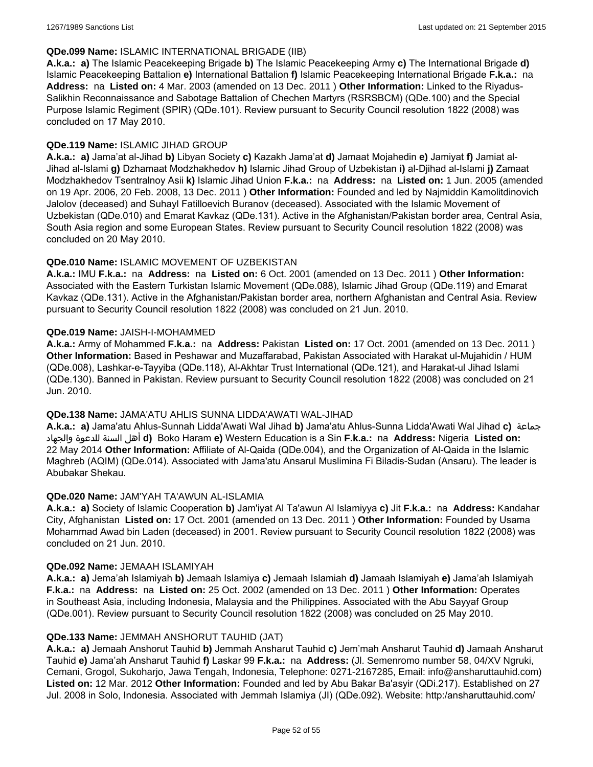#### **QDe.099 Name:** ISLAMIC INTERNATIONAL BRIGADE (IIB)

**A.k.a.: a)** The Islamic Peacekeeping Brigade **b)** The Islamic Peacekeeping Army **c)** The International Brigade **d)** Islamic Peacekeeping Battalion **e)** International Battalion **f)** Islamic Peacekeeping International Brigade **F.k.a.:** na **Address:** na **Listed on:** 4 Mar. 2003 (amended on 13 Dec. 2011 ) **Other Information:** Linked to the Riyadus-Salikhin Reconnaissance and Sabotage Battalion of Chechen Martyrs (RSRSBCM) (QDe.100) and the Special Purpose Islamic Regiment (SPIR) (QDe.101). Review pursuant to Security Council resolution 1822 (2008) was concluded on 17 May 2010.

## **QDe.119 Name:** ISLAMIC JIHAD GROUP

**A.k.a.: a)** Jama'at al-Jihad **b)** Libyan Society **c)** Kazakh Jama'at **d)** Jamaat Mojahedin **e)** Jamiyat **f)** Jamiat al-Jihad al-Islami **g)** Dzhamaat Modzhakhedov **h)** Islamic Jihad Group of Uzbekistan **i)** al-Djihad al-Islami **j)** Zamaat Modzhakhedov Tsentralnoy Asii **k)** Islamic Jihad Union **F.k.a.:** na **Address:** na **Listed on:** 1 Jun. 2005 (amended on 19 Apr. 2006, 20 Feb. 2008, 13 Dec. 2011 ) **Other Information:** Founded and led by Najmiddin Kamolitdinovich Jalolov (deceased) and Suhayl Fatilloevich Buranov (deceased). Associated with the Islamic Movement of Uzbekistan (QDe.010) and Emarat Kavkaz (QDe.131). Active in the Afghanistan/Pakistan border area, Central Asia, South Asia region and some European States. Review pursuant to Security Council resolution 1822 (2008) was concluded on 20 May 2010.

#### **QDe.010 Name:** ISLAMIC MOVEMENT OF UZBEKISTAN

**A.k.a.:** IMU **F.k.a.:** na **Address:** na **Listed on:** 6 Oct. 2001 (amended on 13 Dec. 2011 ) **Other Information:** Associated with the Eastern Turkistan Islamic Movement (QDe.088), Islamic Jihad Group (QDe.119) and Emarat Kavkaz (QDe.131). Active in the Afghanistan/Pakistan border area, northern Afghanistan and Central Asia. Review pursuant to Security Council resolution 1822 (2008) was concluded on 21 Jun. 2010.

#### **QDe.019 Name:** JAISH-I-MOHAMMED

**A.k.a.:** Army of Mohammed **F.k.a.:** na **Address:** Pakistan **Listed on:** 17 Oct. 2001 (amended on 13 Dec. 2011 ) **Other Information:** Based in Peshawar and Muzaffarabad, Pakistan Associated with Harakat ul-Mujahidin / HUM (QDe.008), Lashkar-e-Tayyiba (QDe.118), Al-Akhtar Trust International (QDe.121), and Harakat-ul Jihad Islami (QDe.130). Banned in Pakistan. Review pursuant to Security Council resolution 1822 (2008) was concluded on 21 Jun. 2010.

#### **QDe.138 Name:** JAMA'ATU AHLIS SUNNA LIDDA'AWATI WAL-JIHAD

**A.k.a.: a)** Jama'atu Ahlus-Sunnah Lidda'Awati Wal Jihad **b)** Jama'atu Ahlus-Sunna Lidda'Awati Wal Jihad **c)** جماعة والجهاد للدعوة السنة أهل **d)** Boko Haram **e)** Western Education is a Sin **F.k.a.:** na **Address:** Nigeria **Listed on:** 22 May 2014 **Other Information:** Affiliate of Al-Qaida (QDe.004), and the Organization of Al-Qaida in the Islamic Maghreb (AQIM) (QDe.014). Associated with Jama'atu Ansarul Muslimina Fi Biladis-Sudan (Ansaru). The leader is Abubakar Shekau.

## **QDe.020 Name:** JAM'YAH TA'AWUN AL-ISLAMIA

**A.k.a.: a)** Society of Islamic Cooperation **b)** Jam'iyat Al Ta'awun Al Islamiyya **c)** Jit **F.k.a.:** na **Address:** Kandahar City, Afghanistan **Listed on:** 17 Oct. 2001 (amended on 13 Dec. 2011 ) **Other Information:** Founded by Usama Mohammad Awad bin Laden (deceased) in 2001. Review pursuant to Security Council resolution 1822 (2008) was concluded on 21 Jun. 2010.

#### **QDe.092 Name:** JEMAAH ISLAMIYAH

**A.k.a.: a)** Jema'ah Islamiyah **b)** Jemaah Islamiya **c)** Jemaah Islamiah **d)** Jamaah Islamiyah **e)** Jama'ah Islamiyah **F.k.a.:** na **Address:** na **Listed on:** 25 Oct. 2002 (amended on 13 Dec. 2011 ) **Other Information:** Operates in Southeast Asia, including Indonesia, Malaysia and the Philippines. Associated with the Abu Sayyaf Group (QDe.001). Review pursuant to Security Council resolution 1822 (2008) was concluded on 25 May 2010.

#### **QDe.133 Name:** JEMMAH ANSHORUT TAUHID (JAT)

**A.k.a.: a)** Jemaah Anshorut Tauhid **b)** Jemmah Ansharut Tauhid **c)** Jem'mah Ansharut Tauhid **d)** Jamaah Ansharut Tauhid **e)** Jama'ah Ansharut Tauhid **f)** Laskar 99 **F.k.a.:** na **Address:** (Jl. Semenromo number 58, 04/XV Ngruki, Cemani, Grogol, Sukoharjo, Jawa Tengah, Indonesia, Telephone: 0271-2167285, Email: info@ansharuttauhid.com) **Listed on:** 12 Mar. 2012 **Other Information:** Founded and led by Abu Bakar Ba'asyir (QDi.217). Established on 27 Jul. 2008 in Solo, Indonesia. Associated with Jemmah Islamiya (JI) (QDe.092). Website: http:/ansharuttauhid.com/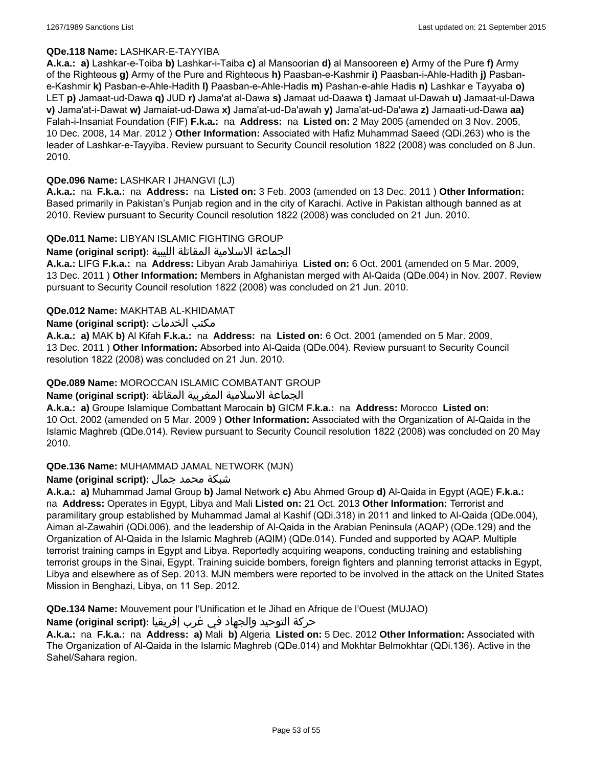#### **QDe.118 Name:** LASHKAR-E-TAYYIBA

**A.k.a.: a)** Lashkar-e-Toiba **b)** Lashkar-i-Taiba **c)** al Mansoorian **d)** al Mansooreen **e)** Army of the Pure **f)** Army of the Righteous **g)** Army of the Pure and Righteous **h)** Paasban-e-Kashmir **i)** Paasban-i-Ahle-Hadith **j)** Pasbane-Kashmir **k)** Pasban-e-Ahle-Hadith **l)** Paasban-e-Ahle-Hadis **m)** Pashan-e-ahle Hadis **n)** Lashkar e Tayyaba **o)** LET **p)** Jamaat-ud-Dawa **q)** JUD **r)** Jama'at al-Dawa **s)** Jamaat ud-Daawa **t)** Jamaat ul-Dawah **u)** Jamaat-ul-Dawa **v)** Jama'at-i-Dawat **w)** Jamaiat-ud-Dawa **x)** Jama'at-ud-Da'awah **y)** Jama'at-ud-Da'awa **z)** Jamaati-ud-Dawa **aa)** Falah-i-Insaniat Foundation (FIF) **F.k.a.:** na **Address:** na **Listed on:** 2 May 2005 (amended on 3 Nov. 2005, 10 Dec. 2008, 14 Mar. 2012 ) **Other Information:** Associated with Hafiz Muhammad Saeed (QDi.263) who is the leader of Lashkar-e-Tayyiba. Review pursuant to Security Council resolution 1822 (2008) was concluded on 8 Jun. 2010.

#### **QDe.096 Name:** LASHKAR I JHANGVI (LJ)

**A.k.a.:** na **F.k.a.:** na **Address:** na **Listed on:** 3 Feb. 2003 (amended on 13 Dec. 2011 ) **Other Information:** Based primarily in Pakistan's Punjab region and in the city of Karachi. Active in Pakistan although banned as at 2010. Review pursuant to Security Council resolution 1822 (2008) was concluded on 21 Jun. 2010.

#### **QDe.011 Name:** LIBYAN ISLAMIC FIGHTING GROUP

الجماعة الاسلامية المقاتلة الليبية **:(script original (Name**

**A.k.a.:** LIFG **F.k.a.:** na **Address:** Libyan Arab Jamahiriya **Listed on:** 6 Oct. 2001 (amended on 5 Mar. 2009, 13 Dec. 2011 ) **Other Information:** Members in Afghanistan merged with Al-Qaida (QDe.004) in Nov. 2007. Review pursuant to Security Council resolution 1822 (2008) was concluded on 21 Jun. 2010.

#### **QDe.012 Name:** MAKHTAB AL-KHIDAMAT

#### **Name (original script):** الخدمات مكتب

**A.k.a.: a)** MAK **b)** Al Kifah **F.k.a.:** na **Address:** na **Listed on:** 6 Oct. 2001 (amended on 5 Mar. 2009, 13 Dec. 2011 ) **Other Information:** Absorbed into Al-Qaida (QDe.004). Review pursuant to Security Council resolution 1822 (2008) was concluded on 21 Jun. 2010.

#### **QDe.089 Name:** MOROCCAN ISLAMIC COMBATANT GROUP

## الجماعة الاسلامية المغربية المقاتلة **:(script original (Name**

**A.k.a.: a)** Groupe Islamique Combattant Marocain **b)** GICM **F.k.a.:** na **Address:** Morocco **Listed on:** 10 Oct. 2002 (amended on 5 Mar. 2009 ) **Other Information:** Associated with the Organization of Al-Qaida in the Islamic Maghreb (QDe.014). Review pursuant to Security Council resolution 1822 (2008) was concluded on 20 May 2010.

#### **QDe.136 Name:** MUHAMMAD JAMAL NETWORK (MJN)

## شبكة محمد جمال **:(script original (Name**

**A.k.a.: a)** Muhammad Jamal Group **b)** Jamal Network **c)** Abu Ahmed Group **d)** Al-Qaida in Egypt (AQE) **F.k.a.:**  na **Address:** Operates in Egypt, Libya and Mali **Listed on:** 21 Oct. 2013 **Other Information:** Terrorist and paramilitary group established by Muhammad Jamal al Kashif (QDi.318) in 2011 and linked to Al-Qaida (QDe.004), Aiman al-Zawahiri (QDi.006), and the leadership of Al-Qaida in the Arabian Peninsula (AQAP) (QDe.129) and the Organization of Al-Qaida in the Islamic Maghreb (AQIM) (QDe.014). Funded and supported by AQAP. Multiple terrorist training camps in Egypt and Libya. Reportedly acquiring weapons, conducting training and establishing terrorist groups in the Sinai, Egypt. Training suicide bombers, foreign fighters and planning terrorist attacks in Egypt, Libya and elsewhere as of Sep. 2013. MJN members were reported to be involved in the attack on the United States Mission in Benghazi, Libya, on 11 Sep. 2012.

**QDe.134 Name:** Mouvement pour l'Unification et le Jihad en Afrique de l'Ouest (MUJAO)

#### حركة التوحيد والجهاد في غرب إفريقيا **:Name (original script)**

**A.k.a.:** na **F.k.a.:** na **Address: a)** Mali **b)** Algeria **Listed on:** 5 Dec. 2012 **Other Information:** Associated with The Organization of Al-Qaida in the Islamic Maghreb (QDe.014) and Mokhtar Belmokhtar (QDi.136). Active in the Sahel/Sahara region.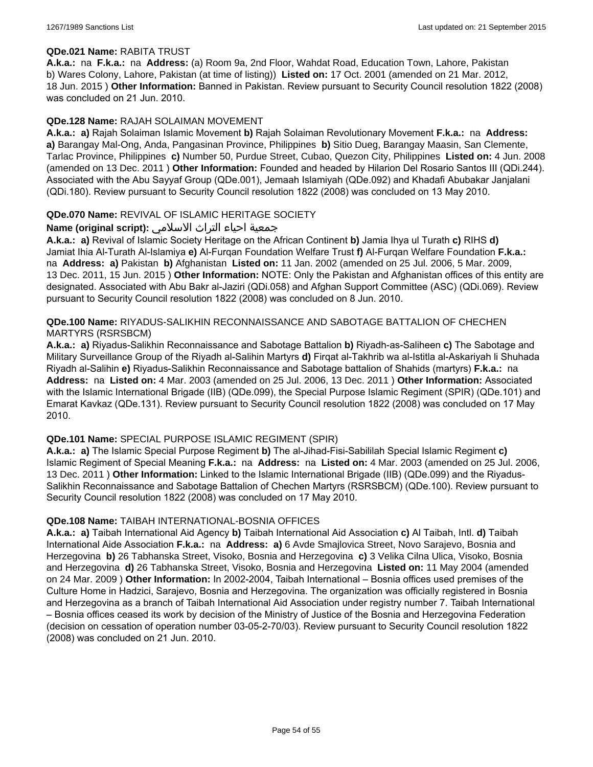#### **QDe.021 Name:** RABITA TRUST

**A.k.a.:** na **F.k.a.:** na **Address:** (a) Room 9a, 2nd Floor, Wahdat Road, Education Town, Lahore, Pakistan b) Wares Colony, Lahore, Pakistan (at time of listing)) **Listed on:** 17 Oct. 2001 (amended on 21 Mar. 2012, 18 Jun. 2015 ) **Other Information:** Banned in Pakistan. Review pursuant to Security Council resolution 1822 (2008) was concluded on 21 Jun. 2010.

#### **QDe.128 Name:** RAJAH SOLAIMAN MOVEMENT

**A.k.a.: a)** Rajah Solaiman Islamic Movement **b)** Rajah Solaiman Revolutionary Movement **F.k.a.:** na **Address: a)** Barangay Mal-Ong, Anda, Pangasinan Province, Philippines **b)** Sitio Dueg, Barangay Maasin, San Clemente, Tarlac Province, Philippines **c)** Number 50, Purdue Street, Cubao, Quezon City, Philippines **Listed on:** 4 Jun. 2008 (amended on 13 Dec. 2011 ) **Other Information:** Founded and headed by Hilarion Del Rosario Santos III (QDi.244). Associated with the Abu Sayyaf Group (QDe.001), Jemaah Islamiyah (QDe.092) and Khadafi Abubakar Janjalani (QDi.180). Review pursuant to Security Council resolution 1822 (2008) was concluded on 13 May 2010.

#### **QDe.070 Name:** REVIVAL OF ISLAMIC HERITAGE SOCIETY

## جمعية احياء التراث الاسلامي **:(script original (Name**

**A.k.a.: a)** Revival of Islamic Society Heritage on the African Continent **b)** Jamia Ihya ul Turath **c)** RIHS **d)** Jamiat Ihia Al-Turath Al-Islamiya **e)** Al-Furqan Foundation Welfare Trust **f)** Al-Furqan Welfare Foundation **F.k.a.:**  na **Address: a)** Pakistan **b)** Afghanistan **Listed on:** 11 Jan. 2002 (amended on 25 Jul. 2006, 5 Mar. 2009, 13 Dec. 2011, 15 Jun. 2015 ) **Other Information:** NOTE: Only the Pakistan and Afghanistan offices of this entity are designated. Associated with Abu Bakr al-Jaziri (QDi.058) and Afghan Support Committee (ASC) (QDi.069). Review pursuant to Security Council resolution 1822 (2008) was concluded on 8 Jun. 2010.

#### **QDe.100 Name:** RIYADUS-SALIKHIN RECONNAISSANCE AND SABOTAGE BATTALION OF CHECHEN MARTYRS (RSRSBCM)

**A.k.a.: a)** Riyadus-Salikhin Reconnaissance and Sabotage Battalion **b)** Riyadh-as-Saliheen **c)** The Sabotage and Military Surveillance Group of the Riyadh al-Salihin Martyrs **d)** Firqat al-Takhrib wa al-Istitla al-Askariyah li Shuhada Riyadh al-Salihin **e)** Riyadus-Salikhin Reconnaissance and Sabotage battalion of Shahids (martyrs) **F.k.a.:** na **Address:** na **Listed on:** 4 Mar. 2003 (amended on 25 Jul. 2006, 13 Dec. 2011 ) **Other Information:** Associated with the Islamic International Brigade (IIB) (QDe.099), the Special Purpose Islamic Regiment (SPIR) (QDe.101) and Emarat Kavkaz (QDe.131). Review pursuant to Security Council resolution 1822 (2008) was concluded on 17 May 2010.

#### **QDe.101 Name:** SPECIAL PURPOSE ISLAMIC REGIMENT (SPIR)

**A.k.a.: a)** The Islamic Special Purpose Regiment **b)** The al-Jihad-Fisi-Sabililah Special Islamic Regiment **c)** Islamic Regiment of Special Meaning **F.k.a.:** na **Address:** na **Listed on:** 4 Mar. 2003 (amended on 25 Jul. 2006, 13 Dec. 2011 ) **Other Information:** Linked to the Islamic International Brigade (IIB) (QDe.099) and the Riyadus-Salikhin Reconnaissance and Sabotage Battalion of Chechen Martyrs (RSRSBCM) (QDe.100). Review pursuant to Security Council resolution 1822 (2008) was concluded on 17 May 2010.

#### **QDe.108 Name:** TAIBAH INTERNATIONAL-BOSNIA OFFICES

**A.k.a.: a)** Taibah International Aid Agency **b)** Taibah International Aid Association **c)** Al Taibah, Intl. **d)** Taibah International Aide Association **F.k.a.:** na **Address: a)** 6 Avde Smajlovica Street, Novo Sarajevo, Bosnia and Herzegovina **b)** 26 Tabhanska Street, Visoko, Bosnia and Herzegovina **c)** 3 Velika Cilna Ulica, Visoko, Bosnia and Herzegovina **d)** 26 Tabhanska Street, Visoko, Bosnia and Herzegovina **Listed on:** 11 May 2004 (amended on 24 Mar. 2009 ) **Other Information:** In 2002-2004, Taibah International – Bosnia offices used premises of the Culture Home in Hadzici, Sarajevo, Bosnia and Herzegovina. The organization was officially registered in Bosnia and Herzegovina as a branch of Taibah International Aid Association under registry number 7. Taibah International – Bosnia offices ceased its work by decision of the Ministry of Justice of the Bosnia and Herzegovina Federation (decision on cessation of operation number 03-05-2-70/03). Review pursuant to Security Council resolution 1822 (2008) was concluded on 21 Jun. 2010.